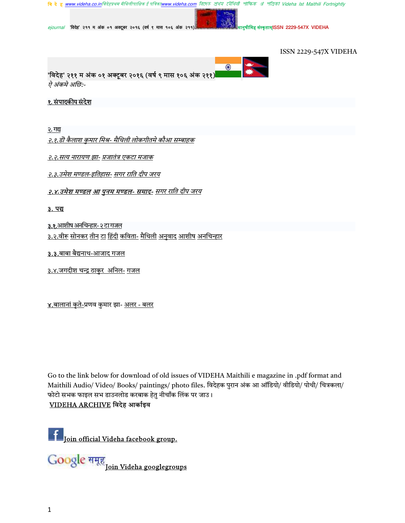

 $e$ journal 'विदेह' २११ म अंक ०१ अक्टूबर २०१६ (वर्ष ९ मास १०६ अंक २११)

नुषीमिह संस्कृताम्ISSN 2229-547X VIDEHA

ISSN 2229-547X VIDEHA



#### १. संपादकीय संदेश

<u>२. गद्य</u>

<u>२.१.डॊ कैलाश कुमार मिश्र- मैथिली लोकगीतमे कौआ सम्बाहक</u>

२.२.सत्य नारायण झा- प्रजातंत्र एकटा मजाक

<u>२.३.उमेश मण्डल-इतिहास- सगर राति दीप जरय</u>

#### <u>२.४.उमेश मण्डल आ पुनम मण्डल- समाद- सगर राति दीप जरय</u>

#### <u>3. पद्य</u>

3.१.आशीष अनचिन्हार- २ टा गजल

<u>३.२.वीरू सोनकर तीन टा हिंदी कविता- मैथिली अनुवाद आशीष अनचिन्हार</u>

3.3.बाबा बैद्यनाथ-आजाद गजल

<u>३.४.जगदीश चन्द्र ठाकुर अनिल- गजल</u>

<u>४.बालानां कृते-</u>प्रणव कुमार झा- <u>अलर - बलर</u>

Go to the link below for download of old issues of VIDEHA Maithili e magazine in .pdf format and Maithili Audio/ Video/ Books/ paintings/ photo files. विदेहक पुरान अंक आ ऑडियो/ वीडियो/ पोथी/ चित्रकला/ फोटो सभक फाइल सभ डाउनलोड करबाक हेतु नीचाँक लिंक पर जाउ।

# VIDEHA ARCHIVE विदेह आर्काइव

Join official Videha facebook group.

Join Videha googlegroups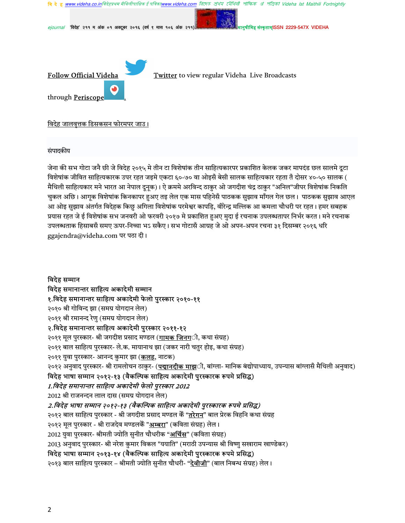

संपादकीय

जेना की सभ गोटा जनै छी जे विदेह २०१५ मे तीन टा विशेषांक तीन साहित्यकारपर प्रकाशित केलक जकर मापदंड छल सालमे दुटा विशेषांक जीवित साहित्यकारक उपर रहत जइमे एकटा ६०-७० वा ओइसँ बेसी सालक साहित्यकार रहता तँ दोसर ४०-५० सालक ( मैथिली साहित्यकार मने भारत आ नेपाल दूनूक)। ऐ क्रममे अरविन्द ठाकुर ओ जगदीश चंद्र ठाकुर "अनिल"जीपर विशेषांक निकलि चकल अछि। आगक विशेषांक किनकापर हअए तइ लेल एक मास पहिनेसँ पाठकक सझाव माँगल गेल छल। पाठकक सझाव आएल आ ओइ सुझाव अंतर्गत विदेहक किछु अगिला विशेषांक परमेश्वर कापड़ि, वीरेन्द्र मल्लिक आ कमला चौधरी पर रहत। हमर सबहक प्रयास रहत जे ई विशेषांक सभ जनवरी ओ फरवरी २०१७ मे प्रकाशित हुअए मुदा ई रचनाक उपलब्धतापर निर्भर करत। मने रचनाक उपलब्धताक हिसाबसँ समए ऊपर-निच्चा भऽ सकैए। सभ गोटासँ आग्रह जे ओ अपन-अपन रचना ३१ दिसम्बर २०१६ धरि ggajendra@videha.com पर पठा दी।

विदेह सम्मान विदेह समानान्तर साहित्य अकादेमी सम्मान १.विदेह समानान्तर साहित्य अकादेमी फेलो पुरस्कार २०१०-११ २०१० श्री गोविन्द झा (समग्र योगदान लेल) २०११ श्री रमानन्द रेणु (समग्र योगदान लेल) २.विदेह समानान्तर साहित्य अकादेमी पुरस्कार २०११-१२ २०११ मूल पुरस्कार- श्री जगदीश प्रसाद मण्डल (<mark>गामक जिनग</mark>्ी, कथा संग्रह) २०११ बाल साहित्य पुरस्कार- ले.क. मायानाथ झा (जकर नारी चतुर होइ, कथा संग्रह) २०११ युवा पुरस्कार- आनन्द कुमार झा (<mark>कलह</mark>, नाटक) २०१२ अनुवाद पुरस्कार- श्री रामलोचन ठाकुर- (<mark>पद्मानदीक माझ</mark>्ी, बांग्ला- मानिक बंद्योपाध्याय, उपन्यास बांग्लासँ मैथिली अनुवाद) विदेह भाषा सम्मान २०१२-१३ (वैकल्पिक साहित्य अकादेमी पुरस्कारक रूपमे प्रसिद्ध) 1.विदेह समानान्तर साहित्य अकादेमी फेलो पुरस्कार 2012 2012 श्री राजनन्दन लाल दास (समग्र योगदान लेल) 2.विदेह भाषा सम्मान २०१२-१३ (वैकल्पिक साहित्य अकादेमी पुरस्कारक रूपमे प्रसिद्ध) २०१२ बाल साहित्य पुरस्कार - श्री जगदीश प्रसाद मण्डल केँ "तरेगन" बाल प्रेरक विहनि कथा संग्रह २०१२ मूल पुरस्कार - श्री राजदेव मण्डलकेँ "<u>अम्बरा</u>" (कविता संग्रह) लेल। 2012 युवा पुरस्कार- श्रीमती ज्योति सुनीत चौधरीक "<u>अर्चिस</u>" (कविता संग्रह) 2013 अनुवाद पुरस्कार- श्री नरेश कुमार विकल "ययाति" (मराठी उपन्यास श्री विष्णु सखाराम खाण्डेकर) विदेह भाषा सम्मान २०१३-१४ (वैकल्पिक साहित्य अकादेमी पुरस्कारक रूपमे प्रसिद्ध) २०१३ बाल साहित्य पुरस्कार – श्रीमती ज्योति सुनीत चौधरी- "<mark>देवीजी</mark>" (बाल निबन्ध संग्रह) लेल।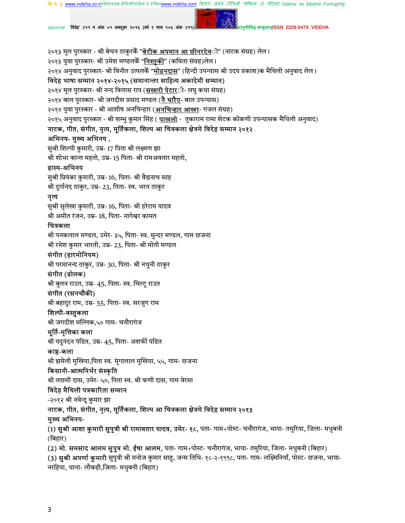**वि दे ह www.videha.co.in**विदेहप्रथम मैथिलीपाक्षिक ई पत्रिका**w** াদেহ প্ৰথম মৌথিনী পাক্ষিক প্ৰ পত্ৰিকা Videha Ist Maithili Fortnightly

 $e$ journal 'विदेह' २११ म अंक ०१ अक्टूबर २०१६ (वर्ष ९ मास १०६ अंक २११)

नुषीमिह संस्कृताम्ISSN 2229-547X VIDEHA

२०१३ मूल पुरस्कार - श्री बेचन ठाकुरकेँ "<mark>बेटीक अपमान आ छीनरदेव</mark>ी" (नाटक संग्रह) लेल। २०१३ युवा पुरस्कार- श्री उमेश मण्डलकेँ "<mark>निश्तुकी</mark>" (कविता संग्रह)लेल। २०१४ अनुवाद पुरस्कार- श्री विनीत उत्पलकेँ "<mark>मोहनदास</mark>" (हिन्दी उपन्यास श्री उदय प्रकाश)क मैथिली अनुवाद लेल। विदेह भाषा सम्मान २०१४-२०१५ (समानान्तर साहित्य अकादेमी सम्मान) २०१४ मूल पुरस्कार- श्री नन्द विलास राय (<mark>सखारी पेटार</mark>ी- लघु कथा संग्रह) २०१४ बाल पुरस्कार- श्री जगदीश प्रसाद मण्डल (<mark>नै धारैए</mark>- बाल उपन्यास) २०१४ युवा पुरस्कार - श्री आशीष अनचिन्हार (**अनचिन्<u>हार आखर</u>- गजल संग्रह**) २०१५ अनुवाद पुरस्कार - श्री शम्भु कुमार सिंह ( <mark>पाखलो</mark> - तुकाराम रामा शेटक कोंकणी उपन्यासक मैथिली अनुवाद) नाटक, गीत, संगीत, नृत्य, मूर्तिकला, शिल्प आ चित्रकला क्षेत्रमे विदेह सम्मान २०१२ अभिनय- मुख्य अभिनय, सुश्री शिल्पी कुमारी, उम्र- 17 पिता श्री लक्ष्मण झा श्री शोभा कान्त महतो, उम्र- 15 पिता- श्री रामअवतार महतो, हास्य-अभिनय सुश्री प्रियंका कुमारी, उम्र- 16, पिता- श्री वैद्यनाथ साह श्री दुर्गानंद ठाकुर, उम्र- 23, पिता- स्व. भरत ठाकुर नृत्य सुश्री सुलेखा कुमारी, उम्र- 16, पिता- श्री हरेराम यादव श्री अमीत रंजन, उम्र- 18, पिता- नागेश्वर कामत चित्रकला श्री पनकलाल मण्डल, उमेर- ३५, पिता- स्व. सुन्दर मण्डल, गाम छजना श्री रमेश कुमार भारती, उम्र- 23, पिता- श्री मोती मण्डल संगीत (हारमोनियम) श्री परमानन्द ठाकुर, उम्र- 30, पिता- श्री नथुनी ठाकुर संगीत (ढोलक) श्री बुलन राउत, उम्र- 45, पिता- स्व. चिल्टू राउत संगीत (रसनचौकी) श्री बहादुर राम, उम्र- 55, पिता- स्व. सरजुग राम शिल्पी-वस्तुकला श्री जगदीश मल्लिक,५० गाम- चनौरागंज मूर्ति-मृत्तिका कला श्री यदुनंदन पंडित, उम्र- 45, पिता- अशर्फी पंडित काष्ठ-कला श्री झमेली मुखिया,पिता स्व. मूंगालाल मुखिया, ५५, गाम- छजना किसानी-आत्मनिर्भर संस्कृति श्री लछमी दास, उमेर- ५०, पिता स्व. श्री फणी दास, गाम वेरमा विदेह मैथिली पत्रकारिता सम्मान -२०१२ श्री नवेन्दु कुमार झा नाटक, गीत, संगीत, नृत्य, मूर्तिकला, शिल्प आ चित्रकला क्षेत्रमे विदेह सम्मान २०१३ मुख्य अभिनय-(1) **सुश्री आशा कुमारी सुपुत्री श्री रामावतार यादव, उमेर- १८,** पता- गाम+पोस्ट- चनौरागंज, भाया- तमुरिया, जिला- मधुबनी (बिहार) (2) मो. समसाद आलम सुपुत्र मो. ईषा आलम, पता- गाम+पोस्ट- चनौरागंज, भाया- तमुरिया, जिला- मधुबनी (बिहार) (3) सुश्री अपर्णा कुमारी सुपुत्री श्री मनोज कुमार साहु, जन्म तिथि- १८-२-१९९८, पता- गाम- लक्ष्मिनियाँ, पोस्ट- छजना, भाया-

नरहिया, थाना- लौकही,जिला- मधुबनी (बिहार)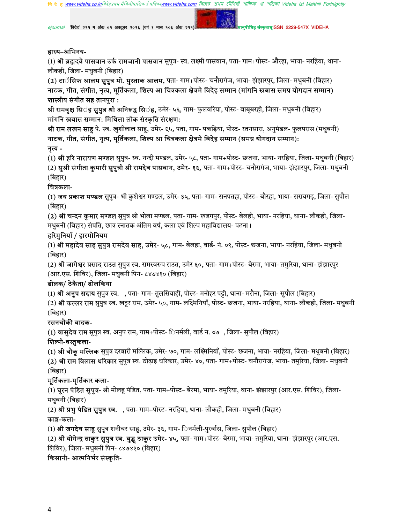*ejournal "*विदेह" २११ म अंक ०१ अक्टूबर २०१६ (वर्ष ९ मास १०६ अंक २११) मानुषाला अल्लाह संस्कृताम्ISSN 2229-547X VIDEHA

#### हास्य-अभिनय-

(1) **श्री ब्रह्मदवे पासवान उर्फ रामजानी पासवान** सुपुत्र- स्व. लक्ष्मी पासवान, पता- गाम+पोस्ट- औरहा, भाया- नरहिया, थाना-लौकही, जिला- मधुबनी (बिहार)

(2) टाॅसिफ आलम सुपुत्र मो. मुस्ताक आलम, पता- गाम+पोस्ट- चनौरागंज, भाया- झंझारपुर, जिला- मधुबनी (बिहार) नाटक, गीत, संगीत, नृत्य, मूर्तिकला, शिल्प आ चित्रकला क्षेत्रमे विदेह सम्मान (मांगनि खबास समग्र योगदान सम्मान) शास्त्रीय संगीत सह तानपुरा :

श्री रामवृक्ष सि**ंह सुपुत्र श्री अनिरूद्ध सि**ंह, उमेर- ५६, गाम- फुलवरिया, पोस्ट- बाबूबरही, जिला- मधुबनी (बिहार) मांगनि खबास सम्मान: मिथिला लोक संस्कृति संरक्षण:

**श्री राम लखन साहु** पे. स्व. खुशीलाल साहु, उमेर- ६५, पता, गाम- पकड़िया, पोस्ट- रतनसारा, अनुमंडल- फुलपरास (मधुबनी) नाटक, गीत, संगीत, नृत्य, मूर्तिकला, शिल्प आ चित्रकला क्षेत्रमे विदेह सम्मान (समग्र योगदान सम्मान): नृत्य-

(1) **श्री हरि नारायण मण्डल** सुपुत्र- स्व. नन्दी मण्डल, उमेर- ५८, पता- गाम+पोस्ट- छजना, भाया- नरहिया, जिला- मधुबनी (बिहार) (2) सुश्री संगीता कुमारी सुपुत्री श्री रामदेव पासवान, उमेर- १६, पता- गाम+पोस्ट- चनौरागंज, भाया- झंझारपुर, जिला- मधुबनी (बिहार)

### चित्रकला-

(1) **जय प्रकाश मण्डल** सुपुत्र- श्री कुशेश्वर मण्डल, उमेर- ३५, पता- गाम- सनपतहा, पोस्ट– बौरहा, भाया- सरायगढ, जिला- सुपौल (बिहार)

(2) श्री चन्दन कुमार मण्डल सुपुत्र श्री भोला मण्डल, पता- गाम- खड़गपुर, पोस्ट- बेलही, भाया- नरहिया, थाना- लौकही, जिला-मधुबनी (बिहार) संप्रति, छात्र स्नातक अंतिम वर्ष, कला एवं शिल्प महाविद्यालय- पटना।

### हरिमुनियाँ / हारमोनियम

(1) श्री महादेव साह सुपुत्र रामदेव साह, उमेर- ५८, गाम- बेलहा, वार्ड- नं. ०९, पोस्ट- छजना, भाया- नरहिया, जिला- मधुबनी (बिहार)

(2) **श्री जागेश्वर प्रसाद राउत** सुपुत्र स्व. रामस्वरूप राउत, उमेर ६**०,** पता- गाम+पोस्ट- बेरमा, भाया- तमुरिया, थाना- झंझारपुर (आर.एस. शिविर), जिला- मधुबनी पिन- ८४७४१० (बिहार)

# ढोलक/ ठेकैता/ ढोलकिया

(1) **श्री अनुप सदाय** सुपुत्र स्व. , पता- गाम- तुलसियाही, पोस्ट- मनोहर पट्टी, थाना- मरौना, जिला- सुपौल (बिहार)

(2) श्री कल्लर राम सुपुत्र स्व. खट्टर राम, उमेर- ५०, गाम- लक्ष्मिनियाँ, पोस्ट- छजना, भाया- नरहिया, थाना- लौकही, जिला- मधुबनी (बिहार)

# रसनचौकी वादक-

(1) वासुदेव राम सुपुत्र स्व. अनुप राम, गाम+पोस्ट- िनर्मली, वार्ड न. ०७), जिला- सुपौल (बिहार)

### शिल्पी-वस्तुकला-

(1) श्री बौकु मल्लिक सुपुत्र दरबारी मल्लिक, उमेर- ७०, गाम- लक्ष्मिनियाँ, पोस्ट- छजना, भाया- नरहिया, जिला- मधुबनी (बिहार) (2) श्री राम विलास धरिकार सुपुत्र स्व. ठोढ़ाइ धरिकार, उमेर- ४०, पता- गाम+पोस्ट- चनौरागंज, भाया- तमुरिया, जिला- मधुबनी (बिहार)

# मूर्तिकला-मृर्तिकार कला-

(1) **घुरन पंडित सुपुत्र**- श्री मोलहू पंडित, पता- गाम+पोस्ट– बेरमा, भाया- तमुरिया, थाना- झंझारपुर (आर.एस. शिविर), जिला-मधुबनी (बिहार)

(2) **श्री प्रभु पंडित सुपुत्र स्व.** , पता- गाम+पोस्ट- नरहिया, थाना- लौकही, जिला- मधुबनी (बिहार)

# काष्ठ-कला-

(1) **श्री जगदेव साहु** सुपुत्र शनीचर साहु, उमेर- ३६, गाम- िनर्मली-पुरर्वास, जिला- सुपौल (बिहार)

(2) श्री योगेन्द्र ठाकुर सुपुत्र स्व. बुद्ध ठाकुर उमेर- ४५, पता- गाम+पोस्ट- बेरमा, भाया- तमुरिया, थाना- झंझारपुर (आर.एस.

शिविर), जिला- मधुबनी पिन- ८४७४१० (बिहार)

# किसानी- आत्मनिर्भर संस्कृति-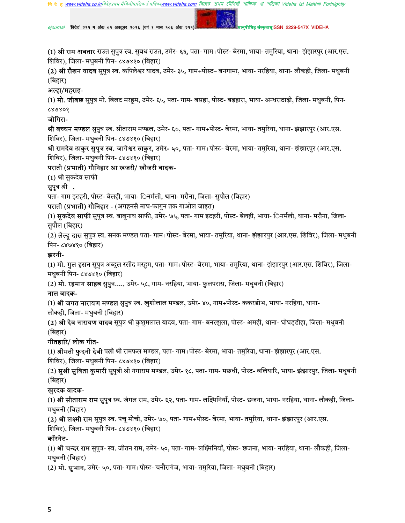$e$ journal 'विदेह' २११ म अंक ०१ अक्टूबर २०१६ (वर्ष ९ मास १०६ अंक २११)

नुषीमिह संस्कृताम्ISSN 2229-547X VIDEHA

(1) श्री राम अवतार राउत सुपुत्र स्व. सुबध राउत, उमेर- ६६, पता- गाम+पोस्ट- बेरमा, भाया- तमुरिया, थाना- झंझारपुर (आर.एस. शिविर), जिला- मधुबनी पिन- ८४७४१० (बिहार)

(2) **श्री रौशन यादव** सुपुत्र स्व. कपिलेश्वर यादव, उमेर- ३५, गाम+पोस्ट– बनगामा, भाया- नरहिया, थाना- लौकही, जिला- मधुबनी (बिहार)

#### अल्हा/महराइ-

(1) **मो. जीबछ** सुपुत्र मो. बिलट मरहूम, उमेर- ६५, पता- गाम- बसहा, पोस्ट- बड़हारा, भाया- अन्धराठाढ़ी, जिला- मधुबनी, पिन-¿OO

#### जोगिरा-

श्री बच्चन मण्डल सुपुत्र स्व. सीताराम मण्डल, उमेर- ६०, पता- गाम+पोस्ट- बेरमा, भाया- तमुरिया, थाना- झंझारपुर (आर.एस. शिविर), जिला- मधुबनी पिन- ८४७४१० (बिहार)

श्री **रामदेव ठाकुर सुपुत्र स्व. जागेश्वर ठाकुर, उमेर- ५०,** पता- गाम+पोस्ट- बेरमा, भाया- तमुरिया, थाना- झंझारपुर (आर.एस. शिविर), जिला- मधुबनी पिन- ८४७४१० (बिहार)

### पराती (प्रभाती) गौनिहार आ खजरी/ खौजरी वादक-

(1) श्री सुकदेव साफी

सुपुत्र श्री ,

पता- गाम इटहरी, पोस्ट- बेलही, भाया- िनर्मली, थाना- मरौना, जिला- सुपौल (बिहार)

पराती (प्रभाती) गौनिहार - (अगहनसँ माघ-फागुन तक गाओल जाइत)

(1) **सुकदेव साफी** सुपुत्र स्व. बाबूनाथ साफी, उमेर- ७५, पता- गाम इटहरी, पोस्ट- बेलही, भाया- िनर्मली, थाना- मरौना, जिला-सुपौल (बिहार)

(2) **लेल्हू दास** सुपुत्र स्व. सनक मण्डल पता- गाम+पोस्ट- बेरमा, भाया- तमुरिया, थाना- झंझारपुर (आर.एस. शिविर), जिला- मधुबनी पिन- ८४७४१० (बिहार)

### झरनी-

(1) **मो. गुल हसन** सुपुत्र अब्दुल रसीद मरहूम, पता- गाम+पोस्ट- बेरमा, भाया- तमुरिया, थाना- झंझारपुर (आर.एस. शिविर), जिला-मधुबनी पिन- ८४७४१० (बिहार)

(2) **मो. रहमान साहब** सुपुत्र...., उमेर- ५८, गाम- नरहिया, भाया- फुलपरास, जिला- मधुबनी (बिहार)

### नाल वादक-

(1) श्री जगत नारायण मण्डल सुपुत्र स्व. खुशीलाल मण्डल, उमेर- ४०, गाम+पोस्ट- ककरडोभ, भाया- नरहिया, थाना-लौकही, जिला- मधुबनी (बिहार)

(2) **श्री देव नारायण यादव** सुपुत्र श्री कुशुमलाल यादव, पता- गाम- बनरझुला, पोस्ट- अमही, थाना- घोघड़डीहा, जिला- मधुबनी (बिहार)

### गीतहारि/ लोक गीत-

(1) श्रीमती फुदनी देवी पत्नी श्री रामफल मण्डल, पता- गाम+पोस्ट- बेरमा, भाया- तमुरिया, थाना- झंझारपुर (आर.एस.

शिविर), जिला- मधुबनी पिन- ८४७४१० (बिहार)

(2) **सुश्री सुविता कुमारी** सुपुत्री श्री गंगाराम मण्डल, उमेर- १८, पता- गाम- मछधी, पोस्ट- बलियारि, भाया- झंझारपुर, जिला- मधुबनी (बिहार)

# खुरदक वादक-

(1) **श्री सीताराम राम** सूपुत्र स्व. जंगल राम, उमेर- ६२, पता- गाम- लक्ष्मिनियाँ, पोस्ट- छजना, भाया- नरहिया, थाना- लौकही, जिला-मधुबनी (बिहार)

(2) श्री लक्ष्मी राम सुपुत्र स्व. पंचू मोची, उमेर- ७०, पता- गाम+पोस्ट- बेरमा, भाया- तमुरिया, थाना- झंझारपुर (आर.एस.

शिविर), जिला- मधुबनी पिन- ८४७४१० (बिहार)

# काँरनेट-

(1) **श्री चन्दर राम** सुपुत्र- स्व. जीतन राम, उमेर- ५०, पता- गाम- लक्ष्मिनियाँ, पोस्ट- छजना, भाया- नरहिया, थाना- लौकही, जिला-मधुबनी (बिहार)

(2) **मो. सुभान**, उमेर- ५०, पता- गाम+पोस्ट- चनौरागंज, भाया- तमुरिया, जिला- मधुबनी (बिहार)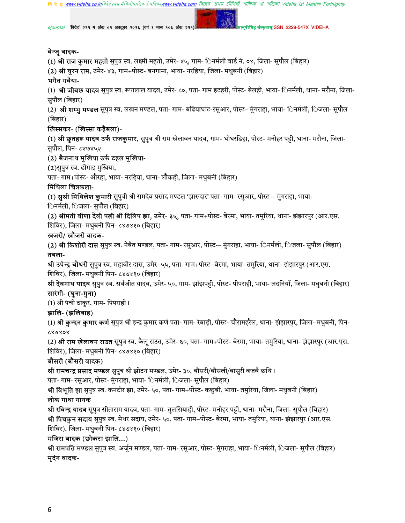$e$ journal 'विदेह' २११ म अंक ०१ अक्टूबर २०१६ (वर्ष ९ मास १०६ अंक २११)

ह संस्कृताम्ISSN 2229-547X VIDEHA

### बेन्जु वादक-

(1) श्री राज कुमार महतो सुपुत्र स्व. लक्ष्मी महतो, उमेर- ४५, गाम- िनर्मली वार्ड नं. ०४, जिला- सुपौल (बिहार)

(2) श्री घुरन राम, उमेर- ४३, गाम+पोस्ट- बनगामा, भाया- नरहिया, जिला- मधुबनी (बिहार)

# भगैत गवैया-

(1) श्री जीबछ यादव सुपुत्र स्व. रूपालाल यादव, उमेर- ८०, पता- गाम इटहरी, पोस्ट- बेलही, भाया- िनर्मली, थाना- मरौना, जिला-सुपौल (बिहार)

(2) **श्री शम्भु मण्डल** सुपुत्र स्व. लखन मण्डल, पता- गाम- बढियाघाट-रसुआर, पोस्ट– मुंगराहा, भाया- िनर्मली, िजला- सुपौल (बिहार)

# खिस्सकर- (खिस्सा कहैबला)-

(1) **श्री छूतहरू यादव उर्फ राजकुमार,** सुपुत्र श्री राम खेलावन यादव, गाम- घोघरडिहा, पोस्ट- मनोहर पट्टी, थाना- मरौना, जिला-सुपौल, पिन- ८४७४५२

# (2) बैजनाथ मुखिया उर्फ टहल मुखिया-

(2)सुपुत्र स्व. ढोंगाइ मुखिया,

पता- गाम+पोस्ट- औरहा, भाया- नरहिया, थाना- लौकही, जिला- मधुबनी (बिहार)

# मिथिला चित्रकला-

(1) सुश्री मिथिलेश कुमारी सुपुत्री श्री रामदेव प्रसाद मण्डल 'झारूदार' पता- गाम- रसुआर, पोस्ट-– मुंगराहा, भाया-िनर्मली, िजला- सुपौल (बिहार)

(2) श्रीमती वीणा देवी पत्नी श्री दिलिप झा, उमेर- ३५, पता- गाम+पोस्ट- बेरमा, भाया- तमुरिया, थाना- झंझारपुर (आर.एस. शिविर), जिला- मधुबनी पिन- ८४७४१० (बिहार)

### खजरी/ खौजरी वादक-

(2) **श्री किशोरी दास** सुपुत्र स्व. नेबैत मण्डल, पता- गाम- रसुआर, पोस्ट-– मुंगराहा, भाया- िनर्मली, िजला- सुपौल (बिहार) तबला-

श्री उपेन्द्र चौधरी सुपुत्र स्व. महावीर दास, उमेर- ५५, पता- गाम+पोस्ट- बेरमा, भाया- तमुरिया, थाना- झंझारपुर (आर.एस. शिविर), जिला- मधुबनी पिन- ८४७४१० (बिहार)

**श्री देवनाथ यादव** सुपुत्र स्व. सर्वजीत यादव, उमेर- ५०, गाम- झाँझपट्टी, पोस्ट- पीपराही, भाया- लदनियाँ, जिला- मधुबनी (बिहार) सारंगी- (घुना-मुना)

(1) श्री पंची ठाकुर, गाम- पिपराही।

# झालि- (झलिबाह)

(1) श्री कुन्दन कुमार कर्ण सुपुत्र श्री इन्द्र कुमार कर्ण पता- गाम- रेबाड़ी, पोस्ट- चौरामहरैल, थाना- झंझारपुर, जिला- मधुबनी, पिन-¿OOO

(2) **श्री राम खेलावन राउत** सुपुत्र स्व. कैलू राउत, उमेर- ६०, पता- गाम+पोस्ट- बेरमा, भाया- तमुरिया, थाना- झंझारपुर (आर.एस. शिविर), जिला- मधुबनी पिन- ८४७४१० (बिहार)

# बौसरी (बौसरी वादक)

**श्री रामचन्द्र प्रसाद मण्डल** सुपुत्र श्री झोटन मण्डल, उमेर- ३०, बौसरी/बौसली/बासुरी बजबै छथि।

पता- गाम- रसुआर, पोस्ट- मुंगराहा, भाया- िनर्मली, िजला- सुपौल (बिहार)

श्री विभूति झा सुपुत्र स्व. कनटीर झा, उमेर- ५०, पता- गाम+पोस्ट- कछुबी, भाया- तमुरिया, जिला- मधुबनी (बिहार)

# लोक गाथा गायक

**श्री रविन्द्र यादव** सुपुत्र सीताराम यादव, पता- गाम- तुलसियाही, पोस्ट- मनोहर पट्टी, थाना- मरौना, जिला- सुपौल (बिहार) श्री पिचकुन सदाय सुपुत्र स्व. मेथर सदाय, उमेर- ५०, पता- गाम+पोस्ट- बेरमा, भाया- तमुरिया, थाना- झंझारपुर (आर.एस. शिविर), जिला- मधुबनी पिन- ८४७४१० (बिहार)

# मजिरा वादक (छोकटा झालि...)

श्री रामपति मण्डल सुपुत्र स्व. अर्जुन मण्डल, पता- गाम- रसुआर, पोस्ट- मुंगराहा, भाया- िनर्मली, िजला- सुपौल (बिहार) मुदंग वादक-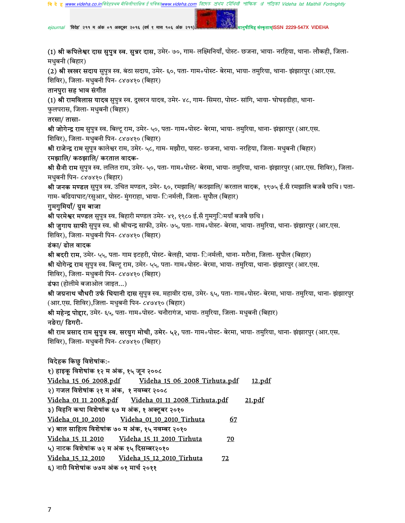*ejournal "*विदेह" २११ म अंक ०१ अक्टूबर २०१६ (वर्ष ९ मास १०६ अंक २११) मानुषाला अल्लाह संस्कृताम्ISSN 2229-547X VIDEHA

(1) श्री कपिलेश्वर दास सुपुत्र स्व. सुन्नर दास, उमेर- ७०, गाम- लक्ष्मिनियाँ, पोस्ट- छजना, भाया- नरहिया, थाना- लौकही, जिला-मधुबनी (बिहार)

(2) श्री खखर सदाय सुपुत्र स्व. बंठा सदाय, उमेर- ६०, पता- गाम+पोस्ट- बेरमा, भाया- तमुरिया, थाना- झंझारपुर (आर.एस. शिविर), जिला- मधबनी पिन- ८४७४१० (बिहार)

#### तानपुरा सह भाव संगीत

(1) श्री रामविलास यादव सुपुत्र स्व. दुखरन यादव, उमेर- ४८, गाम- सिमरा, पोस्ट- सांगि, भाया- घोघड़डीहा, थाना-फुलपरास, जिला- मधुबनी (बिहार)

#### तरसा/ तासा-

श्री जोगेन्द्र राम सुपुत्र स्व. बिल्टू राम, उमेर- ५०, पता- गाम+पोस्ट- बेरमा, भाया- तमुरिया, थाना- झंझारपुर (आर.एस. शिविर), जिला- मधुबनी पिन- ८४७४१० (बिहार)

श्री राजेन्द्र राम सुपुत्र कालेश्वर राम, उमेर- ५८, गाम- मझौरा, पास्ट- छजना, भाया- नरहिया, जिला- मधुबनी (बिहार)

#### रमझालि/ कठझालि/ करताल वादक-

श्री सैनी राम सुपुत्र स्व. ललित राम, उमेर- ५०, पता- गाम+पोस्ट- बेरमा, भाया- तमुरिया, थाना- झंझारपुर (आर.एस. शिविर), जिला-मधुबनी पिन- ८४७४१० (बिहार)

**श्री जनक मण्डल** सुपुत्र स्व. उचित मण्डल, उमेर- ६०, रमझालि/ कठझालि/ करताल वादक, १९७५ ई.सँ रमझालि बजबै छथि। पता-गाम- बढियाघाट/रसुआर, पोस्ट- मुंगराहा, भाया- िनर्मली, जिला- सूपौल (बिहार)

#### गुमगुमियाँ/ ग्रुम बाजा

**श्री परमेश्वर मण्डल** सुपुत्र स्व. बिहारी मण्डल उमेर- ४१, १९८० ई.सँ गुमगुिमयाँ बजबै छथि।

श्री जुगाय साफी सुपुत्र स्व. श्री श्रीचन्द्र साफी, उमेर- ७५, पता- गाम+पोस्ट- बेरमा, भाया- तमुरिया, थाना- झंझारपुर (आर.एस. शिविर), जिला- मधुबनी पिन- ८४७४१० (बिहार)

#### डंका/ ढोल वादक

श्री **बदरी राम**, उमेर- ५५, पता- गाम इटहरी, पोस्ट- बेलही, भाया- िनर्मली, थाना- मरौना, जिला- सुपौल (बिहार)

श्री योगेन्द्र राम सुपुत्र स्व. बिल्टू राम, उमेर- ५५, पता- गाम+पोस्ट- बेरमा, भाया- तमुरिया, थाना- झंझारपुर (आर.एस.

शिविर), जिला- मधुबनी पिन- ८४७४१० (बिहार)

 $\overline{\textbf{5}}$ फा (होलीमे बजाओल जाइत...)

श्री **जग्रनाथ चौधरी उर्फ धियानी दास** सुपुत्र स्व. महावीर दास, उमेर- ६५, पता- गाम+पोस्ट- बेरमा, भाया- तमुरिया, थाना- झंझारपुर (आर.एस. शिविर),जिला- मधुबनी पिन- ८४७४१० (बिहार)

श्री महेन्द्र पोद्दार, उमेर- ६५, पता- गाम+पोस्ट- चनौरागंज, भाया- तमुरिया, जिला- मधुबनी (बिहार)

### नङेरा/ डिगरी-

श्री राम प्रसाद राम सुपुत्र स्व. सरयुग मोची, उमेर- ५२, पता- गाम+पोस्ट- बेरमा, भाया- तमुरिया, थाना- झंझारपुर (आर.एस. शिविर), जिला- मधुबनी पिन- ८४७४१० (बिहार)

### विदेहक किछु विशेषांक:-

| १) हाइकू विशेषांक १२ म अंक, १५ जून २००८             |    |               |
|-----------------------------------------------------|----|---------------|
| Videha 15 06 2008.pdf Videha 15 06 2008 Tirhuta.pdf |    | 12.pdf        |
| २) गजल विशेषांक २१ म अंक, १ नवम्बर २००८             |    |               |
| Videha 01 11 2008.pdf Videha 01 11 2008 Tirhuta.pdf |    | <u>21.pdf</u> |
| ३) विहनि कथा विशेषांक ६७ म अंक, १ अक्टूबर २०१०      |    |               |
|                                                     | 67 |               |
| ४) बाल साहित्य विशेषांक ७० म अंक, १५ नवम्बर २०१०    |    |               |
|                                                     | 70 |               |
| ५) नाटक विशेषांक ७२ म अंक १५ दिसम्बर२०१०            |    |               |
|                                                     | 72 |               |
| ६) नारी विशेषांक ७७म अंक ०१ मार्च २०११              |    |               |
|                                                     |    |               |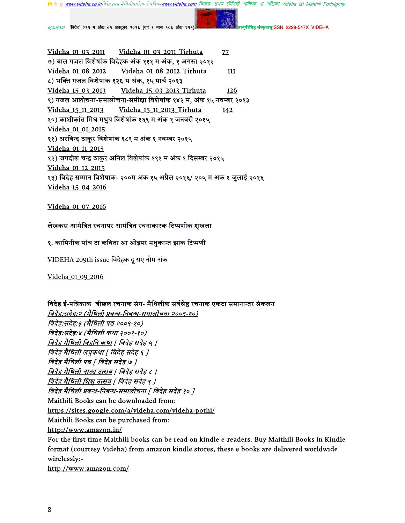मिह संस्कृतामISSN 2229-547X VIDEHA

ejournal 'विदेह' २११ म अंक ०१ अक्टूबर २०१६ (वर्ष ९ मास १०६ अंक २११)

Videha 01 03 2011 Videha 01 03 2011 Tirhuta  $77$ ७) बाल गजल विशेषांक विदेहक अंक १११ म अंक, १ अगस्त २०१२ Videha 01 08 2012 Tirhuta Videha 01 08 2012 111 ८) भक्ति गजल विशेषांक १२६ म अंक, १५ मार्च २०१३ Videha 15 03 2013 Videha 15 03 2013 Tirhuta 126 ९) गजल आलोचना-समालोचना-समीक्षा विशेषांक १४२ म, अंक १५ नवम्बर २०१३ Videha 15 11 2013 Tirhuta Videha 15 11 2013 142 १०) काशीकांत मिश्र मधुप विशेषांक १६९ म अंक १ जनवरी २०१५ Videha 01 01 2015 ११) अरविन्द ठाकुर विशेषांक १८९ म अंक १ नवम्बर २०१५ Videha 01 11 2015 १२) जगदीश चन्द्र ठाकुर अनिल विशेषांक १९१ म अंक १ दिसम्बर २०१५ Videha 01 12 2015 १३) विदेह सम्मान विशेषाक- २००म अक १५ अप्रैल २०१६/ २०५ म अक १ जुलाई २०१६ Videha 15 04 2016

Videha 01 07 2016

### लेखकसं आमंत्रित रचनापर आमंत्रित रचनाकारक टिप्पणीक शुंखला

#### १. कामिनीक पांच टा कविता आ ओइपर मधुकान्त झाक टिप्पणी

VIDEHA 209th issue विदेहक दू सए नौम अंक

Videha 01 09 2016

विदेह ई-पत्रिकाक बीछल रचनाक संग- मैथिलीक सर्वश्रेष्ठ रचनाक एकटा समानान्तर संकलन विदेह:सदेह:२ (मैथिली प्रबन्ध-निबन्ध-समालोचना २००९-१०) <u>विदेह:सदेह:३ (मैथिली पद्य २००९-१०)</u> विदेह:सदेह:४ (मैथिली कथा २००९-१०) विदेह मैथिली विहनि कथा | विदेह सदेह ५ ] <u>विदेह मैथिली लघुकथा</u> [ विदेह सदेह ६ ] <u>विदेह मैथिली पद्य</u> | विदेह सदेह ७ ] विदेह मैथिली नाट्य उत्सव | विदेह सदेह ८ ] <u>विदेह मैथिली शिशू उत्सव [</u> विदेह सदेह ९ ] विदेह मैथिली प्रबन्ध-निबन्ध-समालोचना | विदेह सदेह १० ] Maithili Books can be downloaded from: https://sites.google.com/a/videha.com/videha-pothi/ Maithili Books can be purchased from: http://www.amazon.in/ For the first time Maithili books can be read on kindle e-readers. Buy Maithili Books in Kindle format (courtesy Videha) from amazon kindle stores, these e books are delivered worldwide wirelessly:-

http://www.amazon.com/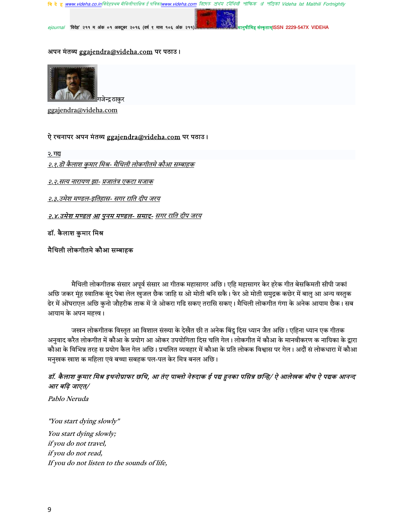<mark>बि दे हु <u>www.videha.co.in</u>विदेहप्रथम मैथिलीपाक्षिक ई पत्रिका<u>www.videha.com</u> बिएम्ठ क्षेथेप टपेंथिती शॉफिक अं शंजिको Videha Ist Maithili Fortnightly</mark>

ejournal 'विदेह' २११ म अंक ०१ अक्टूबर २०१६ (वर्ष ९ मास १०६ अंक २११)

संस्कृताम्ISSN 2229-547X VIDEHA

#### अपन मंतव्य ggajendra@videha.com पर पठाउ।



ggajendra@videha.com

### ऐ रचनापर अपन मंतव्य ggajendra@videha.com पर पठाउ।

२. गद्य

<u>२.१.डॊ कैलाश कुमार मिश्र- मैथिली लोकगीतमे कौआ सम्बाहक</u>

<u>२.२.सत्य नारायण झा- प्रजातंत्र एकटा मजाक</u>

२.३.उमेश मण्डल-इतिहास- सगर राति दीप जरय

<u>२.४.उमेश मण्डल आ पुनम मण्डल- समाद- सगर राति दीप जरय</u>

डॉ. कैलाश कुमार मिश्र

#### मैथिली लोकगीतमे कौआ सम्बाहक

मैथिली लोकगीतक संसार अपूर्व संसार आ गीतक महासागर अछि। एहि महासागर केर हरेक गीत बेसकिमती सीपी जकां अछि जकर मूंह स्वातिक बूंद पेबा लेल खुजल छैक जाहि स ओ मोती बनि सकै। फेर ओ मोती समुद्रक कछेर में बालु आ अन्य वस्तुक ढेर में ओंघराएल अछि कुनो जौहरीक ताक में जे ओकरा गढि सकए तरासि सकए। मैथिली लोकगीत गंगा के अनेक आयाम छैक। सब आयाम के अपन महत्त्व।

जखन लोकगीतक विस्तृत आ विशाल संख्या के देखैत छी त अनेक बिंदु दिस ध्यान जैत अछि। एहिना ध्यान एक गीतक अनवाद करैत लोकगीत में कौआ के प्रयोग आ ओकर उपयोगिता दिस चलि गेल। लोकगीत में कौआ के मानवीकरण क नायिका के द्वारा कौआ के विभिन्न तरह स प्रयोग कैल गेल अछि। प्रचलित व्यवहार में कौआ के प्रति लोकक विश्वास पर गेल। अदौं सं लोकधारा में कौआ मनुखक खाश क महिला एवं बच्चा सबहक पल-पल केर मित्र बनल अछि।

# डॉ. कैलाश कुमार मिश्र इथनोग्राफर छथि, आ तंए पाब्लो नेरुदाक ई पद्य हुनका पसिन्न छन्हि/ ऐ आलेखक बीच ऐ पद्यक आनन्द आर बढ़ि जाएत/

Pablo Neruda

"You start dying slowly" You start dying slowly; if you do not travel, if you do not read, If you do not listen to the sounds of life,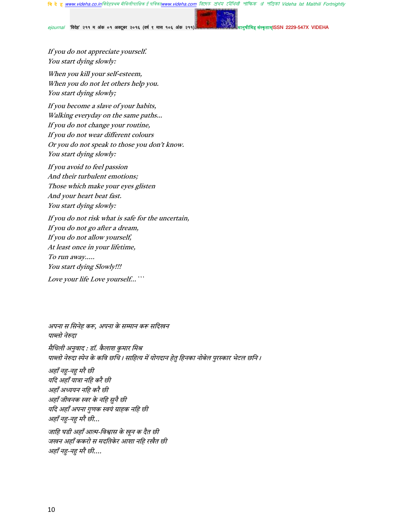রিদেহ প্রথম মৌথিনী পাক্ষিক প্র পত্রিকা Videha Ist Maithili Fortnightly **वि दे हु www.videha.co.in**विदेहप्रथम मैथिलीपाक्षिक ई पत्रि v videha com

'विदेह' २११ म अंक ०१ अक्टूबर २०१६ (वर्ष ९ मास १०६ अंक २१ ejournal

न्तामISSN 2229-547X VIDEHA

If you do not appreciate yourself. You start dying slowly:

When you kill your self-esteem, When you do not let others help you. You start dying slowly;

If you become a slave of your habits, Walking everyday on the same paths... If you do not change your routine, If you do not wear different colours Or you do not speak to those you don't know. You start dying slowly:

If you avoid to feel passion And their turbulent emotions; Those which make your eyes glisten And your heart beat fast. You start dying slowly:

If you do not risk what is safe for the uncertain, If you do not go after a dream, If you do not allow yourself, At least once in your lifetime, To run away..... You start dying Slowly!!! Love your life Love yourself... ""

अपना स सिनेह करू, अपना के सम्मान करू सदिखन पाब्लो नेरुदा मैथिली अनुवाद : डॉ. कैलाश कुमार मिश्र पाब्लो नेरुदा स्पेन के कवि छथि। साहित्य में योगदान हेतु हिनका नोबेल पुरस्कार भेटल छनि। अहाँ नहु-नहु मरै छी यदि अहाँ यात्रा नहि करै छी अहाँ अध्ययन नहि करै छी अहाँ जीवनक स्वर के नहि सुनै छी यदि अहाँ अपना गुणक स्वयं ग्राहक नहि छी अहाँ नहु-नहु मरै छी... जाहि घडी अहाँ आत्म-विश्वास के खून क दैत छी जखन अहाँ ककरो स मदतिकेर आशा नहि रखैत छी अहाँ नह-नह मरै छी....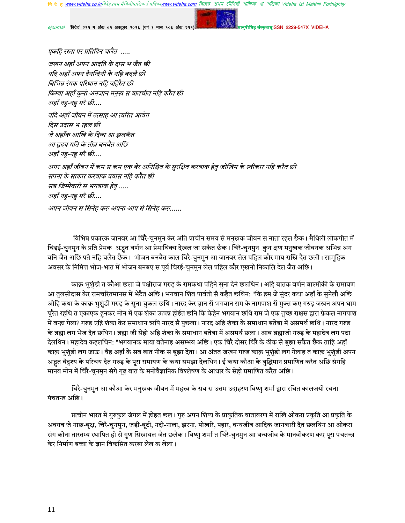ejournal 'विदेह' २११ म अंक ०१ अक्टूबर २०१६ (वर्ष ९ मास १०६ अंक २११)

ज्ञामISSN 2229-547X VIDEHA

एकहि रस्ता पर प्रतिदिन चलैत .....

जखन अहाँ अपन आदति के दास भ जैत छी यदि अहाँ अपन दैनन्दिनी के नहि बदलै छी बिभिन्न रंगक परिधान नहि पहिरैत छी किम्बा अहाँ कुनो अनजान मनुख स बातचीत नहि करैत छी अहाँ नह-नह मरै छी....

यदि अहाँ जीवन में उत्साह आ त्वरित आवेग दिस उदास भ रहल छी जे अहाँक आंखि के दिव्य आ झलकैत आ ह्रदय गति के तीव्र बनबैत अछि अहाँ नहु-नहु मरै छी....

अगर अहाँ जीवन में कम स कम एक बेर अनिश्चित के सुरक्षित करबाक हेतु जोखिम के स्वीकार नहि करैत छी सपना के साकार करवाक प्रयास नहि करैत छी सब जिम्मेवारी स भगबाक हेतु ..... अहाँ नहु-नहु मरै छी....

अपन जीवन स सिनेह करू अपना आप सं सिनेह करू......

विभिन्न प्रकारक जानवर आ चिरै-चुनमुन केर अति प्राचीन समय सं मनुखक जीवन स नाता रहल छैक। मैथिली लोकगीत में चिड़ई-चुनमुन के प्रति प्रेमक अद्भुत वर्णन आ प्रेमाधिक्य देखल जा सकैत छैक। चिरै-चुनमुन कुन क्षण मनुखक जीवनक अभिन्न अंग बनि जैत अछि पते नहि चलैत छैक। भोजन बनबैत काल चिरै-चुनमुन आ जानवर लेल पहिल कौर माय राखि दैत छली। सामूहिक अवसर के निमित्त भोज-भात में भोजन बनबए स पूर्व चिरई-चुनमुन लेल पहिल कौर एखनो निकालि देल जैत अछि।

काक़ भुशुंडी त कौआ छला जे पक्षीराज गरुड़ के रामकथा पहिने सुना देने छलथिन। अहि बातक वर्णन बाल्मीकी के रामायण आ तुलसीदास केर रामचरितमानस में भेटैत अछि। भगवान शिव पार्वती सँ कहैत छथिन: "कि हम जे सुंदर कथा अहाँ के सुनेलौ अछि ओहि कथा के काक़ भुशुंडी गरुड़ के सुना चुकल छथि। नारद केर ज्ञान सँ भगवान राम के नागपाश सँ मुक्त कए गरुड़ ज़खन अपन धाम घुरैत रहथि त एकाएक हुनकर मोन में एक शंका उत्पन्न होईत छनि कि केहेन भगवान छथि राम जे एक तुच्छ राक्षस द्वारा फ़ेकल नागपाश में बन्हा गेला? गरुड़ एहि शंका केर समाधान ऋषि नारद सँ पुछला। नारद अहि शंका के समाधान बतेबा में असमर्थ छथि। नारद गरुड़ के ब्रह्मा लग भेज दैत छथिन। ब्रह्मा जी सेहो अहि शंका के समाधान बतेबा में असमर्थ छला। आब ब्रह्माजी गरुड़ के महादेव लग पठा देलथिन। महादेव कहलथिन: "भगवानक माया बतेनाइ असम्भव अछि। एक चिरै दोसर चिरै के ठीक सँ बुझा सकैत छैक ताहि अहाँ काक़ भुशुंडी लग जाऊ। वैह अहाँ के सब बात नीक स बुझा देता। आ अंतत जखन गरुड़ काक़ भुशुंडी लग गेलाह त काक़ भुशुंडी अपन अद्भुत वैदुश्य के परिचय दैत गरुड़ के पूरा रामायण के कथा समझा देलथिन। ई कथा कौआ के बुद्धिमान प्रमाणित करैत अछि संगहि मानव मोन में चिरै-चुनमुन संगे गृढ़ बात के मनोवैज्ञानिक विश्लेषण के आधार के सेहो प्रमाणित करैत अछि।

चिरै-चुनमुन आ कौआ केर मनुखक जीवन में महत्त्व के सब स उत्तम उदाहरण विष्णु शर्मा द्वारा रचित कालजयी रचना पंचतन्त्र अछि।

प्राचीन भारत में गुरुकुल जंगल में होइत छल। गुरु अपन शिष्य के प्राकृतिक वातावरण में राखि ओकरा प्रकृति आ प्रकृति के अवयव जे गाछ-बृक्ष, चिरै-चुनमुन, जड़ी-बूटी, नदी-नाला, झरना, पोखरि, पहार, वन्यजीव आदिक जानकारी दैत छलथिन आ ओकरा संग कोना तारतम्य स्थापित हो से गुण सिखायल जैत छलैक। विष्णु शर्मा त चिरै-चुनमुन आ वन्यजीव के मानवीकरण कए पूरा पंचतन्त्र केर निर्माण बच्चा के ज्ञान विकसित करबा लेल क लेला।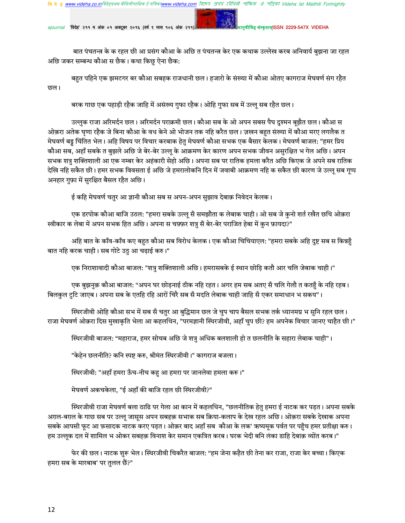<mark>वि दे हु <u>www.videha.co.in</u>विदेहप्रथम मैथिलीपाक्षिक ई पत्रिका<u>www.videha.com</u> त्रिएफ्ट श्रंथय ट्रॉयिती পॉफ्रिक अं পंजिको Videha Ist Maithili Fortnightly</mark>

ejournal 'विदेह' २११ म अंक ०१ अक्टूबर २०१६ (वर्ष ९ मास १०६ अंक २११)

संस्कृताम्ISSN 2229-547X VIDEHA

बात पंचतन्त्र के क रहल छी आ प्रसंग कौआ के अछि त पंचतन्त्र केर एक कथाक उल्लेख करब अनिवार्य बुझना जा रहल अछि जकर सम्बन्ध कौआ स छैक। कथा किछु ऐना छैक:

बहुत पहिने एक झमटगर बर कौआ सबहक राजधानी छल। हजारो के संख्या में कौआ ओतए कागराज मेघवर्ण संग रहैत छल।

बरक गाछ एक पहाड़ी रहैक जाहि में असंख्य गुफा रहैक। ओहि गुफा सब में उल्लू सब रहैत छल।

उल्लुक राजा अरिमर्दन छल। अरिमर्दन पराक्रमी छल। कौआ सब के ओ अपन सबस पैघ दुश्मन बूझैत छल। कौआ स ओक़रा अतेक घृणा रहैक जे बिना कौआ के वध केने ओ भोजन तक नहि करैत छल। ज़खन बहुत संख्या में कौआ मरए लगलैक त मेघवर्ण बड्डू चिंतित भेल। अहि विषय पर विचार करबाक हेतु मेघवर्ण कौआ सभक एक बैसार केलक। मेघवर्ण बाजल: "हमर प्रिय कौआ सब, अहाँ सबके त बुझले अछि जे बेर-बेर उल्लू के आक्रमण केर कारण अपन सभक जीवन असुरक्षित भ गेल अछि । अपन सभक शत्रु शक्तिशाली आ एक नम्बर केर अहंकारी सेहो अछि। अपना सब पर रातिक हमला करैत अछि किएक जे अपने सब रातिक देखि नहि सकैत छी। हमर सभक विवसता ई अछि जे हमरालोकनि दिन में जवाबी आक्रमण नहि क सकैत छी कारण जे उल्लू सब गूप्प अनहार गफ़ा में सरक्षित बैसल रहैत अछि।

ई कहि मेघवर्ण चतुर आ ज्ञानी कौआ सब स अपन-अपन सुझाव देबाक़ निवेदन केलक।

एक डरपोक कौआ बाजि उठल: "हमरा सबके उल्लू सँ समझौता क लेबाक चाही। ओ सब जे कुनो शर्त रखैत छथि ओक़रा स्वीकार क लेबा में अपन सभक हित अछि। अपना स चफ़्फ़र शत्रु सँ बेर-बेर पराजित हेबा में कुन फ़ायदा?"

अहि बात के काँव-काँव कए बहुत कौआ सब विरोध केलक। एक कौआ चिचियाएल: "हमरा सबके अहि दुष्ट सब स किन्नहुँ बात नहि करक चाही। सब गोटे उठु आ चढ़ाई करु।"

एक निराशावादी कौआ बाजल: "शत्रु शक्तिशाली अछि। हमरासबके ई स्थान छोड़ि कतौ आर चलि जेबाक चाही।"

एक बुझनुक़ कौआ बाजल: "अपन घर छोड़नाई ठीक नहि रहत। अगर हम सब अतए सँ चलि गेलौ त कतहुँ के नहि रहब। बिलकुल टुटि जाएब। अपना सब के एतहि रहि आरों चिरै सब सँ मदति लेबाक चाही जाहि सँ एकर समाधान भ सकय"।

स्थिरजीवी ओहि कौआ सभ में सब सँ चतुर आ बुद्धिमान छल जे चुप चाप बैसल सभक तर्क ध्यानमग्न भ सुनि रहल छल। राजा मेघवर्ण ओक़रा दिस मुखाकृति भेला आ कहलथिन, "परमज्ञानी स्थिरजीवी, अहाँ चुप छी? हम अपनेक विचार जानए चाहैत छी।"

स्थिरजीवी बाजल: "महाराज, हमर सोचब अछि जे शत्र अधिक बलशाली हो त छलनीति के सहारा लेबाक चाही"।

"केहेन छलनीति? कनि स्पष्ट करु, श्रीमंत स्थिरजीवी।" कागराज बजला।

स्थिरजीवी: "अहाँ हमरा ऊँच-नीच कहु आ हमरा पर जानलेवा हमला करू।"

मेघवर्ण अकचकेला, "ई अहाँ की बाजि रहल छी स्थिरजीवी?"

स्थिरजीवी राजा मेघवर्ण बला ठाढि पर गेला आ कान में कहलथिन, "छलनीतिक हेतु हमरा ई नाटक कर पड़त। अपना सबके अग़ल-बग़ल के गाछ सब पर उल्लू जासूस अपन सबहक़ सभाक सब क्रिया-कलाप के देख रहल अछि। ओक़रा सबके देखाक अपना सबके आपसी फुट आ फ़सादक नाटक करए पड़त। ओक़र बाद अहाँ सब कौआ के लक' ऋष्यमुक पर्वत पर पहुँच हमर प्रतीक्षा करु। हम उल्लूक दल में शामिल भ ओकर सबहक़ विनाश केर समान एकत्रित करब। घरक भेदी बनि लंका डाहि देबाक़ व्योंत करब।"

फेर की छल। नाटक शुरू भेल। स्थिरजीवी चिकरैत बाजल: "हम जेना कहैत छी तेना कर राजा, राजा केर बच्चा। किएक हमरा सब के मारबाब' पर तुलल छैं?"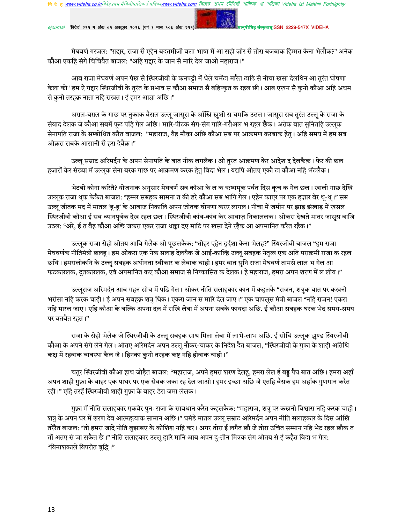ejournal 'विदेह' २११ म अंक ०१ अक्टूबर २०१६ (वर्ष ९ मास १०६ अंक २११)

ह संस्कृताम्ISSN 2229-547X VIDEHA

मेघवर्ण गरजल: "ग़द्दार, राजा सँ एहेन बदतमीजी बला भाषा में आ सहो ज़ोर सँ तोरा बज़बाक हिम्मत केना भेलौक?" अनेक कौआ एकहि संगे चिचियैत बाजल: "अहि ग़द्दार के जान सँ मारि देल जाओ महाराज।"

आब राजा मेघवर्ण अपन पंख सँ स्थिरजीवी के कनपट्टी में धेले चमेंटा मारैत ठाढि सँ नीचा खसा देलथिन आ तुरंत घोषणा केला की "हम ऐ ग़द्दार स्थिरजीवी के तुरंत के प्रभाव स कौआ समाज सँ बहिष्कृत क रहल छी। आब एखन सँ कुनो कौआ अहि अधम सँ कुनो तरहक़ नाता नहि राखत। ई हमर आज्ञा अछि।"

अग़ल-बग़ल के गाछ पर नुकाक बैसल उल्लू जासूस के आँख़ि ख़ुशी स चमकि उठल। जासूस सब तुरंत उल्लू के राजा के संवाद देलक जे कौआ सबमें फुट पड़ि गेल अछि। मारि-पीटक संग-संग गारि-गरौअल भ रहल छैक। अतेक बात सुनितहि उल्लुक सेनापति राजा के सम्बोधित करैत बाजल: "महाराज, यैह मौक़ा अछि कौआ सब पर आक्रमण करबाक हेतु । अहि समय में हम सब ओक़रा सबके आसानी सँ हरा देबैक़।"

उल्लू सम्राट अरिमर्दन के अपन सेनापति के बात नीक लगलैक। ओ तुरंत आक्रमण केर आदेश द देलक़ैक़। फेर की छल हज़ारों केर संख्या में उल्लूक सेना बरक गाछ पर आक्रमण करक हेतु विदा भेल। यद्यपि ओतए एकौ टा कौआ नहि भेंटलैक।

भेटबो कोना करितै? योजनाक अनुसार मेघवर्ण सब कौआ के ल क ऋष्यमूक पर्वत दिस कूच क गेल छल। खाली गाछ देखि उल्लूक राजा थूक फेकैत बाजल: "हम्मर सबहक सामना त की डरे कौआ सब भागि गेल। एहेन काएर पर एक हज़ार बेर थू-थू।" सब उल्लू जीतक मद में मातल 'हू-हू' के आवाज निकालि अपन जीतक घोषणा करए लागल। नीचा में जमीन पर झाड़ झंखाड़ में खसल स्थिरजीवी कौआ ई सब ध्यानपूर्वक देख रहल छल। स्थिरजीवी कांव-कांव केर आवाज़ निकाललक। ओकरा देखते मातर जासूस बाजि उठल: "अरे, ई त वैह कौआ अछि जकरा एकर राजा धक्का दए माटि पर खसा देने रहैक आ अपमानित करैत रहैक।"

उल्लूक राजा सेहो ओतय आबि गेलैक ओ पूछलकैक: "तोहर एहेन दुर्दशा केना भेलह?" स्थिरजीवी बाजल "हम राजा मेघवर्णक नीतिमंत्री छलहु। हम ओकरा एक नेक सलाह देलयैक जे आई-काल्हि उल्लू सबहक नेतृत्व एक अति पराक्रमी राजा क रहल छथि। हमरालोकनि के उल्ल सबहक अधीनता स्वीकार क लेबाक चाही। हमर बात सनि राजा मेघवर्ण तामसे लाल भ गेल आ फटकारलक, दूतकारलक, एवं अपमानित कए कौआ समाज सं निष्कासित क देलक। हे महाराज, हमरा अपन शरण में ल लीय।"

उल्लूराज अरिमर्दन आब गहन सोच में पडि गेल। ओकर नीति सलाहकार कान में कहलकै "राजन, शत्रुक बात पर कखनो भरोसा नहि करक चाही। ई अपन सबहक़ शत्रु थिक। एकरा जान स मारि देल जाए।" एक चापलुस मंत्री बाजल "नहि राजन! एकरा नहि मारल जाए। एहि कौआ के बल्कि अपना दल में राखि लेबा में अपना सबके फायदा अछि. ई कौआ सबहक घरक भेद समय-समय पर बतबैत रहत।"

राजा के सेहो भेलैक जे स्थिरजीवी के उल्लू सबहक साथ मिला लेबा में लाभे-लाभ अछि. ई सोचि उल्लूक झुण्ड स्थिरजीवी कौआ के अपने संगे लेने गेल। ओतए अरिमर्दन अपन उल्लू नौकर-चाकर के निर्देश दैत बाजल, "स्थिरजीवी के गुफा के शाही अतिथि कक्ष में रहबाक व्यवस्था कैल जै। हिनका कुनो तरहक कष्ट नहि होबाक चाही।"

चतुर स्थिरजीवी कौआ हाथ जोड़ैत बाजल: "महाराज, अपने हमरा शरण देलहु, हमरा लेल ई बड्ट पैघ बात अछि। हमरा अहाँ अपन शाही गुफ़ा के बाहर एक पाथर पर एक सेवक जकां रह देल जाओ। हमर इच्छा अछि जे एतहि बैसक हम अहाँक गुणगान करैत रही।" एहि तरहें स्थिरजीवी शाही गुफ़ा के बाहर डेरा जमा लेलक।

गुफ़ा में नीति सलाहकार एकबेर पुनः राजा के सावधान करैत कहलकैक: "महाराज, शत्रु पर कखनो विश्वास नहि करक चाही। शत्रु के अपन घर में शरण देब आत्महत्याक सामान अछि।" घमंडे मातल उल्लू सम्राट अरिमर्दन अपन नीति सलाहकार के दिस आंखि तरेरैत बाजल: "तों हमरा जादे नीति बुझाबए के कोशिश नहि कर। अगर तोरा ई लगैत छौ जे तोरा उचित सम्मान नहि भेट रहल छौक त तों अतए सं जा सकैत छै।" नीति सलाहकार उल्लू हारि मानि आब अपन दू-तीन मित्रक संग ओतय सं ई कहैत विदा भ गेल: "विनाशकाले विपरीत बुद्धि।"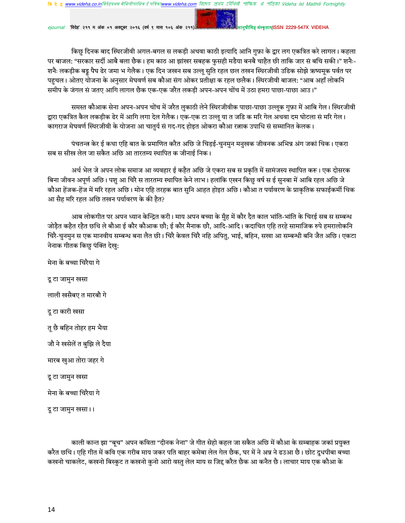ejournal 'विदेह' २११ म अंक ०१ अक्टूबर २०१६ (वर्ष ९ मास १०६ अंक २११)

<del>iइ संस्कृताम्ISSN 2229-547X VIDEHA</del>

किछु दिनक बाद स्थिरजीवी अगल-बगल स लकड़ी अथवा काठी इत्यादि आनि गुफ़ा के द्वार लग एकत्रित करे लागल। कहला पर बाजल: "सरकार सर्दी आबै बला छैक। हम काठ आ झांखर सबहक फुसही मडैया बनबै चाहैत छी ताकि जार सं बचि सकी।" शनैः-शनैः लकड़ीक बड्डू पैघ ढेर जमा भ गेलैक। एक दिन जखन सब उल्लू सुति रहल छल तखन स्थिरजीवी उडिक सोझे ऋष्यमूक पर्वत पर पहुचल। ओतए योजना के अनुसार मेघवर्ण सब कौआ संग ओकर प्रतीक्षा क रहल छलैक। स्थिरजीवी बाजल: "आब अहाँ लोकनि समीप के जंगल सं जतए आगि लागल छैक एक-एक जरैत लकड़ी अपन-अपन चोंच में उठा हमरा पाछा-पाछा आउ।"

समस्त कौआक सेना अपन-अपन चोंच में जरैत लुकाठी लेने स्थिरजीवीक पाछा-पाछा उल्लुक गुफ़ा में आबि गेल। स्थिरजीवी द्वारा एकत्रित कैल लकड़ीक ढेर में आगि लगा देल गेलैक। एक-एक टा उल्लू या त जडि क मरि गेल अथवा दम घोटला सं मरि गेल। कागराज मेघवर्ण स्थिरजीवी के योजना आ चातुर्य सं गद-गद होइत ओकरा कौआ रत्नाक उपाधि सं सम्मानित केलक।

पंचतन्त्र केर ई कथा एहि बात के प्रमाणित करैत अछि जे चिड़ई-चुनमुन मनुखक जीवनक अभिन्न अंग जकां थिक। एकरा सब स सीख लेल जा सकैत अछि आ तारतम्य स्थापित क जीनाई निक।

अर्थ भेल जे अपन लोक समाज आ व्यवहार ई कहैत अछि जे एकरा सब स प्रकृति में सामंजस्य स्थापित करू। एक दोसरक बिना जीवन अपूर्ण अछि। पशु आ चिरै स तारतम्य स्थापित केने लाभ। हलांकि एखन किछु वर्ष स ई सुनबा में आबि रहल अछि जे कौआ हेंजक-हेंज में मरि रहल अछि। मोन एहि तरहक बात सुनि आहत होइत अछि। कौआ त पर्यावरण के प्राकृतिक सफाईकर्मी थिक आ सैह मरि रहल अछि तखन पर्यावरण के की हैत?

आब लोकगीत पर अपन ध्यान केन्द्रित करी। माय अपन बच्चा के मुँह में कौर दैत काल भांति-भांति के चिरई सब स सम्बन्ध जोड़ैत कहैत रहैत छथि ले बौआ ई कौर कौआक छौ; ई कौर मैनाक छौ, आदि-आदि। कदाचित एहि तरहे सामाजिक रुपे हमरालोकनि चिरै-चुनमुन स एक मानवीय सम्बन्ध बना लैत छी। चिरै केवल चिरै नहि अपितु, भाई, बहिन, सखा आ सम्बन्धी बनि जैत अछि। एकटा नेनाक गीतक किछु पंक्ति देखु:

मेना के बच्चा चिरैया गे दू टा जामुन खसा लाली खसैबए त मारबौ गे दू टा कारी खसा त छै बहिन तोहर हम भैया जौ ने खसेलें त बुझि ले दैया मारब खुआ तोरा जहर गे दू टा जामुन खसा मेना के बच्चा चिरैया गे दू टा जामुन खसा।।

काली कान्त झा "बूच" अपन कविता "दीनक नेना" जे गीत सेहो कहल जा सकैत अछि में कौआ के सम्बाहक जकां प्रयुक्त करैत छथि। एहि गीत में कवि एक गरीब माय जकर पति बाहर कमेबा लेल गेल छैक, घर में ने अन्न ने ढउआ छै। छोट दुधपीबा बच्चा कखनो चाकलेट, कखनो बिस्कुट त कखनो कुनो आरो वस्तु लेल माय स जिद्द करैत छैक आ कनैत छै। लाचार माय एक कौआ के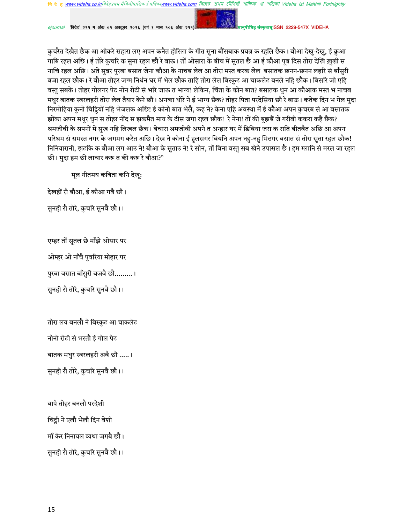রিদেহ প্রথম মৌথিনী পাক্ষিক প্রা পত্রিকা Videha Ist Maithili Fortnightly ह www videha co inविदेहप्रथम मैथिलीपाक्षिक ई पत्रि

'विदेह' २११ म अंक ०१ अक्टूबर २०१६ (वर्ष ९ मास १०६ अंक २१

<del>संस्कृताम</del>ISSN 2229-547X VIDEHA

कुचरैत देखैत छैक आ ओकरे सहारा लए अपन कनैत होरिला के गीत सुना बौंसबाक प्रयत्न क रहलि छैक। बौआ देखु-देखु, ई क़ुआ गाबि रहल अछि। ई तोरे कुचरि क सुना रहल छौ रे बाऊ। तों ओसारा के बीच में सुतल छै आ ई कौआ पूब दिस तोरा देखि ख़ुशी स नाचि रहल अछि। अते सुन्नर पुरबा बसात जेना कौआ के नाचब लेल आ तोरा मस्त करक लेल बसातक छनन-छनन लहरि सं बाँसुरी बजा रहल छौक। रे बौआ तोहर जन्म निर्धन घर में भेल छौक ताहि तोरा लेल बिस्कुट आ चाकलेट बनले नहि छौक। बिसरि जो एहि वस्तु सबके। तोहर गोलगर पेट नोन रोटी सं भरि जाऊ त भाग्य! लेकिन, चिंता के कोन बात? बसातक धुन आ कौआक मस्त भ नाचब मधुर बातक स्वरलहरी तोरा लेल तैयार केने छौ। अनका थोरे ने ई भाग्य छैक? तोहर पिता परदेसिया छौ रे बाऊ। कतेक दिन भ गेल मुदा निरमोहिया कुनो चिट्ठियों नहि भेजलक अछि! ई कोनो बात भेलै, कह ने? केना एहि अवस्था में ई कौआ अपन कुचरब सं आ बसातक झोंका अपन मधुर धुन स तोहर नींद स झकमैत माय के टीस जगा रहल छौक! रे नेना! तों की बुझबैं जे गरीबी ककरा कहै छैक? श्रमजीवी के सपनों में सुख नहि लिखल छैक। बेचारा श्रमजीवी अपने त अन्हार घर में डिबिया जरा क राति बीतबैत अछि आ अपन परिश्रम सं समस्त नगर के जगमग करैत अछि। देख ने कोना ई हलसगर बियनि अपन नह-नह मिठगर बसात सं तोरा सुता रहल छौक! निनियारानी, झटकि क बौआ लग आउ ने! बौआ के सुताउ ने! रे सोन, तों बिना वस्तु सब खेने उपासल छै। हम ग्लानि सं मरल जा रहल छी। मुदा हम छी लाचार करू त की करू रे बौआ?"

मूल गीतमय कविता कनि देखू:

देखहीं रौ बौआ, ई कौआ गवै छौ।

सुनही रौ तोरे, कुचरि सुनवै छौ।।

एम्हर तों सतल छे माँझे ओसार पर

ओम्हर ओ नाँचै पुवरिया मोहार पर

पुरबा वसात बाँसुरी बजवै छौ.........।

सुनही रौ तोरे, कुचरि सुनवै छौ।।

तोरा लय बनलौ ने बिस्कुट आ चाकलेट नोनो रोटी सं भरतौ ई गोल पेट बातक मधुर स्वरलहरी अबै छौ .....। सुनही रौ तोरे, कुचरि सुनवै छौ।।

बापे तोहर बनलौ परदेशी चिट्ठी ने एलौ भेलौ दिन वेशी माँ केर निनायल व्यथा जगबै छौ। सुनही रौ तोरे, कुचरि सुनवै छौ।।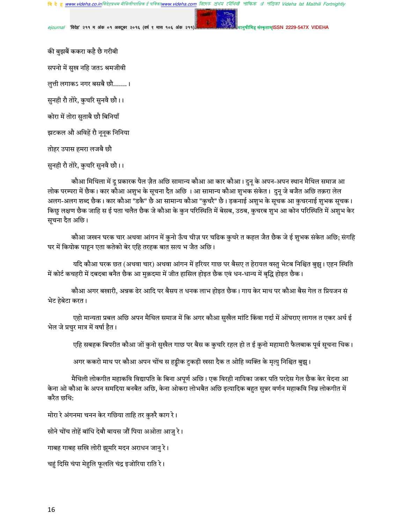ejournal 'विदेह' २११ म अंक ०१ अक्टूबर २०१६ (वर्ष ९ मास १०६ अंक २११)

संस्कृतामSSN 2229-547X VIDEHA

की बुझबैं ककरा कहै छै गरीबी सपनो में सुख नहि जतऽ श्रमजीवी लुत्ती लगाकऽ नगर बसबै छौ.......। सुनही रौ तोरे, कुचरि सुनवै छौ।। कोरा में तोरा सुताबै छौ बिनियाँ झटकल औ अविहें रौ नूनूक निनिया तोहर उपास हमरा लजबै छौ सुनही रौ तोरे, कुचरि सुनवै छौ।।

कौआ मिथिला में दू प्रकारक पैल ज़ैत अछि सामान्य कौआ आ कार कौआ। दुनू के अपन-अपन स्थान मैथिल समाज आ लोक परम्परा में छैक। कार कौआ अशुभ के सूचना दैत अछि । आ सामान्य कौआ शुभक संकेत। दुनू जे बजैत अछि तक़रा लेल अलग-अलग शब्द छैक। कार कौआ "डकै" छै आ सामान्य कौआ "कुचरै" छै। ड़कनाई अशुभ के सूचक आ कुचरनाई शुभक सूचक। किछु लक्षण छैक जाहि स ई पता चलैत छैक जे कौआ के कुन परिस्थिति में बेसब, उठब, कुचरब शुभ आ कोन परिस्थिति में अशुभ केर सूचना दैत अछि।

कौआ जखन घरक चार अथवा आंगन में कुनो ऊँच चीज़ पर चढिक कुचरे त कहल जैत छैक जे ई शुभक संकेत अछि; संगहि घर में कियोक पाहन एता कतेको बेर एहि तरहक बात सत्य भ जैत अछि।

यदि कौआ घरक छत (अथवा चार) अथवा आंगन में हरियर गाछ पर बैसए त हेरायल वस्तु भेटब निश्चित बुझु। एहन स्थिति में कोर्ट कचहरी में दबदबा बनैत छैक आ मुक़दमा में जीत हासिल होइत छैक एवं धन-धान्य में बृद्धि होइत छैक।

कौआ अगर बखारी, अन्नक ढेर आदि पर बैसय त धनक लाभ होइत छैक। गाय केर माथ पर कौआ बैस गेल त प्रियजन सं भेट हेबेटा करत।

एहो मान्यता प्रबल अछि अपन मैथिल समाज में कि अगर कौआ सुखैल मांटि किंवा गर्दा में ओंघराए लागल त एकर अर्थ ई भेल जे प्रचुर मात्र में वर्षा हैत।

एहि सबहक बिपरीत कौआ जों कुनो सुखैल गाछ पर बैस क कुचरि रहल हो त ई कुनो महामारी फैलबाक पूर्व सूचना थिक।

अगर ककरो माथ पर कौआ अपन चोंच स हड्डीक टुकड़ी खसा दैक त ओहि व्यक्ति के मृत्यु निश्चित बुझु।

मैथिली लोकगीत महाकवि विद्यापति के बिना अपूर्ण अछि। एक विरही नायिका जकर पति परदेस गेल छैक केर वेदना आ केना ओ कौआ के अपन समदिया बनबैत अछि, केना ओकरा लोभबैत अछि इत्यादिक बहुत सुन्नर वर्णन महाकवि निम्न लोकगीत में करैत छथि:

मोरा रे अंगनमा चनन केर गछिया ताहि तर कुरुरै काग रे।

सोने चोंच तोहें बांधि देबौ बायस जौं पिया अओता आजु रे।

गाबह गाबह सखि लोरी झूमरि मदन अराधन जानु रे।

चहुं दिसि चंपा मेहुलि फूललि चंद्र इजोरिया राति रे।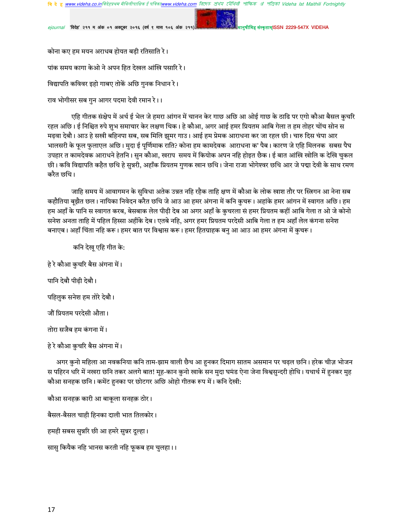'विदेह' २११ म अंक ०१ अक्टूबर २०१६ (वर्ष ९ मास १०६ अंक २११)

क़तामISSN 2229-547X VIDEHA

कोना कए हम मयन अराधब होयत बड़ी रतिसाति रे।

पांक समय कागा केओ ने अपन हित देखल आंखि पसारि रे।

विद्यापति कविवर इहो गाबए तोकें अछि गुनक निधान रे।

राव भोगीसर सब गुन आगर पदमा देवी रमान रे।।

एहि गीतक संक्षेप में अर्थ ई भेल जे हमरा आंगन में चानन केर गाछ अछि आ ओई गाछ के ठाढि पर एगो कौआ बैसल कुचरि रहल अछि। ई निश्चित रुपे शुभ समाचार केर लक्षण थिक। हे कौआ, अगर आई हमर प्रियतम आबि गेला त हम तोहर चोंच सोन स मढ़वा देबौ। आउ हे सखी बहिनपा सब, सब मिलि झूमर गाउ। आई हम प्रेमक आराधना कर जा रहल छी। चारु दिस चंपा आर भालसरी के फुल फुलाएल अछि। मुदा ई पूर्णिमाक राति? कोना हम कामदेवक आराधना क' पैब। कारण जे एहि मिलनक सबस पैघ उपहार त कामदेवक आराधने हेतनि। सुन कौआ, खराप समय में कियोक अपन नहि होइत छैक। ई बात आंखि खोलि क देखि चुकल छी। कवि विद्यापति कहैत छथि हे सुन्नरी, अहाँक प्रियतम गुणक खान छथि। जेना राजा भोगेश्वर छथि आर जे पद्मा देवी के साथ रमण करैत छथि।

जाहि समय में आवागमन के सुविधा अतेक उन्नत नहि रहैक ताहि क्षण में कौआ के लोक खाश तौर पर स्त्रिगन आ नेना सब कहौतिया बुझैत छल। नायिका निवेदन करैत छथि जे आउ आ हमर अंगना में कनि कुचरू। अहांके हमर आंगन में स्वागत अछि। हम हम अहाँ के पानि स स्वागत करब, बेसबाक लेल पीढ़ी देब आ अगर अहाँ के कुचरला स हमर प्रियतम कहीं आबि गेला त ओ जे कोनो सनेश अनता ताहि में पहिल हिस्सा अहींके देब। एतबे नहि, अगर हमर प्रियतम परदेसी आबि गेला त हम अहाँ लेल कंगना सनेश बनाएब। अहाँ चिंता नहि करू। हमर बात पर विश्वास करू। हमर हितग्राहक बनु आ आउ आ हमर अंगना में कुचरू।

कनि देखू एहि गीत के: हे रे कौआ कुचरि बैस अंगना में। पानि देबौ पीढ़ी देबौ। पहिलुक सनेश हम तोरे देबौ। जौं प्रियतम परदेसी औता। तोरा सजैब हम कंगना में।

हे रे कौआ कुचरि बैस अंगना में।

अगर कुनो महिला आ नवकनिया कनि ताम-झाम वाली छैथ आ हुनकर दिमाग सातम असमान पर चढ़ल छनि। हरेक चीज़ भोजन स पहिरन धरि में नखरा छनि तकर अलगे बात! मूह-कान कुनो खाके सन मुदा घमंड ऐना जेना विश्वसुन्दरी होथि। यथार्थ में हुनकर मुह कौआ सनहक छनि। कमेंट हुनका पर छोटगर अछि ओहो गीतक रूप में। कनि देखी:

कौआ सनहक़ कारी आ बाकूला सनहक़ ठोर। बैसल-बैसल चाही हिनका दाली भात तिलकोर। हमही सबस सुन्नरि छी आ हमरे सुन्नर दूल्हा। सास़ कियैक नहि भानस करती नहि फूकब हम चुलहा।।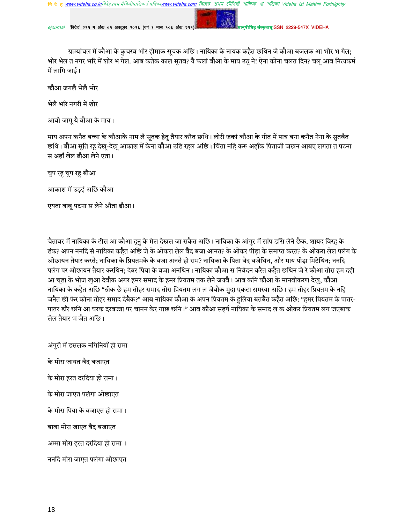ejournal 'विदेह' २११ म अंक ०१ अक्टूबर २०१६ (वर्ष ९ मास १०६ अंक २१

संस्कृतामISSN 2229-547X VIDEHA

ग्राम्यांचल में कौआ के कुचरब भोर होमाक सूचक अछि। नायिका के नायक कहैत छथिन जे कौआ बजलक आ भोर भ गेल; भोर भेल त नगर भरि में शोर भ गेल. आब कतेक काल सुतब? यै फलां बौआ के माय उठू ने! ऐना कोना चलत दिन? चलू आब नित्यकर्म में लागि जाई।

कौआ जगलै भेलै भोर

भेलै भरि नगरी में शोर

आबो जागृ यै बौआ के माय।

माय अपन कनैत बच्चा के कौआके नाम लै सूतक हेतु तैयार करैत छथि। लोरी जकां कौआ के गीत में पात्र बना कनैत नेना के सुतबैत छथि। बौआ सुति रहू देखु-देखु आकाश में केना कौआ उडि रहल अछि। चिंता नहि करू अहाँक पिताजी जखन आबए लगता त पटना स अहाँ लेल ढ़ौआ लेने एता।

चुप रहु चुप रहु बौआ

आकाश में उड़ई अछि कौआ

एयता बाबू पटना स लेने औता ढ़ौआ।

चैताबर में नायिका के टीस आ कौआ दुनु के मेल देखल जा सकैत अछि। नायिका के आंगुर में सांप डसि लेने छैक. शायद विरह के डंक? अपन ननदि सं नायिका कहैत अछि जे के ओकरा लेल वैद बजा आनत? के ओकर पीड़ा के समाप्त करत? के ओकरा लेल पलंग के ओछायन तैयार करतै: नायिका के प्रियतमके के बजा अनतै हो राम? नायिका के पिता वैद बजेथिन, और माय पीडा मिटेथिन: ननदि पलंग पर ओछायन तैयार करथिन; देबर पिया के बजा अनथिन। नायिका कौआ स निवेदन करैत कहैत छथिन जे रे कौआ तोरा हम दही आ चडा के भोज खआ देबौक अगर हमर समाद के हमर प्रियतम तक लेने जयबै। आब कनि कौआ के मानवीकरण देख, कौआ नायिका के कहैत अछि "ठीक छै हम तोहर समाद तोरा प्रियतम लग ल जेबौक मुदा एकटा समस्या अछि। हम तोहर प्रियतम के नहि जनैत छी फेर कोना तोहर समाद देबैक?" आब नायिका कौआ के अपन प्रियतम के हलिया बतबैत कहैत अछि: "हमर प्रियतम के पातर-पातर डाँर छनि आ घरक दरबज्जा पर चानन केर गाछ छनि।" आब कौआ सहर्ष नायिका के समाद ल क ओकर प्रियतम लग जएबाक लेल तैयार भ जैत अछि।

अंगुरी में डसलक नगिनियाँ हो रामा के मोरा जायत बैद बजाएत के मोरा हरत दरदिया हो रामा। के मोरा जाएत पलंगा ओछाएत के मोरा पिया के बजाएत हो रामा।

बाबा मोरा जाएत बैद बजाएत

अम्मा मोरा हरत दरदिया हो रामा ।

ननदि मोरा जाएत पलंगा ओछाएत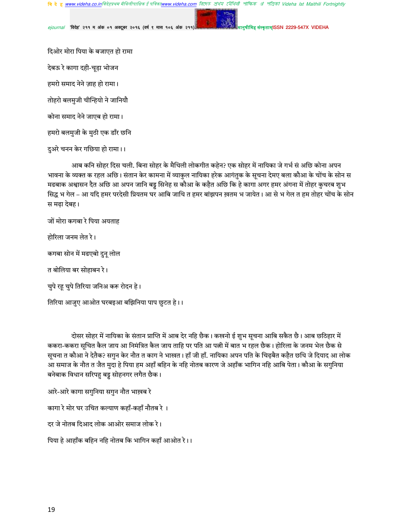ejournal 'विदेह' २११ म अंक ०१ अक्टूबर २०१६ (वर्ष ९ मास १०६ अंक २११)

**THISSN 2229-547X VIDEHA** 

दिओर मोरा पिया के बजाएत हो रामा

देबऊ रे कागा दही-चूड़ा भोजन

हमरो समाद नेने ज़ाह हो रामा।

तोहरो बलमुजी चीन्हियो ने जानियौ

कोना समाद नेने जाएब हो रामा।

हमरो बलमुजी के मुठी एक डाँर छनि

दुअरे चनन केर गछिया हो रामा।।

आब कनि सोहर दिस चली. बिना सोहर के मैथिली लोकगीत कहेन? एक सोहर में नायिका जे गर्भ सं अछि कोना अपन भावना के व्यक्त क रहल अछि। संतान केर कामना में व्याकुल नायिका हरेक आगंतुक के सूचना देमए बला कौआ के चोंच के सोन स मढबाक अश्वासन दैत अछि आ अपन जानि बड्ड सिनेह स कौआ के कहैत अछि कि हे कागा अगर हमर अंगना में तोहर कुचरब शुभ सिद्ध भ गेल – आ यदि हमर परदेसी प्रियतम घर आबि जाथि त हमर बांझपन ख़तम भ जायेत। आ से भ गेल त हम तोहर चोंच के सोन स मढ़ा देबह।

जों मोरा कगबा रे पिया अयताह

होरिला जनम लेत रे।

कगबा सोन में मढएबो दुनू लोल

त बोलिया बर सोहाबन रे।

चुपे रहू चुपे तिरिया जनिअ करू रोदन हे।

तिरिया आजुए आओत घरबइआ बझिनिया पाप छुटत हे।।

दोसर सोहर में नायिका के संतान प्राप्ति में आब देर नहि छैक। कखनो ई शुभ सूचना आबि सकैत छै। आब छठिहार में ककरा-ककरा सूचित कैल जाय आ निमंत्रित कैल जाय ताहि पर पति आ पत्नी में बात भ रहल छैक। होरिला के जनम भेल छैक से सूचना त कौआ ने देतैक? सगुन केर नौत त काग ने भाखत। हाँ जी हाँ. नायिका अपन पति के चिढ़बैत कहैत छथि जे दियाद आ लोक आ समाज के नौत त जैत मुदा हे पिया हम अहाँ बहिन के नहि नोतब कारण जे अहाँक भागिन नहि आबि पेता। कौआ के सगुनिया बनेबाक विधान सरिपहु बड़ू सोहनगर लगैत छैक।

आरे-आरे कागा सगुनिया सगुन नौत भाख़ब रे

कागा रे मोर घर उचित कल्याण कहाँ-कहाँ नौतब रे ।

दर जे नोतब दिआद लोक आओर समाज लोक रे।

पिया हे आहाँक बहिन नहि नोतब कि भागिन कहाँ आओत रे।।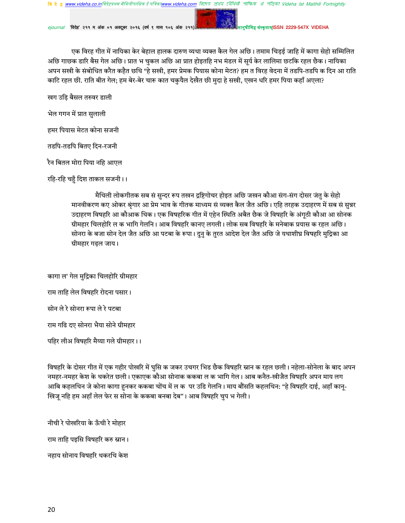'विदेह' २११ म अंक ०१ अक्टूबर २०१६ (वर्ष ९ मास १०६ अंक २११

र् संस्कृताम्ISSN 2229-547X VIDEHA

एक विरह गीत में नायिका केर बेहाल हालक दारुण व्यथा व्यक्त कैल गेल अछि। तमाम चिड़ई जाहि में कागा सेहो सम्मिलित अछि गाछक डारि बैस गेल अछि। प्रात भ चुकल अछि आ प्रात होइतहि नभ मंडल में सूर्य केर लालिमा छटकि रहल छैक। नायिका अपन सखी के संबोधित करैत कहैत छथि "हे सखी, हमर प्रेमक पियास कोना मेटत? हम त विरह वेदना में तडपि-तडपि क दिन आ राति काटि रहल छी. राति बीत गेल; हम बेर-बेर चारू कात चकुयैल देखैत छी मुदा हे सखी, एखन धरि हमर पिया कहाँ अएला?

खग उड़ि बैसल तरुवर डाली

भेल गगन में प्रात सुलाली

हमर पियास मेटत कोना सजनी

तडपि-तडपि बितए दिन-रजनी

रैन बितल मोरा पिया नहि आएल

रहि-रहि चहुँ दिश ताकल सजनी।।

मैथिली लोकगीतक सब सं सुन्दर रूप तखन द्रष्टिगोचर होइत अछि जखन कौआ संग-संग दोसर जंतु के सेहो मानवीकरण कए ओकर श्रृंगार आ प्रेम भाव के गीतक माध्यम सं व्यक्त कैल जैत अछि। एहि तरहक उदाहरण में सब सं सुन्नर उदाहरण विषहरि आ कौआक थिक। एक विषहरिक गीत में एहेन स्थिति अबैत छैक जे विषहरि के अंगूठी कौआ आ सोनक ग्रीमहार चिलहोरि ल क भागि गेलनि । आब विषहरि कानए लगली । लोक सब विषहरि के मनेबाक प्रयास क रहल अछि । सोनरा के बजा सोन देल जैत अछि आ पटबा के रूपा। दुनु के तुरत आदेश देल जैत अछि जे यथाशीघ्र विषहरि मुद्रिका आ ग्रीमहार गढ़ल जाय।

कागा ल' गेल मुद्रिका चिलहोरि ग्रीमहार राम ताहि लेल विषहरि रोदना पसार। सोन ले रे सोनरा रूपा ले रे पटबा राम गढि दए सोनरा भैया सोने ग्रीमहार पहिर लीअ विषहरि मैय्या गले ग्रीमहार।।

विषहरि के दोसर गीत में एक गहीर पोखरि में घुसि क जकर उचगर भिड छैक विषहरि स्नान क रहल छली। नहेला-सोनेला के बाद अपन नमहर-नमहर केश के थकरेत छली। एकाएक कौआ सोनाक ककबा ल क भागि गेल। आब कनैत-खीजैत विषहरि अपन माय लग आबि कहलथिन जे कोना कागा हुनकर ककबा चोंच में ल कपर उडि गेलनि। माय बौंसति कहलथिन: "हे विषहरि दाई, अहाँ कानू-खिज् नहि हम अहाँ लेल फेर स सोना के ककबा बनबा देब"। आब विषहरि चुप भ गेली।

नीची रे पोखरिया के ऊँची रे मोहार राम ताहि पइसि विषहरि करु स्नान । नहाय सोनाय विषहरि थकरथि केश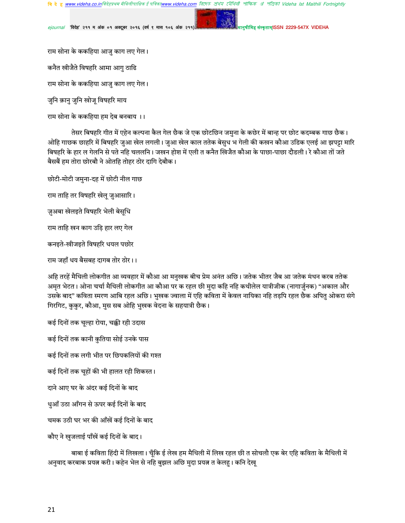'विदेह' २११ म अंक ०१ अक्टूबर २०१६ (वर्ष ९ मास १०६ अंक २११

ग्तामISSN 2229-547X VIDEHA

राम सोना के ककहिया आजु काग लए गेल। कनैत खीजैते विषहरि आमा आगु ठाढि राम सोना के ककहिया आजु काग लए गेल।

जुनि क़ानु जुनि खोजू विषहरि माय

राम सोना के ककहिया हम देब बनबाय ।।

तेसर बिषहरि गीत में एहेन कल्पना कैल गेल छैक जे एक छोटछिन जमुना के कछेर में बान्ह पर छोट कदम्बक गाछ छैक। ओहि गाछक छाहरि में बिषहरि जुआ खेल लगली। जुआ खेल काल ततेक बेसुध भ गेली की कखन कौआ उडिक एलई आ झपट्टा मारि बिषहरि के हार ल गेलनि से पते नहि चललनि। जखन होश में एली त कनैत खिजैत कौआ के पाछा-पाछा दौडली। रे कौआ तों जते बैसबैं हम तोरा छोरबौ ने ओतहि तोहर ठोर दागि देबौक।

छोटी-मोटी जमुना-दह में छोटी नील गाछ राम ताहि तर विषहरि खेलू जुआसारि। ज़ुअबा खेलइते विषहरि भेली बेसूधि राम ताहि खन काग उड़ि हार लए गेल कनइते-खीजइते विषहरि धयल पछोर राम जहाँ धय बैसबह दागब तोर ठोर।।

अहि तरहें मैथिली लोकगीत आ व्यवहार में कौआ आ मनुखक बीच प्रेम अनंत अछि। जतेक भीतर जैब आ जतेक मंथन करब ततेक अमृत भेटत। ओना चर्चा मैथिली लोकगीत आ कौआ पर क रहल छी मुदा कहि नहि कथीलेल यात्रीजीक (नागार्जुनक) "अकाल और उसके बाद" कविता स्मरण आबि रहल अछि। भुखक ज्वाला में एहि कविता में केवल नायिका नहि तड़पि रहल छैक अपितु ओकरा संगे गिरगिट, कुकुर, कौआ, मुस सब ओहि भुखक वेदना के सहयात्री छैक।

कई दिनों तक चूल्हा रोया, चक्की रही उदास

कई दिनों तक कानी कुतिया सोई उनके पास

कई दिनों तक लगी भीत पर छिपकलियों की गश्त

कई दिनों तक चूहों की भी हालत रही शिकस्त।

दाने आए घर के अंदर कई दिनों के बाद

धुआँ उठा आँगन से ऊपर कई दिनों के बाद

चमक उठी घर भर की आँखें कई दिनों के बाद

कौए ने खुजलाई पाँखें कई दिनों के बाद।

बाबा ई कविता हिंदी में लिखला। चूँकि ई लेख हम मैथिली में लिख रहल छी त सोचलौ एक बेर एहि कविता के मैथिली में अनुवाद करबाक प्रयत्न करी। कहेन भेल से नहि बुझल अछि मुदा प्रयत्न त केलहु। कनि देखू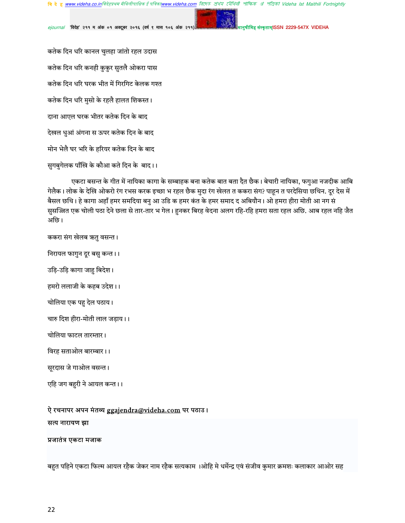রিদেহ প্রথম মৌথিনী পাক্ষিক প্রা পত্রিকা Videha Ist Maithili Fortnightly **वि दे ह www.videha.co.in**विदेहप्रथम मैथिलीपाक्षिक ई पत्रिका**www.videha.com** 

संस्कृताम्ISSN 2229-547X VIDEHA

ejournal 'विदेह' २११ म अंक ०१ अक्टूबर २०१६ (वर्ष ९ मास १०६ अंक २११)

कतेक दिन धरि कानल चुलहा जांतो रहल उदास कतेक दिन धरि कनही कुकुर सुतलै ओकरा पास कतेक दिन धरि घरक भीत में गिरगिट केलक गश्त कतेक दिन धरि मुसो के रहलै हालत शिकस्त । दाना आएल घरक भीतर कतेक दिन के बाद देखल धुआं अंगना स ऊपर कतेक दिन के बाद मोन भेलै घर भरि के हरियर कतेक दिन के बाद

सुगबुगेलक पाँखि के कौआ कते दिन के बाद।।

एकटा बसन्त के गीत में नायिका कागा के सम्बाहक बना कतेक बात बता दैत छैक। बेचारी नायिका, फगुआ नजदीक आबि गेलैक। लोक के देखि ओकरो रंग रभस करक इच्छा भ रहल छैक मुदा रंग खेलत त ककरा संग? पाहून त परदेसिया छथिन. दूर देस में बैसल छथि। हे कागा अहाँ हमर समदिया बनु आ उडि क हमर कंत के हमर समाद द अबियौन। ओ हमरा हीरा मोती आ नग सं सुसज्जित एक चोली पठा देने छला से तार-तार भ गेल। हुनकर बिरह वेदना अलग रहि-रहि हमरा सता रहल अछि. आब रहल नहि जैत अछि।

ककरा संग खेलब ऋतु वसन्त ।

निरायल फागुन दूर बसु कन्त ।।

उड़ि-उड़ि कागा जाहु बिदेश।

हमरो ललाजी के कहब उदेश।।

चोलिया एक पहु देल पठाय।

चारु दिश हीरा-मोती लाल जड़ाय।।

चोलिया फाटल तारम्तार।

विरह सताओल बारम्बार।।

सूरदास जे गाओल वसन्त।

एहि जग बहुरी ने आयल कन्त ।।

#### ऐ रचनापर अपन मंतव्य ggajendra@videha.com पर पठाउ।

#### सत्य नारायण झा

#### प्रजातंत्र एकटा मजाक

बहुत पहिने एकटा फिल्म आयल रहैक जेकर नाम रहैक सत्यकाम ।ओहि मे धर्मेन्द्र एवं संजीव कुमार क्रमशः कलाकार आओर सह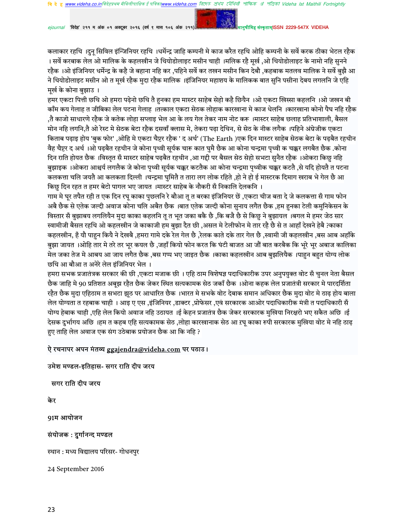'विदेह' २११ म अंक ०१ अक्टूबर २०१६ (वर्ष ९ मास १०६ अंक २११)

<del>संस्कृताम</del>ISSN 2229-547X VIDEHA

कलाकार रहथि ।दुन् सिविल इंन्जिनियर रहथि ।धर्मेन्द्र जाहि कम्पनी मे काज करैत रहथि ओहि कम्पनी के सर्वे करक ठीका भेटल रहैक । सर्वे करबाक लेल ओ मालिक के कहलखीन जे थियोडोलाइट मसीन चाही ।मलिक रहै मूर्ख ,ओ थियोडोलाइट के नामो नहि सुनने रहैक ।ओ इंजिनियर धर्मेन्द्र के कहै जे बहाना नहि कर ,पहिने सर्वे कर तखन मसीन किन देबौ ,कहबाक मतलव मालिक ने सर्वे बुझै आ ने थियोडोलाइट मसीन ओ त मर्ख रहैक मदा रहैक मालिक ।इंजिनियर महाशय के मालिकक बात सनि पसीना देबय लगलनि जे एहि मर्ख के कोना बुझाउ ।

हमर एकटा पित्ती छथि ओ हमरा पढ़ेनो छथि तै हुनका हम मास्टर साहेब सेहो कहै छियैन ।ओ एकटा खिस्सा कहलनि ।ओ जखन बी काँम कय गेलाह त जीबिका लेल पटना गेलाह ।तत्काल एकटा सेठक लोहाक कारखाना मे काज धेलनि ।कारखाना कोनो पैघ नहि रहैक तै काजो साधारणे रहैक जे कतेक लोहा सप्लाइ भेल आ के लय गेल तेकर नाम नोट करू ।मास्टर साहेब छलाह प्रतिभाशाली, बैसल मोन नहि लगनि,तै ओ रेस्ट मे सेठक बेटा रहैक दसवाँ क्लास मे, तेकरा पढ़ा देथिन, से सेठ के नीक लगैक ।पहिने अंग्रेजीक एकटा किताब पढ़ाइ होय 'बुक फोर' ,ओहि मे एकटा चैप्टर रहैक ' द अर्थ' (The Earth )एक दिन मास्टर साहेब सेठक बेटा के पढ़बैत रहथीन वैह चैप्टर द अर्थ ।ओ पढ़बैत रहथीन जे कोना पृथ्वी सूर्यक चारू कात घुमै छैक आ कोना चन्द्रमा पृथ्वी क चक्कर लगबैत छैक .कोना दिन राति होयत छैक ।विस्तृत सँ मास्टर साहेब पढ़बैत रहथीन ,आ गद्दी पर बैसल सेठ सेहो सभटा सुनैत रहैक ।ओकरा किछु नहि बुझाइक ।ओकरा आश्चर्य लगलैक जे कोना पृथ्वी सर्यक चक्कर कटतैक आ कोना चन्द्रमा पृथ्वीक चक्कर कटतै ,से यदि होयतै त पटना कलकत्ता चलि जयतै आ कलकता दिल्ली ।चन्द्रमा घुमितै त तारा लग लोक रहिते ,हो ने हो ई मास्टरक दिमाग खराब भे गेल छै आ किछु दिन रहत त हमर बेटो पागल भए जायत ।मास्टर साहेब के नौकरी सँ निकालि देलकनि ।

गाम मे घुर तपैत रही त एक दिन रघु काका पुछलनि रे बौआ तु त बरका इंजिनियर छें ,एकटा चीज बता दे जे कलकत्ता सँ गाम फोन अबै छैक से एतेक जल्दी अवाज कोना चलि अबैत छैक ।बात एतेक जल्दी कोना सुनाय लगैत छैक ,हम हुनका टेली कमुनिकेसन के विस्तार सँ बुझाबय लगलियैन मुदा काका कहलनि तु त भूत जका बकै छै ,कि बजै छै से किछु ने बुझायल ।बगल मे हमर जेठ सार स्वामीजी बैसल रहथि ओ कहलखीन जे काकाजी हम बुझा दैत छी ,असल मे टेलीफोन मे तार रहै छै से त आहाँ देखने हेबै ?काका कहलखीन, है यौ पाहन कियै ने देखबै ,हमरा गामे दके रेल गेल छै ,रेलक काते दके तार गेल छै ,स्वामी जी कहलखीन ,बस आब अहाँके बुझा जायत ।ओहि तार मे तरे तर भूर कयल छै ,जहाँ कियो फोन करत कि घंटी बाजत आ जौं बात करबैक कि भूरे भूर अबाज कालिका मेल जका तेज मे आबय आ जाय लगैत छैक ,बस गप्प भए जाइत छैक ।काका कहलखीन आब बुझलियैक ।पाहन बहत योग्य लोक छथि आ बौआ त अनेरे लेल इंजिनियर भेल ।

हमरा सभक प्रजातंत्रक सरकार की छी ,एकटा मजाक छी । एहि ठाम विशेषज्ञ पदाधिकारीक उपर अनुपयुक्त वोट सँ चुनल नेता बैसल छैक जाहि मे 90 प्रतिशत अबूझ रहैत छैक जेकर स्थित सत्यकामक सेठ जकाँ छैक ।ओना कहक लेल प्रजातंत्री सरकार मे पारदर्शिता रहैत छैक मुदा एहिठाम त सभटा झूठ पर आधारित छैक ।भारत मे सभके वोट देबाक समान अधिकार छैक मुदा वोट मे ठाढ़ होय बाला लेल योग्यता त रहबाक चाही । आइ ए एस ,इंजिनियर ,डाक्टर ,प्रोफेसर ,एवं सरकारक आओर पदाधिकारीक मंत्री त पदाधिकारी सँ योग्य हेबाक चाही ,एहि लेल कियो अवाज नहि उठायत ।ई केहन प्रजातंत्र छैक जेकर सरकारक मुखिया निरक्षरो भए सकैत अछि ।ई देसक दुर्भागय अछि ।हम त कहब एहि सत्यकामक सेठ ,लोहा कारखानाक सेठ आ ऱघ् काका रुपी सरकारक मुखिया वोट मे नहि ठाढ़ हुए ताहि लेल अवाज एक संग उठेबाक प्रयोजन छैक आ कि नहि ?

# ऐ रचनापर अपन मंतव्य ggajendra@videha.com पर पठाउ।

### उमेश मण्डल-इतिहास- सगर राति दीप जरय

सगर राति दीप जरय

केर

91म आयोजन

#### संयोजक : दुर्गानन्द मण्डल

स्थान : मध्य विद्यालय परिसर- गोधनपुर

24 September 2016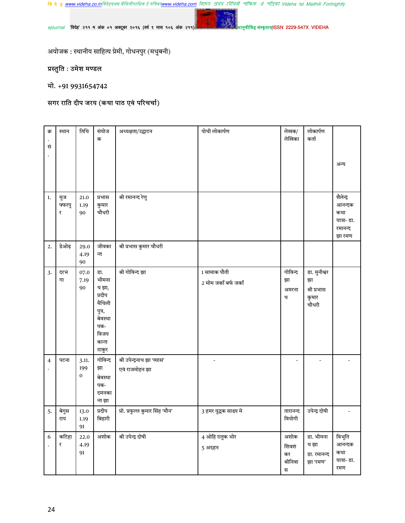ejournal 'विदेह' २११ म अंक ०१ अक्टूबर २०१६ (वर्ष ९ मास १०६ अंक २११)

ानुषीमिह संस्कृताम्ISSN 2229-547X VIDEHA

अयोजक : स्थानीय साहित्य प्रेमी, गोधनपुर (मधुबनी)

# प्रस्तुति : उमेश मण्डल

# मो. +91 9931654742

# सगर राति दीप जरय (कथा पाठ एवं परिचर्चा)

| क्र<br>सं | स्थान              | तिथि                     | संयोज<br>क                                                                                      | अध्यक्षता/उद्घाटन                             | पोथी लोकार्पण                        | लेखक/<br>लेखिका                      | लोकार्पण<br>कर्ता                                   | अन्य                                                           |
|-----------|--------------------|--------------------------|-------------------------------------------------------------------------------------------------|-----------------------------------------------|--------------------------------------|--------------------------------------|-----------------------------------------------------|----------------------------------------------------------------|
| 1.        | मुज<br>फ्फरपु<br>₹ | 21.0<br>1.19<br>90       | प्रभास<br>कुमार<br>चौधरी                                                                        | श्री रमानन्द रेणु                             |                                      |                                      |                                                     | शैलेन्द्र<br>आनन्दक<br>कथा<br>यात्रा- डा.<br>रमानन्द<br>झा रमण |
| 2.        | डेओढ़              | 29.0<br>4.19<br>90       | जीवका<br>न्त                                                                                    | श्री प्रभास कुमार चौधरी                       |                                      |                                      |                                                     |                                                                |
| 3.        | दरभं<br>गा         | 07.0<br>7.19<br>90       | डा.<br>भीमना<br>थ झा,<br>प्रदीप<br>मैथिली<br>पुत्र,<br>बेवस्था<br>पक-<br>विजय<br>कान्त<br>ठाकुर | श्री गोविन्द झा                               | 1 सामाक पौती<br>2 मोम जकाँ बर्फ जकाँ | गोविन्द<br>झा<br>अमरना<br>थ          | डा. मुनीश्वर<br>झा<br>श्री प्रभास<br>कुमार<br>चौधरी |                                                                |
| 4         | पटना               | 3.11.<br>199<br>$\bf{0}$ | गोविन्द<br>झा<br>बेवस्था<br>पक-<br>दमनका<br>न्त झा                                              | श्री उपेन्द्रनाथ झा 'व्यास'<br>एवं राजमोहन झा |                                      | $\overline{\phantom{0}}$             |                                                     |                                                                |
| 5.        | बेगुस<br>राय       | 13.0<br>1.19<br>91       | प्रदीप<br>बिहारी                                                                                | प्रो. प्रफुल्ल कुमार सिंह 'मौन'               | 3 हमर युद्धक साक्ष्य मे              | तारानन्द<br>वियोगी                   | उपेन्द्र दोषी                                       |                                                                |
| 6         | कटिहा<br>₹         | 22.0<br>4.19<br>91       | अशोक                                                                                            | श्री उपेन्द्र दोषी                            | 4 ओहि रातुक भोर<br>5 अदहन            | अशोक<br>शिवशं<br>कर<br>श्रीनिवा<br>स | डा. भीमना<br>थ झा<br>डा. रमानन्द<br>झा 'रमण'        | विभूति<br>आनन्दक<br>कथा<br>यात्रा- डा.<br>रमण                  |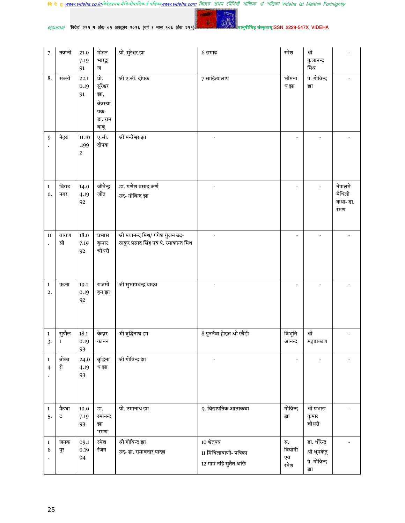वि दे ह <u>www.videha.co.in</u>विदेहप्रथम मैथिलीपाक्षिक ई पत्रिका<u>www.videha.com</u> রিদেহ প্রথম মৌথিরী পাক্ষিক প্র পত্রিকা Videha Ist Maithili Fortnightly

YO-

 $e$ journal 'विदेह' २११ म अंक ०१ अक्टूबर २०१६ (वर्ष ९ मास १०६ अंक २११)

| 7.                             | नवानी                 | $21.0\,$<br>7.19<br>91          | मोहन<br>भारद्वा<br>ज                                          | प्रो. सुरेश्वर झा                                                               | 6 समाढ़                                                          | रमेश                        | श्री<br>कुलानन्द<br>मिश्र                          |                                      |
|--------------------------------|-----------------------|---------------------------------|---------------------------------------------------------------|---------------------------------------------------------------------------------|------------------------------------------------------------------|-----------------------------|----------------------------------------------------|--------------------------------------|
| 8.                             | सकरी                  | 22.1<br>0.19<br>91              | प्रो.<br>सुरेश्वर<br>झा,<br>बेवस्था<br>पक-<br>डा. राम<br>बाबू | श्री ए.सी. दीपक                                                                 | 7 साहित्यालाप                                                    | भीमना<br>थ झा               | पं. गोविन्द<br>झा                                  |                                      |
| 9                              | नेहरा                 | 11.10<br>.199<br>$\overline{2}$ | ए.सी.<br>दीपक                                                 | श्री मन्त्रेश्वर झा                                                             |                                                                  | $\overline{a}$              |                                                    |                                      |
| $\mathbf{1}$<br>0.             | विराट<br>नगर          | 14.0<br>4.19<br>92              | जीतेन्द्र<br>जीत                                              | डा. गणेश प्रसाद कर्ण<br>उद- गोविन्द झा                                          |                                                                  |                             |                                                    | नेपालमे<br>मैथिली<br>कथा- डा.<br>रमण |
| 11                             | वाराण<br>सी           | 18.0<br>7.19<br>92              | प्रभास<br>कुमार<br>चौधरी                                      | श्री मयानन्द मिश्र/ गंगेश गुंजन उद-<br>ठाकुर प्रसाद सिंह एवं पं. रमाकान्त मिश्र |                                                                  |                             |                                                    |                                      |
| $\,1\,$<br>2.                  | पटना                  | 19.1<br>0.19<br>92              | राजमो<br>हन झा                                                | श्री सुभाषचन्द्र यादव                                                           |                                                                  | $\overline{\phantom{a}}$    |                                                    |                                      |
| $\,1\,$<br>3.                  | सुपौल<br>$\mathbf{1}$ | 18.1<br>0.19<br>93              | केदार<br>कानन                                                 | श्री बुद्धिनाथ झा                                                               | 8 पुनर्नवा हेाइत ओ छौंड़ी                                        | विभूति<br>आनन्द             | श्री<br>महाप्रकाश                                  |                                      |
| $\mathbf{1}$<br>$\overline{4}$ | बोका<br>रो            | 24.0<br>4.19<br>93              | बुद्धिना<br>थ झा                                              | श्री गोविन्द झा                                                                 |                                                                  |                             |                                                    |                                      |
| $\mathbf{1}$<br>5.             | पैटघा<br>ट            | 10.0<br>7.19<br>93              | डा.<br>रमानन्द<br>झा<br>'रमण'                                 | प्रो. उमानाथ झा                                                                 | 9. विद्यापतिक आत्मकथा                                            | गोविन्द<br>झा               | श्री प्रभास<br>कुमार<br>चौधरी                      |                                      |
| $\,1\,$<br>6                   | जनक<br>पुर            | 09.1<br>0.19<br>94              | रमेश<br>रंजन                                                  | श्री गोविन्द झा<br>उद- डा. रामावतार यादव                                        | 10 श्वेतपत्र<br>11 मिथिलावाणी- प्रत्रिका<br>12 गाम नहि सुतैत अछि | स.<br>वियोगी<br>एवं<br>रमेश | डा. धीरेन्द्र<br>श्री धूमकेतु<br>पं. गोविन्द<br>झा |                                      |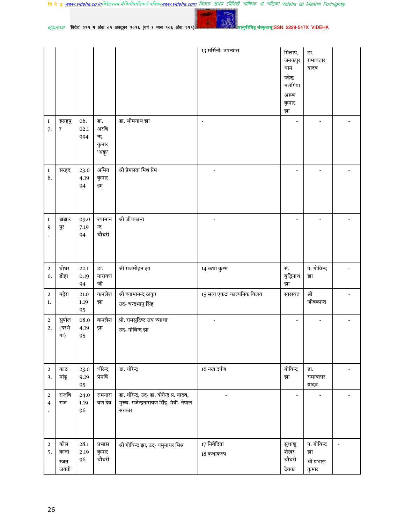वि दे ह <u>www.videha.co.in</u>विदेहप्रथम मैथिलीपाक्षिक ई पत्रिका<u>www.videha.com</u> রিদেহ প্রথম মৌথিরী পাক্ষিক প্র পত্রিকা Videha Ist Maithili Fortnightly

YO-

 $e$ journal 'विदेह' २११ म अंक ०१ अक्टूबर २०१६ (वर्ष ९ मास १०६ अंक २११)

|                                  |                       |                        |                                        |                                                                                                   | 13 मर्सिनी- उपन्यास        | मिलाप,<br>जनकपुर<br>धाम<br>महेन्द्र<br>मलंगिया<br>अरूण<br>कुमार<br>झा | डा.<br>रामावतार<br>यादव |  |
|----------------------------------|-----------------------|------------------------|----------------------------------------|---------------------------------------------------------------------------------------------------|----------------------------|-----------------------------------------------------------------------|-------------------------|--|
| $\mathbf{1}$<br>7.               | इसहपु<br>₹            | 06.<br>02.1<br>994     | डा.<br>अरवि<br>न्द<br>कुमार<br>'अक्नू' | डा. भीमनाथ झा                                                                                     | $\overline{a}$             |                                                                       |                         |  |
| $\mathbf 1$<br>8.                | सरहद                  | 23.0<br>4.19<br>94     | अमिय<br>कुमार<br>झा                    | श्री प्रेमलता मिश्र प्रेम                                                                         |                            |                                                                       |                         |  |
| $\mathbf{1}$<br>9                | झंझार<br>पुर          | 09.0<br>7.19<br>94     | श्यामान<br>न्द<br>चौधरी                | श्री जीवकान्त                                                                                     |                            |                                                                       |                         |  |
|                                  | घोघर                  | 22.1                   | डा.                                    | श्री राजमोहन झा                                                                                   | 14 कथा कुम्भ               | सं.                                                                   | पं. गोविन्द             |  |
| $\sqrt{2}$<br>0.                 | डीहा                  | 0.19<br>94             | नारायण<br>जी                           |                                                                                                   |                            | बुद्धिनाथ<br>झा                                                       | झा                      |  |
| $\boldsymbol{2}$<br>1.           | बहेरा                 | $21.0\,$<br>1.19<br>95 | कमलेश<br>झा                            | श्री श्यामानन्द ठाकुर<br>उद- चन्द्रभानु सिंह                                                      | 15 सत्य एकटा काल्पनिक विजय | सारस्वत                                                               | श्री<br>जीवकान्त        |  |
| $\overline{c}$<br>2.             | सुपौल<br>(दरभं<br>गा) | 08.0<br>4.19<br>95     | कमलेश<br>झा                            | प्रो. रामसुदिष्ट राय 'व्याधा'<br>उद- गोविन्द झा                                                   |                            |                                                                       |                         |  |
| $\overline{2}$<br>3.             | काठ<br>मांडू          | 23.0<br>9.19<br>95     | धीरेन्द्र<br>प्रेमर्षि                 | डा. धीरेन्द्र                                                                                     | 16 नख दर्पण                | गोविन्द<br>झा                                                         | डा.<br>रामावतार<br>यादव |  |
| $\overline{2}$<br>$\overline{4}$ | राजवि<br>राज          | 24.0<br>1.19<br>96     | रामनारा<br>यण देव                      | डा. धीरेन्द्र, उद- डा. योगेन्द्र प्र. यादव,<br>मुख्य- गजेन्द्रनारायण सिंह, मंत्री- नेपाल<br>सरकार |                            |                                                                       |                         |  |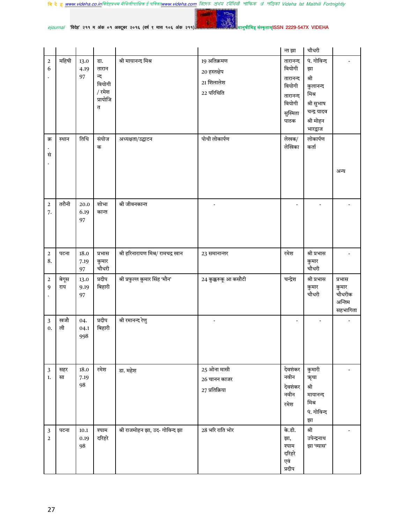

| <i>ejournal "</i> विदेह" २११ म अंक ०१ अक्टूबर २०१६ (वर्ष ९ मास १०६ अंक २११) - |  |  |  |  |  |  |  |  |  |  |  |  |  |  |
|-------------------------------------------------------------------------------|--|--|--|--|--|--|--|--|--|--|--|--|--|--|
|-------------------------------------------------------------------------------|--|--|--|--|--|--|--|--|--|--|--|--|--|--|

|                                  |              |                        |                                                          |                                   |                                                         | न्त झा                                                                             | चौधरी                                                                                                |                                                 |
|----------------------------------|--------------|------------------------|----------------------------------------------------------|-----------------------------------|---------------------------------------------------------|------------------------------------------------------------------------------------|------------------------------------------------------------------------------------------------------|-------------------------------------------------|
| $\overline{2}$<br>6              | महिषी        | 13.0<br>4.19<br>97     | डा.<br>तारान<br>न्द<br>वियोगी<br>/ रमेश<br>प्रायोजि<br>त | श्री मायानन्द मिश्र               | 19 अतिक्रमण<br>20 हस्तक्षेप<br>21 शिलालेश<br>22 परिचिति | तारानन्द<br>वियोगी<br>तारानन्द<br>वियोगी<br>तारानन्द<br>वियोगी<br>सुस्मिता<br>पाठक | पं. गोविन्द<br>झा<br>श्री<br>कुलानन्द<br>मिश्र<br>श्री सुभाष<br>चन्द्र यादव<br>श्री मोहन<br>भारद्वाज |                                                 |
| क्र<br>सं                        | स्थान        | तिथि                   | संयोज<br>क                                               | अध्यक्षता/उद्घाटन                 | पोथी लोकार्पण                                           | लेखक/<br>लेखिका                                                                    | लोकार्पण<br>कर्ता                                                                                    | अन्य                                            |
| $\mathbf 2$<br>7.                | तरौनी        | 20.0<br>6.19<br>97     | शोभा<br>कान्त                                            | श्री जीवनकान्त                    | $\overline{\phantom{0}}$                                | $\overline{\phantom{a}}$                                                           |                                                                                                      |                                                 |
| $\boldsymbol{2}$<br>8.           | पटना         | 18.0<br>7.19<br>97     | प्रभास<br>कुमार<br>चौधरी                                 | श्री हरिनारायण मिश्र/ रामचद्र खान | 23 समानान्तर                                            | रमेश                                                                               | श्री प्रभास<br>कुमार<br>चौधरी                                                                        |                                                 |
| $\overline{2}$<br>9              | बेगूस<br>राय | 13.0<br>9.19<br>97     | प्रदीप<br>बिहारी                                         | श्री प्रफुल्ल कुमार सिंह 'मौन'    | 24 कुक्करूकू आ कसौटी                                    | चन्द्रेश                                                                           | श्री प्रभास<br>कुमार<br>चौधरी                                                                        | प्रभास<br>कुमार<br>चौधरीक<br>अन्तिम<br>सहभागिता |
| 3<br>0.                          | खजौ<br>ली    | 04.<br>04.1<br>998     | प्रदीप<br>बिहारी                                         | श्री रमानन्द रेणु                 | $\overline{\phantom{a}}$                                | $\overline{\phantom{a}}$                                                           |                                                                                                      |                                                 |
| $\mathfrak{Z}$<br>1.             | सहर<br>सा    | 18.0<br>7.19<br>98     | रमेश                                                     | डा. महेश                          | $25$ ओना मासी<br>26 चानन काजर<br>27 प्रतिक्रिया         | देवशंकर<br>नवीन<br>देवशंकर<br>नवीन<br>रमेश                                         | कुमारी<br>ऋृचा<br>श्री<br>मायानन्द<br>मिश्र<br>पं. गोविन्द<br>झा                                     |                                                 |
| $\mathfrak{Z}$<br>$\overline{2}$ | पटना         | $10.1\,$<br>0.19<br>98 | श्याम<br>दरिहरे                                          | श्री राजमोहन झा, उद- गोविन्द झा   | 28 भरि राति भोर                                         | के.डी.<br>झा,<br>श्याम<br>दरिहरे<br>एवं<br>प्रदीप                                  | श्री<br>उपेन्द्रनाथ<br>झा 'व्यास'                                                                    |                                                 |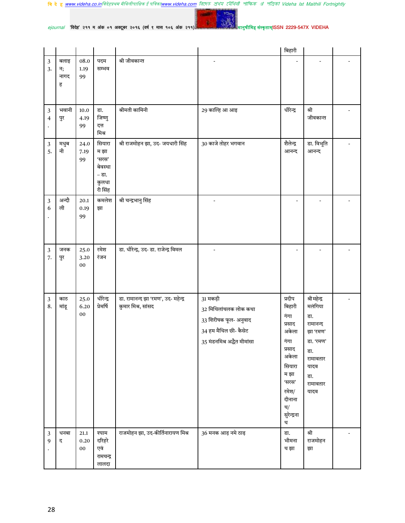YO.

 $e$ journal 'विदेह' २११ म अंक ०१ अक्टूबर २०१६ (वर्ष ९ मास १०६ अंक २११)

|                      |                         |                            |                                                                 |                                                           |                                                                                                                    | बिहारी                                                                                                                                        |                                                                                                                            |  |
|----------------------|-------------------------|----------------------------|-----------------------------------------------------------------|-----------------------------------------------------------|--------------------------------------------------------------------------------------------------------------------|-----------------------------------------------------------------------------------------------------------------------------------------------|----------------------------------------------------------------------------------------------------------------------------|--|
| $\mathfrak{Z}$<br>3. | बलाइ<br>न;<br>नागद<br>ह | 08.0<br>1.19<br>99         | पदम<br>सम्भव                                                    | श्री जीवकान्त                                             |                                                                                                                    |                                                                                                                                               |                                                                                                                            |  |
| 3<br>4               | भवानी<br>पुर            | 10.0<br>4.19<br>99         | डा.<br>जिष्णु<br>दत्त<br>मिश्र                                  | श्रीमती कामिनी                                            | 29 काल्हि आ आइ                                                                                                     | धीरेन्द्र                                                                                                                                     | श्री<br>जीवकान्त                                                                                                           |  |
| $\sqrt{3}$<br>5.     | मधुब<br>नी              | 24.0<br>7.19<br>99         | सियारा<br>म झा<br>'सरस'<br>बेवस्था<br>- डा.<br>कुलधा<br>री सिंह | श्री राजमोहन झा, उद- जयधारी सिंह                          | 30 काजे तोहर भगवान                                                                                                 | शैलेन्द्र<br>आनन्द                                                                                                                            | डा. विभूति<br>आनन्द                                                                                                        |  |
| 3<br>6               | अन्दौ<br>ली             | 20.1<br>0.19<br>99         | कमलेश<br>झा                                                     | श्री चन्द्रभानु सिंह                                      | $\overline{a}$                                                                                                     | $\overline{a}$                                                                                                                                |                                                                                                                            |  |
| 3<br>7.              | जनक<br>पुर              | 25.0<br>3.20<br>${\bf 00}$ | रमेश<br>रंजन                                                    | डा. धीरेन्द्र, उद- डा. राजेन्द्र विमल                     |                                                                                                                    |                                                                                                                                               |                                                                                                                            |  |
| $\mathbf{3}$<br>8.   | काठ<br>मांडू            | 25.0<br>6.20<br>00         | धीरेन्द्र<br>प्रेमर्षि                                          | डा. रामानन्द झा 'रमण', उद- महेन्द्र<br>कुमार मिश्र, सांसद | 31 मकड़ी<br>32 मिथिलांचलक लोक कथा<br>33 शिरीषक फूल- अनुवाद<br>34 हम मैथिल छी- कैसेट<br>35 मंडनमिश्र अद्धैत मीमांसा | प्रदीप<br>बिहारी<br>गंगा<br>प्रसाद<br>अकेला<br>गगा<br>प्रसाद<br>अकेला<br>सियारा<br>म झा<br>'सरस'<br>रमेश/<br>दीनाना<br>थ/<br>सुरेन्द्रना<br>थ | श्री महेन्द्र<br>मलंगिया<br>डा.<br>रामानन्द<br>झा 'रमण'<br>डा. 'रमण'<br>डा.<br>रामावतार<br>यादव<br>डा.<br>रामावतार<br>यादव |  |
| $\sqrt{3}$<br>9      | धनबा<br>द               | 21.1<br>0.20<br>$00\,$     | श्याम<br>दरिहरे<br>एवं<br>रामचन्द्र<br>लालदा                    | राजमोहन झा, उद-कीर्तिनारायण मिश्र                         | 36 मनक आड़ नमे ठाढ़                                                                                                | डा.<br>भीमना<br>थ झा                                                                                                                          | श्री<br>राजमोहन<br>झा                                                                                                      |  |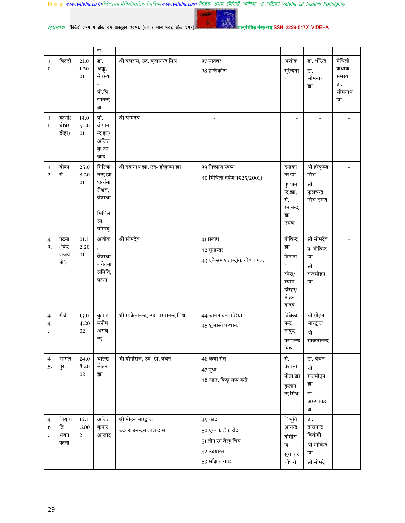$ejournal$  'विदेह' २११ म अंक ०१ अक्टूबर २०१६ (वर्ष ९ मास १०६ अंक २११)

YO. **Contract** 

|                      |                              |                               | स                                                                              |                                           |                                                                                 |                                                                            |                                                                |                                                 |
|----------------------|------------------------------|-------------------------------|--------------------------------------------------------------------------------|-------------------------------------------|---------------------------------------------------------------------------------|----------------------------------------------------------------------------|----------------------------------------------------------------|-------------------------------------------------|
| $\overline{4}$<br>0. | बिटठो                        | 21.0<br>1.20<br>01            | डा.<br>अक्नू,<br>बेवस्था<br>प्रो.वि<br>द्यानन्द<br>झा                          | श्री बलराम, उद. कुलानन्द मिश्र            | 37 मातवर<br>38 दृष्टिकोण                                                        | अशोक<br>सुरेन्द्रना<br>थ                                                   | डा. धीरेन्द्र<br>डा.<br>भीमनाथ<br>झा                           | मैथिली<br>कथाक<br>समस्या<br>डा.<br>भीमनाथ<br>झा |
| $\overline{4}$<br>1. | हटनी(<br>घोघर<br>डीहा)       | 19.0<br>5.20<br>01            | प्रो.<br>योगान<br>न्द झा/<br>अजित<br>कु.आ<br>जाद                               | श्री सामदेव                               |                                                                                 |                                                                            |                                                                |                                                 |
| $\overline{4}$<br>2. | बोका<br>रो                   | 25.0<br>8.20<br>01            | गिरिजा<br>नन्द झा<br>'अर्धना<br>रीश्वर',<br>बेवस्था<br>मिथिला<br>सा.<br>परिषद् | श्री दयानाथ झा, उद- हरेकृष्ण झा           | 39 निष्प्राण स्वप्न<br>40 मिथिला दर्पण(1925/2001)                               | दयाका<br>न्त झा<br>पुण्यान<br>न्द झा,<br>सं.<br>रमानन्द<br>झा<br>'रमण'     | श्री हरेकृष्ण<br>मिश्र<br>श्री<br>फूलचन्द्र<br>मिश्र 'रमण'     |                                                 |
| $\overline{4}$<br>3. | पटना<br>(किर<br>णजयं<br>ती)  | 01.1<br>2.20<br>01            | अशोक<br>बेवस्था<br>- चेतना<br>समिति,<br>पटना                                   | श्री सोमदेव                               | 41 प्रलाप<br>42 युगान्तर<br>43 एकैसम शताब्दीक घोष्णा पत्र.                      | गोविन्द<br>झा<br>विश्वना<br>थ<br>रमेश/<br>श्याम<br>दरिहरे/<br>मोहन<br>यादव | श्री सोमदेव<br>पं. गोविन्द<br>झा<br>श्री<br>राजमोहन<br>झा      |                                                 |
| $\overline{4}$<br>4  | राँची                        | 13.0<br>4.20<br>02            | कुमार<br>मनीष<br>अरवि<br>न्द                                                   | श्री साकेतानन्द, उद- परमानन्द मिश्र       | 44 चानन घन गछिया<br>45 शुभास्ते पन्थान:                                         | विवेका<br>नन्द<br>ठाकुर<br>परमान्न्द<br>मिश्र                              | श्री मोहन<br>भारद्वाज<br>श्री<br>साकेतानन्द                    |                                                 |
| $\overline{4}$<br>5. | भागल<br>पुर                  | 24.0<br>8.20<br>02            | धीरेन्द्र<br>मोहन<br>झा                                                        | श्री योगीराज, उद- डा. बेचन                | 46 कथा सेतु<br>47 पृथा<br>48 आउ, किछु गप्प करी                                  | सं.<br>प्रशान्त<br>नीता झा<br>कुलान<br>न्द मिश्र                           | डा. बेचन<br>श्री<br>राजमोहन<br>झा<br>डा.<br>अरूणाकर<br>झा      |                                                 |
| $\overline{4}$<br>6  | विद्याप<br>ति<br>भवन<br>पटना | 16.11<br>.200<br>$\mathbf{2}$ | अजित<br>कुमार<br>आजाद                                                          | श्री मोहन भारद्वाज<br>उद-राजनन्दन लाल दास | 49 काठ<br>50 एक फाॅक रौद<br>51 तीन रंग तेरह चित्र<br>52 उदयास्त<br>53 साँझक गाछ | विभूति<br>आनन्द<br>योगीरा<br>ज<br>सुधाकर<br>चौधरी                          | डा.<br>तारानन्द<br>वियोगी<br>श्री गोविन्द<br>झा<br>श्री सोमदेव |                                                 |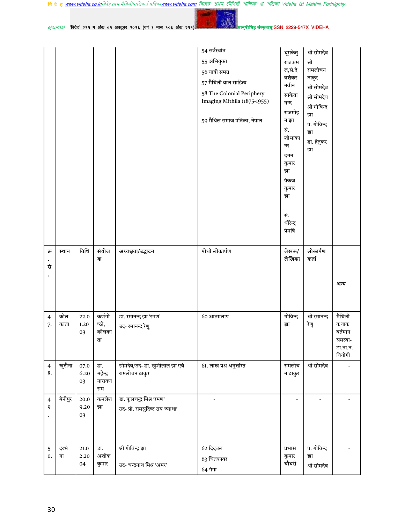वि दे ह <u>www.videha.co.in</u>विदेहप्रथम मैथिलीपाक्षिक ई पत्रिका<u>www.videha.com</u> রিদেহ প্রথম মৌথিরী পাক্ষিক প্র পত্রিকা Videha Ist Maithili Fortnightly

 $ejournal$  'विदेह' २११ म अंक ०१ अक्टूबर २०१६ (वर्ष ९ मास १०६ अंक २११)

**Service** 

YO.

|                      |             |                        |                                |                                                                | 54 सर्वस्वांत<br>55 अभियुक्त<br>56 यात्री समग्र<br>57 मैथिली बाल साहित्य<br>58 The Colonial Periphery<br>Imaging Mithila (1875-1955)<br>59 मैथिल समाज पत्रिका, नेपाल | धूमकेतु<br>राजकम<br>ल,सं.दे<br>वशंकर<br>नवीन<br>साकेता<br>नन्द<br>राजमोह<br>न झा<br>सं.<br>शोभाका<br>न्त<br>दमन<br>कुमार<br>झा<br>पंकज<br>कुमार<br>झा<br>सं.<br>धीरेन्द्र | श्री सोमदेव<br>श्री<br>रामलोचन<br>ठाकुर<br>श्री सोमदेव<br>श्री सोमदेव<br>श्री गोविन्द<br>झा<br>पं. गोविन्द<br>झा<br>डा. हेतुकर<br>झा |                                                           |
|----------------------|-------------|------------------------|--------------------------------|----------------------------------------------------------------|----------------------------------------------------------------------------------------------------------------------------------------------------------------------|---------------------------------------------------------------------------------------------------------------------------------------------------------------------------|--------------------------------------------------------------------------------------------------------------------------------------|-----------------------------------------------------------|
| क्र<br>सं            | स्थान       | तिथि                   | संयोज<br>क                     | अध्यक्षता/उद्घाटन                                              | पोथी लोकार्पण                                                                                                                                                        | प्रेमर्षि<br>लेखक/<br>लेखिका                                                                                                                                              | लोकार्पण<br>कर्ता                                                                                                                    | अन्य                                                      |
| $\overline{4}$<br>7. | कोल<br>काता | 22.0<br>1.20<br>03     | कर्णगो<br>ष्ठी,<br>कोलका<br>ता | डा. रमानन्द झा 'रमण'<br>उद- रमानन्द रेणु                       | 60 आत्मालाप                                                                                                                                                          | गोविन्द<br>झा                                                                                                                                                             | श्री रमानन्द<br>रेणु                                                                                                                 | मैथिली<br>कथाक<br>वर्तमान<br>समस्या<br>डा.ता.न.<br>वियोगी |
| $\overline{4}$<br>8. | खुटौना      | 07.0<br>6.20<br>03     | डा.<br>महेन्द्र<br>नारायण      | सोमदेव/उद- डा. खुशीलाल झा एवं<br>रामलोचन ठाकुर                 | 61. लाख प्रश्न अनुत्तरित                                                                                                                                             | रामलोच<br>न ठाकुर                                                                                                                                                         | श्री सोमदेव                                                                                                                          |                                                           |
| $\overline{4}$<br>9  | बेनीपुर     | 20.0<br>9.20<br>03     | राम<br>कमलेश<br>झा             | डा. फूलचन्द्र मिश्र 'रमण'<br>उद- प्रो. रामसुदिष्ट राय 'व्याधा' | $\frac{1}{2}$                                                                                                                                                        | $\overline{\phantom{a}}$                                                                                                                                                  |                                                                                                                                      |                                                           |
| 5<br>$\mathbf{0}$ .  | दरभं<br>गा  | $21.0\,$<br>2.20<br>04 | डा.<br>अशोक<br>कुमार           | श्री गोविन्द्र झा<br>उद- चन्द्रनाथ मिश्र 'अमर'                 | $62$ दिदबल<br>63 चितकावर                                                                                                                                             | प्रभास<br>कुमार<br>चौधरी                                                                                                                                                  | पं. गोविन्द<br>झा<br>श्री सोमदेव                                                                                                     |                                                           |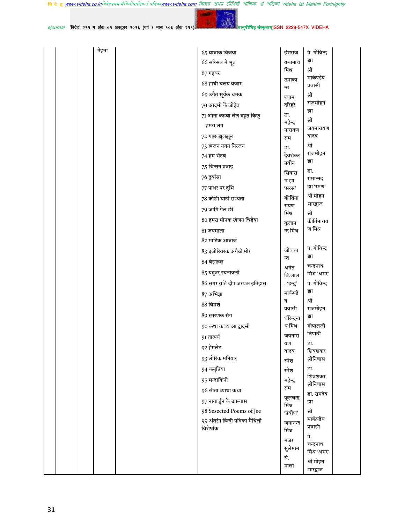वि दे ह <u>www.videha.co.in</u>विदेहप्रथम मैथिलीपाक्षिक ई पत्रिका<u>www.videha.com</u> রিদেহ প্রথম মৌথিরী পাক্ষিক প্র পত্রিকা Videha Ist Maithili Fortnightly

 $ro<sub>0</sub>$ **START** 

ejournal 'विदेह' २११ म अंक ०१ अक्टूबर २०१६ (वर्ष ९ मास १०६ अंक २११)

| मेहता | $65$ बाबाक विजया                            | हंशराज             | पं. गोविन्द              |
|-------|---------------------------------------------|--------------------|--------------------------|
|       | 66 सरिसब मे भूत                             | यन्त्रनाथ          | झा                       |
|       | $67$ गहवर                                   | मिश्र              | श्री                     |
|       | 68 हाथी चलय बजार                            | उमाका              | मार्कण्डेय<br>प्रवासी    |
|       | 69 उगैत सूर्यक धमक                          | न्त                | श्री                     |
|       | 70 आदमी कें जोहैत                           | श्याम<br>दरिहरे    | राजमोहन                  |
|       |                                             | डा.                | झा                       |
|       | 71 ओना कहबा लेल बहुत किछु                   | महेन्द्र           | श्री                     |
|       | हमरा लग                                     | नारायण             | जयनारायण                 |
|       | 72 गाछ झूलझूल                               | राम                | यादव                     |
|       | 73 खंजन नयन निरंजन                          | डा.                | श्री<br>राजमोहन          |
|       | 74 हम भेटब                                  | देवशंकर            | झा                       |
|       | 75 चिन्तन प्रवाह                            | नवीन               | डा.                      |
|       | 76 दुर्वासा                                 | सियारा<br>म झा     | रामान्नद                 |
|       | 77 पाथर पर दुभि                             | 'सरस'              | झा 'रमण'                 |
|       | 78 कोशी घाटी सभ्यता                         | कीर्तिना           | श्री मोहन                |
|       | 79 जागि गेल छी                              | रायण               | भारद्वाज                 |
|       | 80 हमरा मोनक खंजन चिड़ैया                   | मिश्र              | श्री<br>कीर्तिनाराय      |
|       | 81 जयमाला                                   | कुलान<br>न्द मिश्र | ण मिश्र                  |
|       | 82 माटिक आबाज                               |                    |                          |
|       | 83 इजोरियरक अंगैठी मोर                      | जीवका              | पं. गोविन्द्र            |
|       |                                             | न्त                | झा                       |
|       | 84 बेसाहल                                   | अनंत               | चन्द्रनाथ                |
|       | 85 यदुवर रचनावली                            | बि.लाल             | मिश्र 'अमर'              |
|       | 86 सगर राति दीप जरयक इतिहास                 | . 'इन्दु'          | पं. गोविन्द              |
|       | 87 अभिज्ञा                                  | मार्कण्डे          | झा                       |
|       | 88 विमर्श                                   | य<br>प्रवासी       | श्री<br>राजमोहन          |
|       | 89 स्मरणक संग                               | धीरेन्द्रना        | झा                       |
|       | 90 कथा काव्य आ द्वादसी                      | थ मिश्र            | गोपालजी                  |
|       | 91 तात्पर्य                                 | जयनारा             | त्रिपाठी                 |
|       | 92 हेमलेट                                   | यण                 | डा.                      |
|       | 93 लोरिक मनियार                             | यादव               | शिवशंकर<br>श्रीनिवास     |
|       | 94 कनुप्रिया                                | रमेश               | डा.                      |
|       | 95 मन्दाकिनी                                | रमेश               | शिवशंकर                  |
|       |                                             | महेन्द्र<br>राम    | श्रीनिवास                |
|       | 96 सीता व्याथा कथा                          | फूलचन्द्र          | डा. रामदेव               |
|       | 97 नागार्जुन के उपन्यास                     | मिश्र              | झा                       |
|       | 98 Sesected Poems of Jee                    | 'प्रवीण'           | श्री<br>मार्कण्डेय       |
|       | 99 अंतरंग हिन्दी पत्रिका मैथिली<br>विशेषांक | जयानन्द<br>मिश्र   | प्रवासी                  |
|       |                                             | मंजर               | पं.                      |
|       |                                             | सुलेमान            | चन्द्रनाथ<br>मिश्र 'अमर' |
|       |                                             | सं.                | श्री मोहन                |
|       |                                             | माला               | भारद्वाज                 |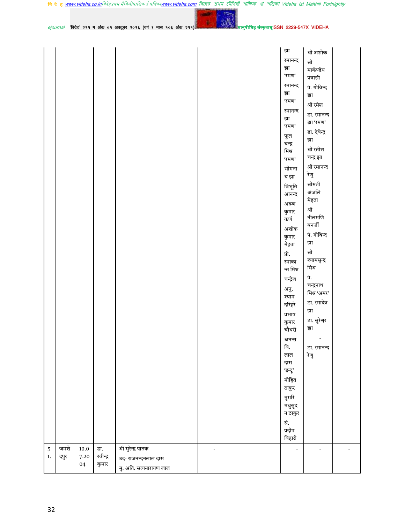YO-

 $e$ journal 'विदेह' २११ म अंक ०१ अक्टूबर २०१६ (वर्ष ९ मास १०६ अंक २११)

मानु<mark>षीमिह संस्कृताम्</mark>ISSN 2229-547X VIDEHA

|            |      |          |          |                         | झा                       | श्री अशोक                |  |
|------------|------|----------|----------|-------------------------|--------------------------|--------------------------|--|
|            |      |          |          |                         | रमानन्द                  |                          |  |
|            |      |          |          |                         | झा                       | श्री                     |  |
|            |      |          |          |                         | 'रमण'                    | मार्कण्डेय               |  |
|            |      |          |          |                         | रमानन्द                  | प्रवासी                  |  |
|            |      |          |          |                         | झा                       | पं. गोविन्द              |  |
|            |      |          |          |                         | 'रमण'                    | झा                       |  |
|            |      |          |          |                         | रमानन्द                  | श्री रमेश                |  |
|            |      |          |          |                         | झा                       | डा. रमानन्द              |  |
|            |      |          |          |                         | 'रमण'                    | झा 'रमण'                 |  |
|            |      |          |          |                         |                          | डा. देवेन्द्र            |  |
|            |      |          |          |                         | फूल<br>चन्द्र            | झा                       |  |
|            |      |          |          |                         | मिश्र                    | श्री रतीश                |  |
|            |      |          |          |                         | 'रमण'                    | चन्द्र झा                |  |
|            |      |          |          |                         | भीमना                    | श्री रमानन्द             |  |
|            |      |          |          |                         |                          | रेणु                     |  |
|            |      |          |          |                         | थ झा                     | श्रीमती                  |  |
|            |      |          |          |                         | विभूति                   | अंजलि                    |  |
|            |      |          |          |                         | आनन्द                    | मेहता                    |  |
|            |      |          |          |                         | अरूण                     | श्री                     |  |
|            |      |          |          |                         | कुमार                    | नीलमणि                   |  |
|            |      |          |          |                         | कर्ण                     | बनर्जी                   |  |
|            |      |          |          |                         | अशोक                     | पं. गोविन्द              |  |
|            |      |          |          |                         | कुमार                    | झा                       |  |
|            |      |          |          |                         | मेहता                    |                          |  |
|            |      |          |          |                         | प्रो.                    | श्री                     |  |
|            |      |          |          |                         | रमाका                    | श्यामसुन्द्र<br>मिश्र    |  |
|            |      |          |          |                         | न्त मिश्र                |                          |  |
|            |      |          |          |                         | चन्द्रेश                 | पं.                      |  |
|            |      |          |          |                         | अनु.                     | चन्द्रनाथ<br>मिश्र 'अमर' |  |
|            |      |          |          |                         | श्याम                    |                          |  |
|            |      |          |          |                         | दरिहरे                   | डा. रमादेव               |  |
|            |      |          |          |                         | प्रभाष                   | झा                       |  |
|            |      |          |          |                         | कुमार                    | डा. सुरेश्वर             |  |
|            |      |          |          |                         | चौधरी                    | झा                       |  |
|            |      |          |          |                         | अनन्त                    | $\overline{\phantom{a}}$ |  |
|            |      |          |          |                         | बि.                      | डा. रमानन्द              |  |
|            |      |          |          |                         | लाल                      | रेणु                     |  |
|            |      |          |          |                         | दास                      |                          |  |
|            |      |          |          |                         | 'इन्दू'                  |                          |  |
|            |      |          |          |                         | मोहित                    |                          |  |
|            |      |          |          |                         | ठाकुर                    |                          |  |
|            |      |          |          |                         | मुरारि                   |                          |  |
|            |      |          |          |                         | मधुसुद                   |                          |  |
|            |      |          |          |                         | न ठाकुर                  |                          |  |
|            |      |          |          |                         | सं.                      |                          |  |
|            |      |          |          |                         | प्रदीप                   |                          |  |
|            |      |          |          |                         | बिहारी                   |                          |  |
| $\sqrt{5}$ | जमशे | $10.0\,$ | डा.      | श्री सुरेन्द्र पाठक     | $\overline{\phantom{a}}$ |                          |  |
| 1.         | दपुर | 7.20     | रवीन्द्र | उद-राजनन्दनलाल दास      |                          |                          |  |
|            |      | 04       | कुमार    | मु. अति. सत्यनारायण लाल |                          |                          |  |
|            |      |          |          |                         |                          |                          |  |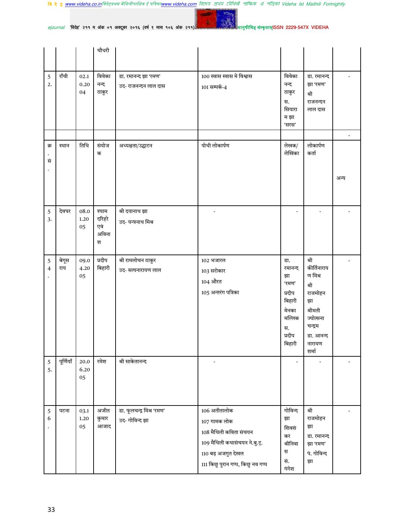वि दे ह <u>www.videha.co.in</u>विदेहप्रथम मैथिलीपाक्षिक ई पत्रिका<u>www.videha.com</u> রিদেহ প্রথম মৌথিরী পাক্ষিক প্র পত্রিকা Videha Ist Maithili Fortnightly

 $25<sub>0</sub>$ **Contract** 

 $ejournal$  'विदेह' २११ म अंक ०१ अक्टूबर २०१६ (वर्ष ९ मास १०६ अंक २११)

|                               |              |                        | चौधरी                                |                                              |                                                                                                                                                    |                                                                                                |                                                                                                                            |                          |
|-------------------------------|--------------|------------------------|--------------------------------------|----------------------------------------------|----------------------------------------------------------------------------------------------------------------------------------------------------|------------------------------------------------------------------------------------------------|----------------------------------------------------------------------------------------------------------------------------|--------------------------|
| 5<br>2.                       | राँची        | 02.1<br>0.20<br>04     | विवेका<br>नन्द<br>ठाकुर              | डा. रमानन्द झा 'रमण'<br>उद- राजनन्दन लाल दास | 100 स्वास स्वास मे विश्वास<br>101 सम्पर्क-4                                                                                                        | विवेका<br>नन्द<br>ठाकुर<br>स.<br>सियारा<br>म झा<br>'सरस'                                       | डा. रमानन्द<br>झा 'रमण'<br>श्री<br>राजनन्दन<br>लाल दास                                                                     |                          |
|                               |              |                        |                                      |                                              |                                                                                                                                                    |                                                                                                |                                                                                                                            | $\overline{\phantom{a}}$ |
| क्र<br>सं                     | स्थान        | तिथि                   | संयोज<br>क                           | अध्यक्षता/उद्घाटन                            | पोथी लोकार्पण                                                                                                                                      | लेखक/<br>लेखिका                                                                                | लोकार्पण<br>कर्ता                                                                                                          | अन्य                     |
| $\sqrt{5}$<br>3.              | देवघर        | 08.0<br>1.20<br>05     | श्याम<br>दरिहरे<br>एवं<br>अविना<br>श | श्री दयानाथ झा<br>उद-यन्त्रनाथ मिश्र         |                                                                                                                                                    |                                                                                                |                                                                                                                            |                          |
| $\mathbf 5$<br>$\overline{4}$ | बेगूस<br>राय | 09.0<br>4.20<br>05     | प्रदीप<br>बिहारी                     | श्री रामलोचन ठाकुर<br>उद-सत्यनारायण लाल      | 102 भजारल<br>103 सरोकार<br>104 औरत<br>105 अन्तरंग पत्रिका                                                                                          | डा.<br>रमानन्द<br>झा<br>'रमण'<br>प्रदीप<br>बिहारी<br>मेनका<br>मल्लिक<br>स.<br>प्रदीप<br>बिहारी | श्री<br>कीर्तिनाराय<br>ण मिश्र<br>श्री<br>राजमोहन<br>झा<br>श्रीमती<br>ज्योत्सना<br>चन्द्रम<br>डा. आनन्द<br>नारायण<br>शर्मा |                          |
| $\sqrt{5}$<br>5.              | पूर्णियाँ    | 20.0<br>6.20<br>05     | रमेश                                 | श्री साकेतानन्द                              |                                                                                                                                                    |                                                                                                |                                                                                                                            |                          |
| $\sqrt{5}$<br>6               | पटना         | 03.1<br>$1.20\,$<br>05 | अजीत<br>कुमार<br>आजाद                | डा. फूलचन्द्र मिश्र 'रमण'<br>उद- गोविन्द झा  | 106 अतीतालोक<br>107 गामक लोक<br>108 मैथिली कविता संचयन<br>109 मैथिली कथासंचयन ने.बु.ट्.<br>110 बड़ अजगुत देखल<br>111 किछु पुरान गप्प, किछु नव गप्प | गोविन्द<br>झा<br>शिवशं<br>कर<br>श्रीनिवा<br>स<br>सं.<br>गंगेश                                  | श्री<br>राजमोहन<br>झा<br>डा. रमानन्द<br>झा 'रमण'<br>पं. गोविन्द<br>झा                                                      |                          |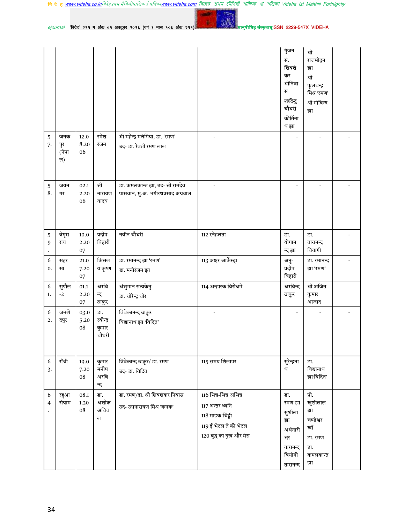**Contract** 

 $10<sub>0</sub>$ 

λ

मानुषीमिह संस्कृताम्ISSN 2229-547X VIDEHA

ejournal 'विदेह' २११ म अंक ०१ अक्टूबर २०१६ (वर्ष ९ मास १०६ अंक २११)

|                              |                           |                        |                                   |                                                                       |                                                                                                                   | गुंजन<br>सं.<br>शिवशं<br>कर<br>श्रीनिवा<br>स<br>शरदिन्दु<br>चौधरी<br>कीर्तिना<br>थ झा | श्री<br>राजमोहन<br>झा<br>श्री<br>फूलचन्द्र<br>मिश्र 'रमण'<br>श्री गोविन्द<br>झा |  |
|------------------------------|---------------------------|------------------------|-----------------------------------|-----------------------------------------------------------------------|-------------------------------------------------------------------------------------------------------------------|---------------------------------------------------------------------------------------|---------------------------------------------------------------------------------|--|
| $\sqrt{5}$<br>7.             | जनक<br>पुर<br>(नेपा<br>ल) | 12.0<br>8.20<br>06     | रमेश<br>रंजन                      | श्री महेन्द्र मलंगिया, डा. 'रमण'<br>उद-डा. रेवती रमण लाल              |                                                                                                                   | $\overline{\phantom{a}}$                                                              |                                                                                 |  |
| $\sqrt{5}$<br>8.             | जयन<br>गर                 | 02.1<br>2.20<br>06     | श्री<br>नारायण<br>यादव            | डा. कमलकान्त झा, उद- श्री रामदेव<br>पासवान, मु.अ. भगीरथप्रसाद अग्रवाल |                                                                                                                   |                                                                                       |                                                                                 |  |
| $\sqrt{5}$<br>9<br>$\bullet$ | बेगूस<br>राय              | $10.0\,$<br>2.20<br>07 | प्रदीप<br>बिहारी                  | नवीन चौधरी                                                            | 112 स्नेहलता                                                                                                      | डा.<br>योगान<br>न्द झा                                                                | डा.<br>तारानन्द<br>वियागी                                                       |  |
| 6<br>0.                      | सहर<br>सा                 | 21.0<br>7.20<br>07     | किसल<br>य कृष्ण                   | डा. रमानन्द झा 'रमण'<br>डा. मनोरंजन झा                                | 113 अक्षर आर्केस्ट्रा                                                                                             | अनु-<br>प्रदीप<br>बिहारी                                                              | डा. रमानन्द<br>झा 'रमण'                                                         |  |
| 6<br>1.                      | सुपौल<br>$-2$             | 01.1<br>2.20<br>07     | अरवि<br>न्द<br>ठाकुर              | अंशुमान सत्यकेतु<br>डा. धीरेन्द्र धीर                                 | 114 अन्हारक विरोधमे                                                                                               | अरविन्द<br>ठाकुर                                                                      | श्री अजित<br>कुमार<br>आजाद                                                      |  |
| 6<br>2.                      | जमशे<br>दपुर              | 03.0<br>5.20<br>08     | डा.<br>रवीन्द्र<br>कुमार<br>चौधरी | विवेकानन्द ठाकुर<br>विद्यानाथ झा 'विदित'                              |                                                                                                                   | $\overline{\phantom{a}}$                                                              |                                                                                 |  |
| $\sqrt{6}$<br>3.             | राँची                     | 19.0<br>7.20<br>08     | कुमार<br>मनीष<br>अरवि<br>न्द      | विवेकान्द ठाकुर/ डा. रमण<br>उद-डा. विदित                              | 115 समय शिलापर                                                                                                    | सुरेन्द्रना<br>थ                                                                      | डा.<br>विद्यानाथ<br>झा'विदित'                                                   |  |
| 6<br>4                       | रहुआ<br>संग्राम           | 08.1<br>1.20<br>08     | डा.<br>अशोक<br>अविच<br>ल          | डा. रमण/डा. श्री शिवशंकर निवास<br>उद- उग्रनारायण मिश्र 'कनक'          | 116 भिन्न-भिन्न अभिन्न<br>117 अन्तर ध्वनि<br>118 माइक चिट्ठी<br>119 ई भेटल तँ की भेटल<br>120 बुद्ध का दुख और मेरा | डा.<br>रमण झा<br>सुशीला<br>झा<br>अर्धनारी<br>श्वर<br>तारानन्द<br>वियोगी<br>तारानन्द   | प्रो.<br>खुशीलाल<br>झा<br>चण्डेश्वर<br>खाँ<br>डा. रमण<br>डा.<br>कमलकान्त<br>झा  |  |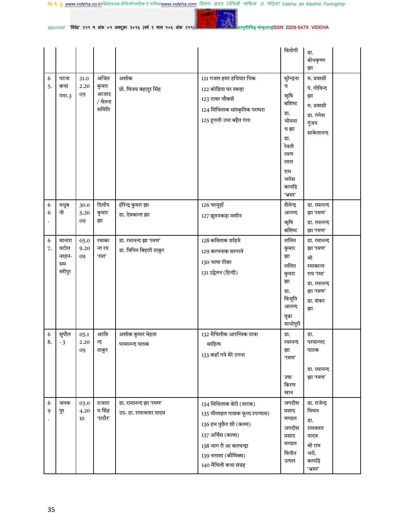वि दे ह <u>www.videha.co.in</u>विदेहप्रथम मैथिलीपाक्षिक ई पत्रिका<u>www.videha.com</u> রিদেহ প্রথম মৌথিরী পাক্ষিক প্র পত্রিকা Videha Ist Maithili Fortnightly

1992.00  $10<sub>12</sub>$  $ejournal$  'विदेह' २११ म अंक ०१ अक्टूबर २०१६ (वर्ष ९ मास १०६ अंक २११)

|         |                                          |                    |                                           |                                                |                                                                                                                                                                                    | वियोगी                                                                                                                      | डा.<br>बोधकृष्ण<br>झा                                                                                 |  |
|---------|------------------------------------------|--------------------|-------------------------------------------|------------------------------------------------|------------------------------------------------------------------------------------------------------------------------------------------------------------------------------------|-----------------------------------------------------------------------------------------------------------------------------|-------------------------------------------------------------------------------------------------------|--|
| 6<br>5. | पटना<br>कथा<br>गंगा-3                    | 21.0<br>2.20<br>09 | अजित<br>कुमार<br>आजाद<br>/ चेतना<br>समिति | अशोक<br>प्रो. विजय बहादुर सिंह                 | 121 गजल हमर हथियार थिक<br>122 कोढ़िया घर स्वाहा<br>123 टावर चौकसँ<br>124 मिथिलाक सांस्कृतिक परम्परा<br>125 हुगली उपर बहैत गंगा                                                     | सुरेन्द्रना<br>थ<br>ऋषि<br>बशिष्ट<br>डा.<br>भीमना<br>थ झा<br>डा.<br>रेवती<br>रमण<br>लाल<br>राम<br>भरोस<br>कापड़ि<br>'भ्रमर' | म. प्रवासी<br>पं. गोविन्द<br>झा<br>म. प्रवासी<br>डा. गंगेश<br>गुंजन<br>साकेतानन्द                     |  |
| 6<br>6  | मधुब<br>नी                               | 30.0<br>5.20<br>09 | दिलीप<br>कुमार<br>झा                      | हीरेन्द्र कुमार झा<br>डा. देवकान्त झा          | 126 घरमुहाँ<br>127 झुठपकड़ा मशीन                                                                                                                                                   | शैलेन्द्र<br>आनन्द<br>ऋषि<br>बशिष्ट                                                                                         | डा. रमानन्द<br>झा 'रमण'<br>डा. रमानन्द<br>झा 'रमण'                                                    |  |
| 6<br>7. | मानारा<br>यटोल<br>नरहन-<br>सम<br>स्तीपुर | 05.0<br>9.20<br>09 | रमाका<br>न्त रय<br>'रमा'                  | डा. रमानन्द झा 'रमण'<br>डा. विपिन बिहारी ठाकुर | 128 कविताक छाँहमे<br>129 कल्पनाक सागरमे<br>130 भाषा टीका<br>131 उद्वेलन (हिन्दी)                                                                                                   | ललित<br>कुमार<br>झा<br>ललित<br>कुमार<br>झा<br>डा.<br>विभूति<br>आनन्द<br>मुन्ना<br>माधोपुरी                                  | डा. रमानन्द<br>झा 'रमण'<br>श्री<br>रमाकान्त<br>राय 'रमा'<br>डा. रमानन्द<br>झा 'रमण'<br>डा. शंकर<br>झा |  |
| 6<br>8. | सुपौल<br>-3                              | 05.1<br>2.20<br>09 | अरवि<br>न्द<br>ठाकुर                      | अशोक कुमार मेहता<br>परमानन्द पाठक              | 132 मैथिलीक आरम्भिक यात्रा<br>साहित्य<br>133 कहाँ गये मेरे उगना                                                                                                                    | डा.<br>रमानन्द<br>झा<br>'रमण'<br>उषा<br>किरण<br>खान                                                                         | डा.<br>परमान्नद<br>पाठक<br>डा. रमानन्द<br>झा 'रमण'                                                    |  |
| 6<br>9  | जनक<br>पुर                               | 03.0<br>4.20<br>10 | राजारा<br>म सिंह<br>'राठौर'               | डा. रामानन्द झा 'रमण'<br>उद- डा. रामावतार यादव | 134 मिथिलाक बेटी (नाटक)<br>135 मौलाइल गाछक फूल(उपन्यास)<br>136 हम पुछैत छी (काव्य)<br>137 अर्चिस (काव्य)<br>138 भाग रौ आ बलचन्द्रा<br>139 नताशा (कौमिक्स)<br>140 मैथिली कथा संग्रह | जगदीश<br>प्रसाद<br>मण्डल<br>जगदीश<br>प्रसाद<br>मण्डल<br>विनीत<br>उत्पल                                                      | डा. राजेन्द्र<br>विमल<br>डा.<br>रामवतार<br>यादव<br>श्री राम<br>भरो.<br>कापड़ि<br>'भ्रमर'              |  |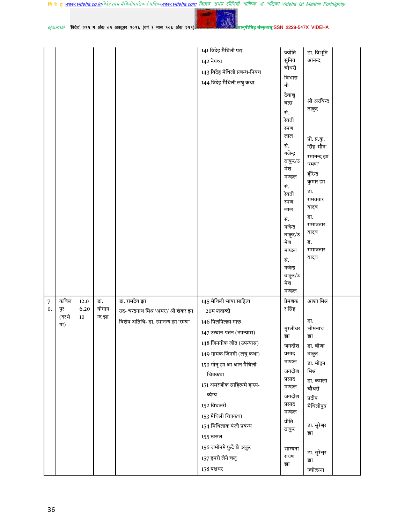वि दे ह <u>www.videha.co.in</u>विदेहप्रथम मैथिलीपाक्षिक ई पत्रिका<u>www.videha.com</u> রিদেহ প্রথম মৌথিরী পাক্ষিক প্র পত্রিকা Videha Ist Maithili Fortnightly

 $e$ journal 'विदेह' २११ म अंक ०१ अक्टूबर २०१६ (वर्ष ९ मास १०६ अंक २११)

YO-

|                      |             |              |              |                                         | 141 विदेह मैथिली पद्य          | ज्योति             | डा. विभूति                  |
|----------------------|-------------|--------------|--------------|-----------------------------------------|--------------------------------|--------------------|-----------------------------|
|                      |             |              |              |                                         | 142 नेपथ्य                     | सुनित              | आनन्द                       |
|                      |             |              |              |                                         | 143 विदेह मैथिली प्रबन्ध-निबंध | चौधरी              |                             |
|                      |             |              |              |                                         | 144 विदेह मैथिली लघु कथा       | विभारा<br>नी       |                             |
|                      |             |              |              |                                         |                                | देवांशु            |                             |
|                      |             |              |              |                                         |                                | बत्स               | श्री अरविन्द                |
|                      |             |              |              |                                         |                                | सं.                | ठाकुर                       |
|                      |             |              |              |                                         |                                | रेवती              |                             |
|                      |             |              |              |                                         |                                | रमण<br>लाल         |                             |
|                      |             |              |              |                                         |                                | सं.                | प्रो. प्र.कु.<br>सिंह 'मौन' |
|                      |             |              |              |                                         |                                | गजेन्द्र           | रमानन्द झा                  |
|                      |             |              |              |                                         |                                | ठाकुर/उ            | 'रमण'                       |
|                      |             |              |              |                                         |                                | मेश<br>मण्डल       | हीरेन्द्र                   |
|                      |             |              |              |                                         |                                | सं.                | कुमार झा                    |
|                      |             |              |              |                                         |                                | रेवती              | डा.                         |
|                      |             |              |              |                                         |                                | रमण                | रामवतार<br>यादव             |
|                      |             |              |              |                                         |                                | लाल                | डा.                         |
|                      |             |              |              |                                         |                                | सं.<br>गजेन्द्र    | रामावतार                    |
|                      |             |              |              |                                         |                                | ठाकुर/उ            | यादव                        |
|                      |             |              |              |                                         |                                | मेश                | ड.                          |
|                      |             |              |              |                                         |                                | मण्डल              | रामावतार<br>यादव            |
|                      |             |              |              |                                         |                                | सं.<br>गजेन्द्र    |                             |
|                      |             |              |              |                                         |                                | ठाकुर/उ            |                             |
|                      |             |              |              |                                         |                                | मेश                |                             |
|                      |             |              |              |                                         |                                | मण्डल              |                             |
| $\overline{7}$<br>0. | कबिल<br>पुर | 12.0<br>6.20 | डा.<br>योगान | डा. रामदेव झा                           | 145 मैथिली भाषा साहित्य        | प्रेमशंक<br>र सिंह | आशा मिश्र                   |
|                      | (दरभं       | 10           | न्द झा       | उद- चन्द्रनाथ मिश्र 'अमर'/ श्री शंकर झा | 20म शताब्दी                    |                    |                             |
|                      | गा)         |              |              | विशेष अतिथि- डा. रमानन्द झा 'रमण'       | 146 पिलपिलहा गाछ               | मुरलीधर            | डा.<br>भीमनाथ               |
|                      |             |              |              |                                         | 147 उत्थान-पतन (उपन्यास)       | झा                 | झा                          |
|                      |             |              |              |                                         | 148 जिनगीक जीत (उपन्यास)       | जगदीश              | डा. वीणा                    |
|                      |             |              |              |                                         | 149 गामक जिनगी (लघु कथा)       | प्रसाद             | ठाकुर                       |
|                      |             |              |              |                                         | 150 गोनू झा आ आन मैथिली        | मण्डल              | डा. मोहन                    |
|                      |             |              |              |                                         | चित्रकथा                       | जगदीश<br>प्रसाद    | मिश्र<br>डा. कमला           |
|                      |             |              |              |                                         | 151 अमरजीक साहित्यमे हास्य-    | मण्डल              | चौधरी                       |
|                      |             |              |              |                                         | व्यंग्य                        | जगदीश              | प्रदीप                      |
|                      |             |              |              |                                         | 152 विधकरी                     | प्रसाद             | मैथिलीपुत्र                 |
|                      |             |              |              |                                         | 153 मैथिली चित्रकथा            | मण्डल<br>प्रीति    |                             |
|                      |             |              |              |                                         | 154 मिथिलाक पंजी प्रबन्ध       | ठाकुर              | डा. सुरेश्वर                |
|                      |             |              |              |                                         | 155 खसल                        |                    | झा                          |
|                      |             |              |              |                                         | 156 जमीनमे फुटै छै अंकुर       | भाग्यना            |                             |
|                      |             |              |              |                                         | 157 हमरो लेने चलू              | रायण               | डा. सुरेश्वर<br>झा          |
|                      |             |              |              |                                         | 158 पक्षधर                     | झा                 | ज्योत्सना                   |
|                      |             |              |              |                                         |                                |                    |                             |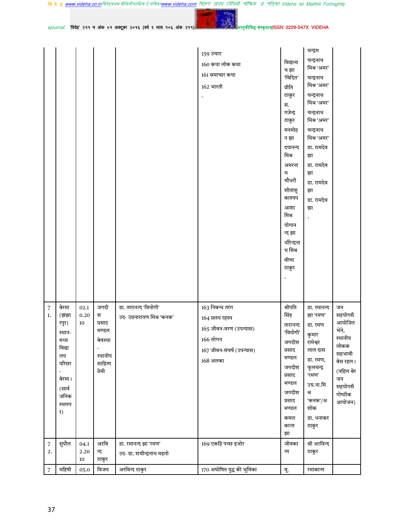|                                |                                                                                                               |                            |                                                                         |                                                                   | 159 उचाट<br>160 कथा लोक कथा<br>161 समाचार कथा<br>162 भारती                                                         | विद्याना<br>थ झा<br>'विदित'<br>प्रीति<br>ठाकुर<br>सं.<br>गजेन्द्र<br>ठाकुर<br>मनमोह<br>न झा<br>दयानन्द<br>मिश्र                                   | चन्द्रम<br>चन्द्रनाथ<br>मिश्र 'अमर'<br>चन्द्रनाथ<br>मिश्र 'अमर'<br>चन्द्रनाथ<br>मिश्र 'अमर'<br>चन्द्रनाथ<br>मिश्र 'अमर'<br>चन्द्रनाथ<br>मिश्र 'अमर'<br>डा. रामदेव<br>झा |                                                                                                                              |
|--------------------------------|---------------------------------------------------------------------------------------------------------------|----------------------------|-------------------------------------------------------------------------|-------------------------------------------------------------------|--------------------------------------------------------------------------------------------------------------------|---------------------------------------------------------------------------------------------------------------------------------------------------|-------------------------------------------------------------------------------------------------------------------------------------------------------------------------|------------------------------------------------------------------------------------------------------------------------------|
|                                |                                                                                                               |                            |                                                                         |                                                                   |                                                                                                                    | अमरना<br>थ<br>चौधरी<br>शीतांशु<br>काश्यप<br>आशा<br>मिश्र<br>योगान<br>न्द झा<br>धीरेन्द्रना<br>थ मिश्र<br>वीणा<br>ठाकुर                            | डा. रामदेव<br>झा<br>डा. रामदेव<br>झा<br>डा. रामदेव<br>झा<br>$\overline{a}$                                                                                              |                                                                                                                              |
| $\overline{7}$<br>1.           | बेरमा<br>(झंझा<br>रपुर)<br>स्थान-<br>मध्य<br>विद्या<br>लय<br>परिसर<br>बेरमा।<br>(सार्व<br>जनिक<br>स्थलप<br>र) | 02.1<br>0.20<br>10         | जगदी<br>श<br>प्रसाद<br>मण्डल<br>बेवस्था<br>स्थानीय<br>साहित्य<br>प्रेमी | डा. तारानन्द 'वियोगी'<br>उद- उग्रनारायण मिश्र 'कनक'               | 163 निबन्ध तरंग<br>164 प्रलय रहस्य<br>165 जीवन-मरण (उपन्यास)<br>166 तरेगन<br>167 जीवन-संघर्ष (उपन्यास)<br>168 अलका | श्रीपति<br>सिंह<br>तारानन्द<br>'वियोगी'<br>जगदीश<br>प्रसाद<br>मण्डल<br>जगदीश<br>प्रसाद<br>मण्डल<br>जगदीश<br>प्रसाद<br>मण्डल<br>कमल<br>कान्त<br>झा | डा. रमानन्द<br>झा 'रमण'<br>डा. रमण<br>कुमार<br>रामेश्वर<br>लाल दास<br>डा. रमण,<br>फूलचन्द्र<br>'रमण'<br>उग्र.ना.मि<br>श्र<br>'कनक'/अ<br>शोक<br>डा. धनाकर<br>ठाकुर       | जन<br>सहयोगसँ<br>आयोजित<br>भेने,<br>स्थानीय<br>लोकक<br>सहभावी<br>बेस रहल।<br>(पहिल बेर<br>जन<br>सहयोगसँ<br>गोष्ठीक<br>आयोजन) |
| $\sqrt{ }$<br>2.<br>$\sqrt{ }$ | सुपौल<br>महिषी                                                                                                | 04.1<br>2.20<br>10<br>05.0 | अरवि<br>न्द<br>ठाकुर<br>विजय                                            | डा. रमानन्द झा 'रमण'<br>उद- डा. शचीन्द्रनाथ महतो<br>अरविन्द ठाकुर | 169 एकहि पच्छ इजोर<br>170 अघोषित युद्ध की भूमिका                                                                   | जीवका<br>न्त<br>मू.                                                                                                                               | श्री अरविन्द<br>ठाकुर<br>रमाकान्त                                                                                                                                       |                                                                                                                              |
|                                |                                                                                                               |                            |                                                                         |                                                                   |                                                                                                                    |                                                                                                                                                   |                                                                                                                                                                         |                                                                                                                              |

37

मानुषीमिह संस्कृताम्ISSN 2229-547X VIDEHA

**Contract** 

 $10<sub>12</sub>$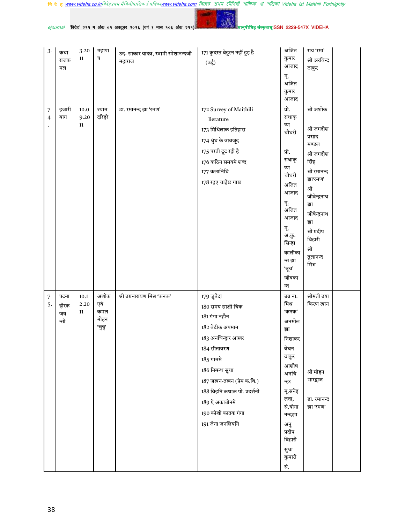$25<sub>0</sub>$ **Contract** 

मानु<mark>षीमिह संस्कृताम्</mark>ISSN 2229-547X VIDEHA

| <i>ejournal</i> 'विदेह' २११ म अंक ०१ अक्टूबर २०१६ (वर्षे ९ मास १०६ अंक २११) |  |  |
|-----------------------------------------------------------------------------|--|--|
|-----------------------------------------------------------------------------|--|--|

| 3.                           | कथा<br>राजक<br>मल          | 3.20<br>11         | महापा<br>त्र                           | उद- साकार यादव, स्वामी रमेशानन्दजी<br>महाराज | 171 कुदरत बेहुस्न नहीं हुइ है<br>(उर्दू)                                                                                                                                                                                                                            | अजित<br>कुमार<br>आजाद<br>मू.<br>अजित<br>कुमार<br>आजाद                                                                                                                                    | राय 'रमा'<br>श्री अरविन्द<br>ठाकुर                                                                                                                                                                    |  |
|------------------------------|----------------------------|--------------------|----------------------------------------|----------------------------------------------|---------------------------------------------------------------------------------------------------------------------------------------------------------------------------------------------------------------------------------------------------------------------|------------------------------------------------------------------------------------------------------------------------------------------------------------------------------------------|-------------------------------------------------------------------------------------------------------------------------------------------------------------------------------------------------------|--|
| $\sqrt{ }$<br>$\overline{4}$ | हजारी<br>बाग               | 10.0<br>9.20<br>11 | श्याम<br>दरिहरे                        | डा. रमानन्द झा 'रमण'                         | 172 Survey of Maithili<br>lierature<br>173 मिथिलाक इतिहास<br>174 धुंध के वाबजूद<br>175 परती टूट रही है<br>176 कठिन समयमे शब्द<br>177 कलानिधि<br>178 रहए चाहैछ गाछ                                                                                                   | प्रो.<br>राधाकृ<br>ष्ण<br>चौधरी<br>प्रो.<br>राधाकृ<br>ष्ण<br>चौधरी<br>अजित<br>आजाद<br>मू.<br>अजित<br>आजाद<br>मू.<br>अ.कु.<br>सिन्हा<br>कालीका<br>न्त झा<br>'बूच'<br>जीवका<br>न्त         | श्री अशोक<br>श्री जगदीश<br>प्रसाद<br>मण्डल<br>श्री जगदीश<br>सिंह<br>श्री रमानन्द<br>झा'रमण'<br>श्री<br>जीवेन्द्रनाथ<br>झा<br>जीवेन्द्रनाथ<br>झा<br>श्री प्रदीप<br>बिहारी<br>श्री<br>तुलानन्द<br>मिश्र |  |
| $\sqrt{ }$<br>5.             | पटना<br>हीरक<br>जय<br>न्ती | 10.1<br>2.20<br>11 | अशोक<br>एवं<br>कमल<br>मोहन<br>'चुन्नु' | श्री उग्रनारायण मिश्र 'कनक'                  | 179 जुबैदा<br>180 समय साक्षी थिक<br>181 गंगा नहौन<br>182 बेटीक अपमान<br>183 अनचिन्हार आखर<br>184 सीतावरण<br>185 गाममे<br>186 निबन्ध सुधा<br>$187$ जखन-तखन (प्रेम क.वि.)<br>188 विहनि कथाक पो. प्रदर्शनी<br>189 ऐ अकाबोनमे<br>190 कोशी कातक गंगा<br>191 जेना जनलियनि | उग्र ना.<br>मिश्र<br>'कनक'<br>अनमोल<br>झा<br>निशाकर<br>बेचन<br>ठाकुर<br>आशीष<br>अनचि<br>न्हर<br>मू.सनेह<br>लता,<br>सं.योगा<br>नन्दझा<br>अनु<br>प्रदीप<br>बिहारी<br>सुधा<br>कुमारी<br>सं. | श्रीमती उषा<br>किरण खान<br>श्री मोहन<br>भारद्वाज<br>डा. रमानन्द<br>झा 'रमण'                                                                                                                           |  |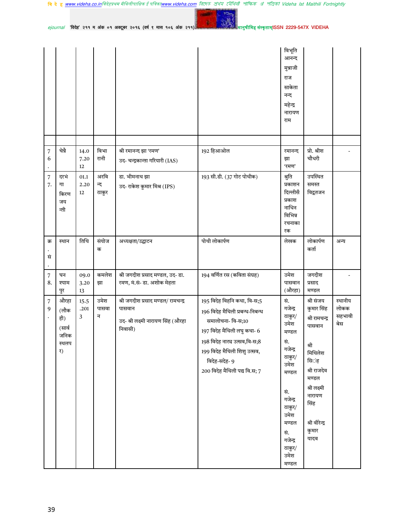वि दे ह <u>www.videha.co.in</u>विदेहप्रथम मैथिलीपाक्षिक ई पत्रिका<u>www.videha.com</u> রিদেত প্রথম মৌথিনী পাক্ষিক প্র পত্রিকা Videha Ist Maithili Fortnightly

 $ejournal$  'विदेह' २११ म अंक ०१ अक्टूबर २०१६ (वर्ष ९ मास १०६ अंक २११)

**START** 

YO.

|                                  |                                                      |                    |                      |                                                                                               |                                                                                                                                                                                                                                      | विभूति<br>आनन्द<br>मुन्नाजी<br>राज<br>साकेता<br>नन्द<br>महेन्द्र<br>नारायण<br>राम        |                                                                                                                 |                                  |
|----------------------------------|------------------------------------------------------|--------------------|----------------------|-----------------------------------------------------------------------------------------------|--------------------------------------------------------------------------------------------------------------------------------------------------------------------------------------------------------------------------------------|------------------------------------------------------------------------------------------|-----------------------------------------------------------------------------------------------------------------|----------------------------------|
|                                  |                                                      |                    |                      |                                                                                               |                                                                                                                                                                                                                                      |                                                                                          |                                                                                                                 |                                  |
| $\overline{7}$<br>6<br>$\bullet$ | चेन्नै                                               | 14.0<br>7.20<br>12 | विभा<br>रानी         | श्री रमानन्द झा 'रमण'<br>उद- चन्द्रकान्ता गरियारी (IAS)                                       | 192 हिआओल                                                                                                                                                                                                                            | रमानन्द<br>झा<br>'रमण'                                                                   | प्रो. श्रीश<br>चौधरी                                                                                            |                                  |
| $\sqrt{ }$<br>7.                 | दरभं<br>गा<br>किरण<br>जय<br>न्ती                     | 01.1<br>2.20<br>12 | अरवि<br>न्द<br>ठाकुर | डा. भीमनाथ झा<br>उद- राकेश कुमार मिश्र (IPS)                                                  | 193 सी.डी. (37 गोट पोथीक)                                                                                                                                                                                                            | श्रुति<br>प्रकाशन<br>दिल्लीसँ<br>प्रकाश<br>नाधिन<br>विभिन्न<br>रचनाका<br>रक              | उपस्थित<br>समस्त<br>विद्वतजन                                                                                    |                                  |
| क्र<br>सं<br>$\bullet$           | स्थान                                                | तिथि               | संयोज<br>क           | अध्यक्षता/उद्घाटन                                                                             | पोथी लोकार्पण                                                                                                                                                                                                                        | लेखक                                                                                     | लोकार्पण<br>कर्ता                                                                                               | अन्य                             |
| $\overline{7}$<br>8.             | घन<br>श्याम<br>पुर                                   | 09.0<br>3.20<br>13 | कमलेश<br>झा          | श्री जगदीश प्रसाद मण्डल, उद- डा.<br>रमण, मं.सं- डा. अशोक मेहता                                | 194 वर्णित रस (कविता संग्रह)                                                                                                                                                                                                         | उमेश<br>पासवान<br>(औरहा)                                                                 | जगदीश<br>प्रसाद<br>मण्डल                                                                                        |                                  |
| 7<br>9                           | औरहा<br>(लौक<br>ही)<br>(सार्व<br>जनिक<br>स्थलप<br>र) | 15.5<br>.201<br>3  | उमेश<br>पासवा<br>न   | श्री जगदीश प्रसाद मण्डल/ रामचन्द्र<br>पासवान<br>उद- श्री लक्ष्मी नारायण सिंह (औरहा<br>निवासी) | 195 विदेह विहनि कथा, वि-स;5<br>196 विदेह मैथिली प्रबन्ध-निबन्ध<br>समालोचना- वि-स;10<br>197 विदेह मैथिली लघु कथा- 6<br>198 विदेह नाट्य उत्सव,वि-स;8<br>199 विदेह मैथिली शिशु उत्सव,<br>विदेह-सदेह- 9<br>200 विदेह मैथिली पद्य वि.स; 7 | सं.<br>गजेन्द्र<br>ठाकुर/<br>उमेश<br>मण्डल<br>सं.<br>गजेन्द्र<br>ठाकुर/<br>उमेश<br>मण्डल | श्री संजय<br>कुमार सिंह<br>श्री रामचन्द्र<br>पासवान<br>श्री<br>मिथिलेश<br>सि <b>ं</b> ह<br>श्री राजदेव<br>मण्डल | स्थानीय<br>लोकक<br>सहभावी<br>बेस |
|                                  |                                                      |                    |                      |                                                                                               |                                                                                                                                                                                                                                      | सं.<br>गजेन्द्र<br>ठाकुर/<br>उमेश<br>मण्डल<br>सं.<br>गजेन्द्र<br>ठाकुर/<br>उमेश<br>मण्डल | श्री लक्ष्मी<br>नारायण<br>सिंह<br>श्री वीरेन्द्र<br>कुमार<br>यादव                                               |                                  |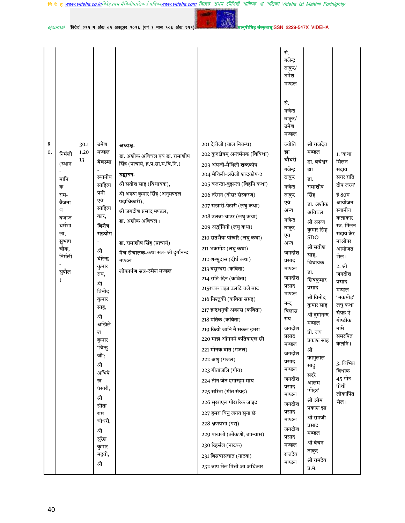वि दे ह <u>www.videha.co.in</u>विदेहप्रथम मैथिलीपाक्षिक ई पत्रिका<u>www.videha.com</u> রিদেহ প্রথম মৌথিরী পাক্ষিক প্র পত্রিকা Videha Ist Maithili Fortnightly

YO.

 $e$ journal 'विदेह' २११ म अंक ०१ अक्टूबर २०१६ (वर्ष ९ मास १०६ अंक २११)

|                                                                                                                               |                    |                                                                                                                                                                                                                                                                                                                                             |                                                                                                                                                                                                                                                                                                                                               |                                                                                                                                                                                                                                                                                                                                                                                                                                                                                                                                                                                                                                                                                                                                                                                                                                                                                                                 | सं.<br>गजेन्द्र<br>ठाकुर/<br>उमेश<br>मण्डल<br>सं.<br>गजेन्द्र<br>ठाकुर/<br>उमेश<br>मण्डल                                                                                                                                                                                                                                                                          |                                                                                                                                                                                                                                                                                                                                                                                                                                             |                                                                                                                                                                                                                                                                                                                            |
|-------------------------------------------------------------------------------------------------------------------------------|--------------------|---------------------------------------------------------------------------------------------------------------------------------------------------------------------------------------------------------------------------------------------------------------------------------------------------------------------------------------------|-----------------------------------------------------------------------------------------------------------------------------------------------------------------------------------------------------------------------------------------------------------------------------------------------------------------------------------------------|-----------------------------------------------------------------------------------------------------------------------------------------------------------------------------------------------------------------------------------------------------------------------------------------------------------------------------------------------------------------------------------------------------------------------------------------------------------------------------------------------------------------------------------------------------------------------------------------------------------------------------------------------------------------------------------------------------------------------------------------------------------------------------------------------------------------------------------------------------------------------------------------------------------------|-------------------------------------------------------------------------------------------------------------------------------------------------------------------------------------------------------------------------------------------------------------------------------------------------------------------------------------------------------------------|---------------------------------------------------------------------------------------------------------------------------------------------------------------------------------------------------------------------------------------------------------------------------------------------------------------------------------------------------------------------------------------------------------------------------------------------|----------------------------------------------------------------------------------------------------------------------------------------------------------------------------------------------------------------------------------------------------------------------------------------------------------------------------|
| 8<br>0.<br>निर्मली<br>(स्थान<br>मानि<br>क<br>राम-<br>बैजना<br>थ<br>बजाज<br>धर्मशा<br>ला,<br>सुभाष<br>चौक,<br>निर्मली<br>सुपौल | 30.1<br>1.20<br>13 | उमेश<br>मण्डल<br>बेवस्था<br>स्थानीय<br>साहित्य<br>प्रेमी<br>एवं<br>साहित्य<br>कार,<br>विशेष<br>सहयोग<br>श्री<br>धीरेन्द्र<br>कुमार<br>राय,<br>श्री<br>विनोद<br>कुमार<br>साह,<br>श्री<br>अखिले<br>श<br>कुमार<br>'चिन्टु<br>जी';<br>श्री<br>अभिषे<br>ख<br>पंसारी,<br>श्री<br>सीता<br>राम<br>चौधरी,<br>श्री<br>सुरेश<br>कुमार<br>महतो,<br>श्री | अध्यक्ष-<br>डा. अशोक अविचल एवं डा. रामाशीष<br>सिंह (प्राचार्य, ह.प्र.सा.म.वि.नि.)<br>उद्घाटन-<br>श्री सतीश साह (विधायक),<br>श्री अरूण कुमार सिंह (अनुमण्डल<br>पदाधिकारी),<br>श्री जगदीश प्रसाद मण्डल,<br>डा. अशोक अविचल।<br>डा. रामाशीष सिंह (प्राचार्य)<br><b>मंच संचालक-</b> कथा सत्र- श्री दुर्गानन्द<br>मण्डल<br>लोकार्पण सत्र-उमेश मण्डल | 201 देवीजी (बाल निबन्ध)<br>202 कुरुक्षेत्रम् अन्तर्मनक (विविधा)<br>203 अंग्रजी-मैथिली शब्दकोष<br>204 मैथिली-अंग्रेजी शब्दकोष-2<br>205 बजन्ता-बुझन्ता (विहनि कथा)<br>206 तरेगन (दोसर संस्करण)<br>207 सखारी-पेटारी (लघु कथा)<br>208 उलबा-चाउर (लघु कथा)<br>209 अर्द्धांगिनी (लघु कथा)<br>210 सतभैंया पोखरि (लघु कथा)<br>211 भकमोड़ (लघु कथा)<br>212 शम्भुदास (दीर्घ कथा)<br>213 बसुन्धरा (कविता)<br>214 राति-दिन (कविता)<br>215रथक चक्का उलटि चलै बाट<br>216 निश्तुकी (कविता संग्रह)<br>217 इन्द्रधनुषी अकास (कविता)<br>218 प्रतिक (कविता)<br>219 कियो जानि नै सकल हमरा<br>220 माझ आँगनमे कतियाएल छी<br>221 मोनक बात (गजल)<br>222 अंशु (गजल)<br>223 गीतांजलि (गीत)<br>224 तीन जेठ एगारहम माघ<br>225 सरिता (गीत संग्रह)<br>226 सुखाएल पोखरिक जाइठ<br>227 हमरा बिनु जगत सुना छै<br>228 क्षणप्रभा (पद्य)<br>229 पाखलो (कोंकणी, उपन्यास)<br>230 रिहर्सल (नाटक)<br>231 बिसवासघात (नाटक)<br>232 बाप भेल पित्ती आ अधिकार | ज्योति<br>झा<br>चौधरी<br>गजेन्द्र<br>ठाकुर<br>गजेन्द्र<br>ठाकुर<br>एवं<br>अन्य<br>गजेन्द्र<br>ठाकुर<br>एवं<br>अन्य<br>जगदीश<br>प्रसाद<br>मण्डल<br>जगदीश<br>प्रसाद<br>मण्डल<br>नन्द<br>विलास<br>राय<br>जगदीश<br>प्रसाद<br>मण्डल<br>जगदीश<br>प्रसाद<br>मण्डल<br>जगदीश<br>प्रसाद<br>मण्डल<br>जगदीश<br>प्रसाद<br>मण्डल<br>जगदीश<br>प्रसाद<br>मण्डल<br>राजदेव<br>मण्डल | श्री राजदेव<br>मण्डल<br>डा. बचेश्वर<br>झा<br>डा.<br>रामाशीष<br>सिंह<br>डा. अशोक<br>अविचल<br>श्री अरूण<br>कुमार सिंह<br><b>SDO</b><br>श्री सतीश<br>साह,<br>विधायक<br>डा.<br>शिवकुमार<br>प्रसाद<br>श्री विनोद<br>कुमार साह<br>श्री दुर्गानन्द<br>मण्डल<br>प्रो. जय<br>प्रकाश साह<br>श्री<br>फागुलाल<br>साहु<br>सदरे<br>आलम<br>'गोहर'<br>श्री ओम<br>प्रकाश झा<br>श्री रामजी<br>प्रसाद<br>मण्डल<br>श्री बेचन<br>ठाकुर<br>श्री रामदेव<br>प्र.मं. | 1. 'कथा<br>मिलन<br>सदाय<br>सगर राति<br>दीप जरय'<br>ई 80म<br>आयोजन<br>स्थानीय<br>कलाकार<br>स्व. मिलन<br>सदाय केर<br>नाओंपर<br>आयोजत<br>भेल।<br>2. श्री<br>जगदीश<br>प्रसाद<br>मण्डल<br>'भकमोड़'<br>लघु कथा<br>संग्रह ऐ<br>गोष्ठीक<br>नामे<br>समरपित<br>केलनि ।<br>3. विभिन्न<br>विधाक<br>45 गोट<br>पोथी<br>लोकार्पित<br>भेल। |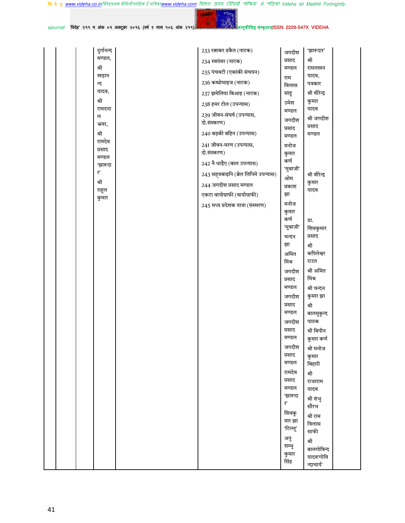<mark>बि दे हु <u>www.videha.co.in</u>विदेहप्रथम मैथिलीपाक्षिक ई पत्रिका<u>www.videha.com</u> রিদে*ত প্রাথম মৌথিती পাক্ষিক প্র*াপত্রিকা Videha Ist Maithili Fortnightly</mark>

|  |            |  |  |  |  | ejournal 'विदेह' २११ म अंक ०१ अक्टूबर २०१६ (वर्ष ९ मास १०६ अंक २११) में स्वास्थ्य के पानुषीमिह संस्कृताम |
|--|------------|--|--|--|--|----------------------------------------------------------------------------------------------------------|
|  | दुर्गानन्द |  |  |  |  | 233 रत्नाकर डकैत (नाटक)                                                                                  |

मण्डल,

खड़ान

यादव,

रामदया

श्री

न्द

श्री

ल

श्री

भ्रमर,

रामदेव

प्रसाद

मण्डल

'झारूदा

₹,

श्री

राहुल

कुमार

41

1SSN 2229-547X VIDEHA

'झारूदार'

रामलखन

यादव,

पत्रकार

श्री वीरेन्द्र

श्री जगदीश

कुमार

यादव

प्रसाद

मण्डल

श्री वीरेन्द्र

कुमार

यादव

डा.

श्री कपिलेश्वर

राउत

मिश्र

श्री

श्री अमित

श्री चन्दन

कुमार झा

बालमुकुन्द

श्री बिपीन

कुमार कर्ण

श्री मनोज

कुमार

बिहारी

राजाराम

यादव

श्री शंभु

सौरभ

श्री राम

विलास

साफी

बालगोविन्द

यादव'गोवि

न्दाचार्य'

श्री

श्री

पाठक

शिवकुमार प्रसाद

श्री

जगदीश

प्रसाद

मण्डल

विलास

राम

साहु

उमेश

मण्डल

जगदीश

प्रसाद

मण्डल

मनोज

कुमार

कर्ण

ओम

प्रकाश

मनोज

कुमार कर्ण

'मुन्नाजी'

चन्दन झा

अमित

जगदीश

प्रसाद मण्डल

जगदीश

प्रसाद

मण्डल

जगदीश

प्रसाद

मण्डल

जगदीश

प्रसाद

मण्डल

रामदेव

प्रसाद

मण्डल

'झारूदा

शिवकु

मार झा

'टिल्लू'

अनु

शम्भू

कुमार

सिंह

 $\overline{\mathbf{t}}^*$ 

मिश्र

झा

'मुन्नाजी'

234 स्वयंवर (नाटक)

235 पंचवटी (एकांकी संचयन)

237 झमेलिया बिआह (नाटक)

236 कम्प्रोमाइज (नाटक)

238 हमर टोल (उपन्यास)

दो.संस्करण)

दो.संस्करण)

239 जीवन-संघर्ष (उपन्यास,

240 बड़की बहिन (उपन्यास)

241 जीवन-मरण (उपन्यास,

242 नै धाड़ैए (बाल उपन्यास)

244 जगदीश प्रसाद मण्डल

एकटा वायोग्राफी (वायोग्राफी)

245 मध्य प्रदेशक यात्रा (संस्मरण)

243 सह्त्रबाढ़नि (ब्रेल लिपिमे उपन्यास)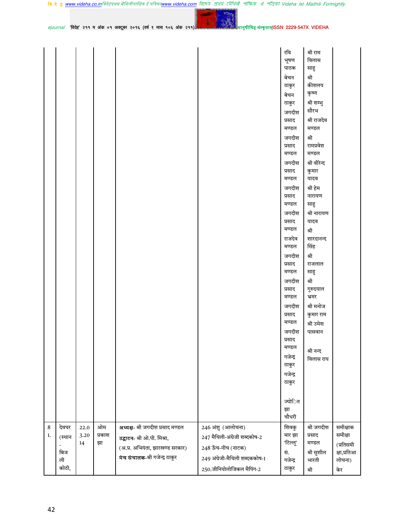|               |                                       |                    |                    |                                                                                                                                              |                                                                                                                                            | रवि<br>भूषण<br>पाठक<br>बेचन<br>ठाकुर<br>बेचन<br>ठाकुर<br>जगदीश<br>प्रसाद<br>मण्डल<br>जगदीश<br>प्रसाद<br>मण्डल<br>जगदीश<br>प्रसाद<br>मण्डल<br>जगदीश<br>प्रसाद<br>मण्डल<br>जगदीश<br>प्रसाद<br>मण्डल<br>राजदेव<br>मण्डल<br>जगदीश<br>प्रसाद<br>मण्डल<br>जगदीश<br>प्रसाद<br>मण्डल<br>जगदीश<br>प्रसाद<br>मण्डल<br>जगदाश<br>प्रसाद<br>मण्डल<br>गजेन्द्र<br>ठाकुर<br>गजेन्द्र<br>ठाकुर | श्री राम<br>विलास<br>साहु<br>श्री<br>कीशलय<br>कृष्ण<br>श्री शम्भु<br>सौरभ<br>श्री राजदेव<br>मण्डल<br>श्री<br>रामप्रवेश<br>मण्डल<br>श्री वीरेन्द<br>कुमार<br>यादव<br>श्री हेम<br>नारायण<br>साहु<br>श्री नारायण<br>यादव<br>श्री<br>शारदानन्द<br>सिंह<br>श्री<br>राजलाल<br>साहु<br>श्री<br>गुरुदयाल<br>भ्रमर<br>श्री मनोज<br>कुमार राम<br>श्री उमेश<br>पासवान<br>श्री नन्द<br>विलास राय |                                                                  |
|---------------|---------------------------------------|--------------------|--------------------|----------------------------------------------------------------------------------------------------------------------------------------------|--------------------------------------------------------------------------------------------------------------------------------------------|--------------------------------------------------------------------------------------------------------------------------------------------------------------------------------------------------------------------------------------------------------------------------------------------------------------------------------------------------------------------------------|--------------------------------------------------------------------------------------------------------------------------------------------------------------------------------------------------------------------------------------------------------------------------------------------------------------------------------------------------------------------------------------|------------------------------------------------------------------|
|               |                                       |                    |                    |                                                                                                                                              |                                                                                                                                            | ज्योित<br>झा<br>चौधरी                                                                                                                                                                                                                                                                                                                                                          |                                                                                                                                                                                                                                                                                                                                                                                      |                                                                  |
| $\bf 8$<br>1. | देवघर<br>(स्थान<br>बिज<br>ली<br>कोठी, | 22.0<br>3.20<br>14 | ओम<br>प्रकाश<br>झा | अध्यक्ष- श्री जगदीश प्रसाद मण्डल<br>उद्घाटन- श्री ओ.पी. मिश्रा,<br>(अ.प्र. अभियंता, झारखण्ड सरकार)<br><b>मंच संचालक-</b> श्री गजेन्द्र ठाकुर | 246 अंशु (आलोचना)<br>247 मैथिली-अंग्रेजी शब्दकोष-2<br>248 ऊँच-नीच (नाटक)<br>249 अंग्रेजी-मैथिली शब्दककोष-1<br>$250.$ जीनियोलोजिकल मैपिंग-2 | शिवकु<br>मार झा<br>'टिल्लू'<br>सं.<br>गजेन्द्र<br>ठाकुर                                                                                                                                                                                                                                                                                                                        | श्री जगदीश<br>प्रसाद<br>मण्डल<br>श्री सुशील<br>भारती<br>श्री                                                                                                                                                                                                                                                                                                                         | समीक्षाक<br>समीक्षा<br>(प्रतिसमी<br>क्षा,प्रतिआ<br>लोचना)<br>केर |

 $e$ journal 'विदेह' २११ म अंक ०१ अक्टूबर २०१६ (वर्ष ९ मास १०६ अंक २११)

42

YO.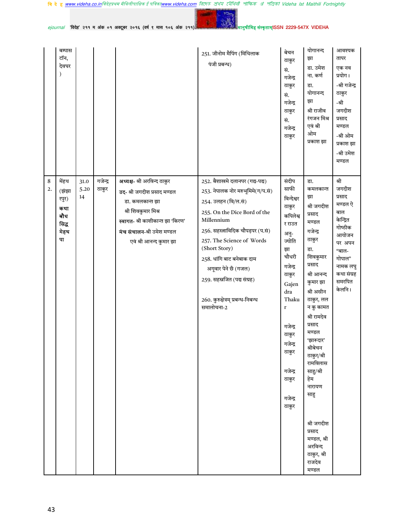वि दे ह <u>www.videha.co.in</u>विदेहप्रथम मैथिलीपाक्षिक ई पत्रिका<u>www.videha.com</u> রিদেহ প্রথম মৌথিরী পাক্ষিক প্র পত্রিকা Videha Ist Maithili Fortnightly

YO-

 $e$ journal 'विदेह' २११ म अंक ०१ अक्टूबर २०१६ (वर्ष ९ मास १०६ अंक २११)

|              | बम्पास<br>टॉन,<br>देवघर                                      |                    |                   |                                                                                                                                                                                                   | 251. जीनोम मैपिंग (मिथिलाक<br>पंजी प्रबन्ध)                                                                                                                                                                                                                                                                                                                         | बेचन<br>ठाकुर<br>सं.<br>गजेन्द्र<br>ठाकुर<br>सं.<br>गजेन्द्र<br>ठाकुर<br>सं.<br>गजेन्द्र<br>ठाकुर                                                                                                                                            | योगानन्द<br>झा<br>डा. उमेश<br>ना. कर्ण<br>डा.<br>योगानन्द<br>झा<br>श्री राजीव<br>रंगजन मिश्र<br>एवं श्री<br>ओम<br>प्रकाश झा                                                                                                                                                                                                                                                              | आवश्यक<br>तापर<br>एक नव<br>प्रयोग।<br>-श्री गजेन्द्र<br>ठाकुर<br>-श्री<br>जगदीश<br>प्रसाद<br>मण्डल<br>-श्री ओम<br>प्रकाश झा<br>-श्री उमेश<br>मण्डल     |
|--------------|--------------------------------------------------------------|--------------------|-------------------|---------------------------------------------------------------------------------------------------------------------------------------------------------------------------------------------------|---------------------------------------------------------------------------------------------------------------------------------------------------------------------------------------------------------------------------------------------------------------------------------------------------------------------------------------------------------------------|----------------------------------------------------------------------------------------------------------------------------------------------------------------------------------------------------------------------------------------------|------------------------------------------------------------------------------------------------------------------------------------------------------------------------------------------------------------------------------------------------------------------------------------------------------------------------------------------------------------------------------------------|--------------------------------------------------------------------------------------------------------------------------------------------------------|
| $\, 8$<br>2. | मेंहथ<br>(झंझा<br>रपुर)<br>कथा<br>बौध<br>सिद्ध<br>मेहथ<br>पा | 31.0<br>5.20<br>14 | गजेन्द्र<br>ठाकुर | अध्यक्ष- श्री अरविन्द ठाकुर<br>उद- श्री जगदीश प्रसाद मण्डल<br>डा. कमलकान्त झा<br>श्री शिवकुमार मिश्र<br>स्वागत- श्री काशीकान्त झा 'किरण'<br>मंच संचालन-श्री उमेश मण्डल<br>एवं श्री आनन्द कुमार झा | 252. बैशाखमे दलानपर (गद्य-पद्य)<br>253. नेपालक नोर मरुभूमिमे(ग/प.सं)<br>254. उलहन (वि/ल.सं)<br>255. On the Dice Bord of the<br>Millennium<br>256. सहस्त्राविदिक चौपड़पर (प.सं)<br>257. The Science of Words<br>(Short Story)<br>258. धांगि बाट बनेबाक दाम<br>अगूवार पेने छँ (गजल)<br>259. सहस्रजित (पद्य संग्रह)<br>260. कुरुक्षेत्रम् प्रबन्ध-निबन्ध<br>समालोचना-2 | संदीप<br>साफी<br>विन्देश्वर<br>ठाकुर<br>कपिलेश्व<br>र राउत<br>अनु-<br>ज्योति<br>झा<br>चौधरी<br>गजेन्द्र<br>ठाकुर<br>Gajen<br>dra<br>Thaku<br>$\mathbf r$<br>गजेन्द्र<br>ठाकुर<br>गजेन्द्र<br>ठाकुर<br>गजेन्द्र<br>ठाकुर<br>गजेन्द्र<br>ठाकुर | डा.<br>कमलकान्त<br>झा<br>श्री जगदीश<br>प्रसाद<br>मण्डल<br>गजेन्द्र<br>ठाकुर<br>डा.<br>शिवकुमार<br>प्रसाद<br>श्री आनन्द<br>कुमार झा<br>श्री असीन<br>ठाकुर, लल<br>न कु कामत<br>श्री रामदेव<br>प्रसाद<br>मण्डल<br>'झारूदार'<br>श्रीबेचन<br>ठाकुर/श्री<br>रामविलास<br>साहु/श्री<br>हेम<br>नारायण<br>साहु<br>श्री जगदीश<br>प्रसाद<br>मण्डल, श्री<br>अरविन्द<br>ठाकुर, श्री<br>राजदेव<br>मण्डल | श्री<br>जगदीश<br>प्रसाद<br>मण्डल ऐ<br>बाल<br>केन्द्रित<br>गोष्ठीक<br>आयोजन<br>पर अपन<br>"बाल-<br>गोपाल"<br>नामक लघु<br>कथा संग्रह<br>समरपित<br>केलनि । |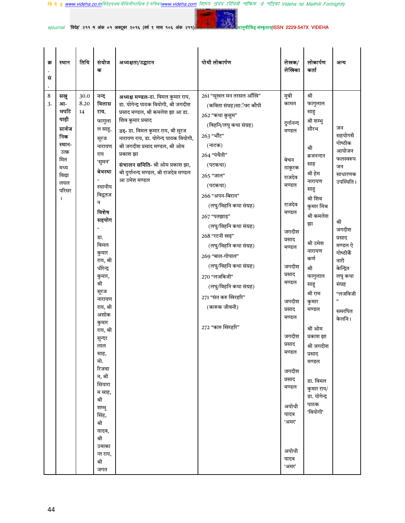वि दे ह <u>www.videha.co.in</u>विदेहप्रथम मैथिलीपाक्षिक ई पत्रिका<u>www.videha.com</u> রিদেহ প্রথম মৌথিরী পাক্ষিক প্র পত্রিকা Videha Ist Maithili Fortnightly



 $e$ journal 'विदेह' २११ म अंक ०१ अक्टूबर २०१६ (वर्ष ९ मास १०६ अंक २११)

| क्र<br>सं             | स्थान                                                                                                   | तिथि               | संयोज<br>क                                                                                                                                                                                                                                                                                                                                                                                                 | अध्यक्षता/उद्घाटन                                                                                                                                                                                                                                                                                                                                                 | पोथी लोकार्पण                                                                                                                                                                                                                                                                                                                                                                                                                                                        | लेखक/<br>लेखिका                                                                                                                                                                                                                                                     | लोकार्पण<br>कर्ता                                                                                                                                                                                                                                                                                                                                                      | अन्य                                                                                                                                                                                                            |
|-----------------------|---------------------------------------------------------------------------------------------------------|--------------------|------------------------------------------------------------------------------------------------------------------------------------------------------------------------------------------------------------------------------------------------------------------------------------------------------------------------------------------------------------------------------------------------------------|-------------------------------------------------------------------------------------------------------------------------------------------------------------------------------------------------------------------------------------------------------------------------------------------------------------------------------------------------------------------|----------------------------------------------------------------------------------------------------------------------------------------------------------------------------------------------------------------------------------------------------------------------------------------------------------------------------------------------------------------------------------------------------------------------------------------------------------------------|---------------------------------------------------------------------------------------------------------------------------------------------------------------------------------------------------------------------------------------------------------------------|------------------------------------------------------------------------------------------------------------------------------------------------------------------------------------------------------------------------------------------------------------------------------------------------------------------------------------------------------------------------|-----------------------------------------------------------------------------------------------------------------------------------------------------------------------------------------------------------------|
| 8<br>$\overline{3}$ . | सखु<br>आ-<br>भपटि<br>याही<br>सार्वज<br>निक<br>स्थान-<br>उत्क्र<br>मित<br>मध्य<br>विद्या<br>लयल<br>परिसर | 30.0<br>8.20<br>14 | नन्द<br>विलास<br>राय,<br>फागुला<br>ल साहु,<br>सूरज<br>नारायण<br>राय<br>'सुमन'<br>बेवस्था<br>स्थानीय<br>विद्वतज<br>न<br>विशेष<br>सहयोग<br>डा.<br>विमल<br>कुमार<br>राय, श्री<br>धीरेन्द्र<br>कुमार,<br>श्री<br>सूरज<br>नारायण<br>राय, श्री<br>अशोक<br>कुमार<br>राय, श्री<br>सुन्दर<br>लाल<br>साह,<br>मो.<br>रिजवा<br>न, श्री<br>सियारा<br>म साह,<br>श्री<br>शम्भू<br>सिंह,<br>श्री<br>यादव,<br>श्री<br>उमाका | अध्यक्ष मण्डल-डा. विमल कुमार राय,<br>डा. योगेन्द्र पाठक वियोगी, श्री जगदीश<br>प्रसाद मण्डल, श्री कमलेश झा आ डा.<br>शिव कुमार प्रसाद<br>उद- डा. विमल कुमार राय, श्री सूरज<br>नारायण राय, डा. योगेन्द पाठक वियोगी,<br>श्री जगदीश प्रसाद मण्डल, श्री ओम<br>प्रकाश झा<br>संचालन समिति- श्री ओम प्रकाश झा,<br>श्री दुर्गानन्द मण्डल, श्री राजदेव मण्डल<br>आ उमेश मण्डल | 261 "सूखल मन तरसल आँखि"<br>(कविता संग्रह)साॅफ्ट कौपी<br>262 "कथा कुसूम"<br>(विहनि/लघु कथा संग्रह)<br>263 "भोंट"<br>(नाटक)<br>264 "पंचैती"<br>(पटकथा)<br>265 "जाल"<br>(पटकथा)<br>266 "अपन-बिरान"<br>(लघु/विहनि कथा संग्रह)<br>267 "पतझाड़"<br>(लघु/विहनि कथा संग्रह)<br>268 "रटनी खढ़"<br>(लघु/विहनि कथा संग्रह)<br>269 "बाल-गोपाल"<br>(लघु/विहनि कथा संग्रह)<br>270 "लजबिजी"<br>(लघु/विहनि कथा संग्रह)<br>271 "संत करु खिरहरि"<br>(कारूक जीवनी)<br>272 "कारु खिरहरि" | मुन्नी<br>कामत<br>दुर्गानन्द<br>मण्डल<br>बेचन<br>ठाकुरक<br>राजदेव<br>मण्डल<br>राजदेव<br>मण्डल<br>जगदीश<br>प्रसाद<br>मण्डल<br>जगदीश<br>प्रसाद<br>मण्डल<br>जगदीश<br>प्रसाद<br>मण्डल<br>जगदीश<br>प्रसाद<br>मण्डल<br>जगदीश<br>प्रसाद<br>मण्डल<br>अयोधी<br>यादव<br>'अमर' | श्री<br>फागुलाल<br>साहु<br>श्री शम्भु<br>सौरभ<br>श्री<br>ब्रजनन्दन<br>साह<br>श्री हेम<br>नारायण<br>साहु<br>श्री शिव<br>कुमार मिश्र<br>श्री कमलेश<br>झा<br>श्री उमेश<br>नारायण<br>कर्ण<br>श्री<br>फागुलाल<br>साहु<br>श्री राम<br>कुमार<br>मण्डल<br>श्री ओम<br>प्रकाश झा<br>श्री जगदीश<br>प्रसाद<br>मण्डल<br>डा. विमल<br>कुमार राय/<br>डा. योगेन्द्र<br>पाठक<br>'वियोगी' | जन<br>सहयोगसँ<br>गोष्ठीक<br>आयोजन<br>फलस्वरूप<br>जन<br>साधारणक<br>उपस्थिति ।<br>श्री<br>जगदीश<br>प्रसाद<br>मण्डल ऐ<br>गोष्ठीकेँ<br>नारी<br>केन्द्रित<br>लघु कथा<br>संग्रह<br>"लजविजी<br>,,<br>समरपित<br>केलनि । |
|                       |                                                                                                         |                    | न्त राय,<br>श्री<br>जगत                                                                                                                                                                                                                                                                                                                                                                                    |                                                                                                                                                                                                                                                                                                                                                                   |                                                                                                                                                                                                                                                                                                                                                                                                                                                                      | अयोधी<br>यादव<br>'अमर'                                                                                                                                                                                                                                              |                                                                                                                                                                                                                                                                                                                                                                        |                                                                                                                                                                                                                 |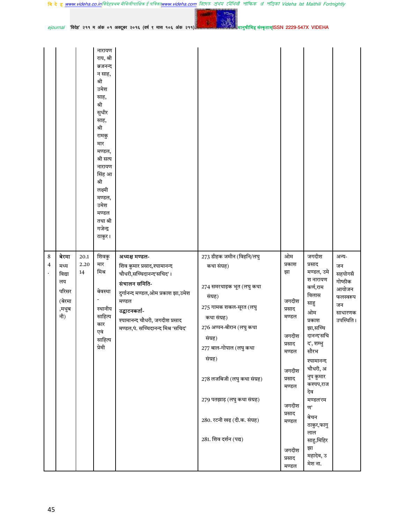|              |                                                                  |                    | नारायण<br>राय, श्री<br>ब्रजनन्द<br>न साह,<br>श्री<br>उमेश<br>साह,<br>श्री<br>सुधीर<br>साह,<br>श्री<br>रामकु<br>मार<br>मण्डल,<br>श्री सत्य<br>नारायण<br>सिंह आ<br>श्री<br>लक्ष्मी<br>मण्डल,<br>उमेश<br>मण्डल<br>तथा श्री<br>गजेन्द्र<br>ठाकुर। |                                                                                                                                                                                                                                    |                                                                                                                                                                                                                                                                                                                            |                                                                                                                                                                |                                                                                                                                                                                                                                                                                             |                                                                                       |
|--------------|------------------------------------------------------------------|--------------------|-----------------------------------------------------------------------------------------------------------------------------------------------------------------------------------------------------------------------------------------------|------------------------------------------------------------------------------------------------------------------------------------------------------------------------------------------------------------------------------------|----------------------------------------------------------------------------------------------------------------------------------------------------------------------------------------------------------------------------------------------------------------------------------------------------------------------------|----------------------------------------------------------------------------------------------------------------------------------------------------------------|---------------------------------------------------------------------------------------------------------------------------------------------------------------------------------------------------------------------------------------------------------------------------------------------|---------------------------------------------------------------------------------------|
| $\,8\,$<br>4 | बेरमा<br>मध्य<br>विद्या<br>लय<br>परिसर<br>(बेरमा<br>,मधुब<br>नी) | 20.1<br>2.20<br>14 | शिवकु<br>मार<br>मिश्र<br>बेवस्था<br>स्थानीय<br>साहित्य<br>कार<br>एवं<br>साहित्य<br>प्रेमी                                                                                                                                                     | अध्यक्ष मण्डल-<br>शिव कुमार प्रसाद,श्यामानन्द<br>चौधरी,सच्चिदानन्द'सचिद'।<br>संचालन समिति-<br>दुर्गानन्द मण्डल,ओम प्रकाश झा,उमेश<br>मण्डल<br>उद्घाटनकर्ता-<br>श्यामानन्द चौधरी, जगदीश प्रसाद<br>मण्डल,पं. सच्चिदानन्द मिश्र 'सचिद' | 273 डीहक जमीन (विहनि/लघु<br>कथा संग्रह)<br>274 समरथाइक भूत (लघु कथा<br>संग्रह)<br>275 गामक शकल-सूरत (लघु<br>कथा संग्रह)<br>276 अप्पन-बीरान (लघु कथा<br>संग्रह)<br>277 बाल-गोपाल (लघु कथा<br>संग्रह)<br>278 लजबिजी (लघु कथा संग्रह)<br>279 पतझाड़ (लघु कथा संग्रह)<br>280. रटनी खढ़ (दी.क. संग्रह)<br>281. शिव दर्शन (पद्य) | ओम<br>प्रकाश<br>झा<br>जगदीश<br>प्रसाद<br>मण्डल<br>जगदीश<br>प्रसाद<br>मण्डल<br>जगदीश<br>प्रसाद<br>मण्डल<br>जगदीश<br>प्रसाद<br>मण्डल<br>जगदीश<br>प्रसाद<br>मण्डल | जगदीश<br>प्रसाद<br>मण्डल, उमे<br>श नारायण<br>कर्ण,राम<br>विलास<br>साहु<br>ओम<br>प्रकाश<br>झा,सच्चि<br>दानन्द'सचि<br>द', शम्भु<br>सौरभ<br>श्यामानन्द<br>चौधरी, अ<br>नुप कुमार<br>कश्यप,राज<br>देव<br>मण्डल'रम<br>ण'<br>बेचन<br>ठाकुर,फागु<br>लाल<br>साहु,मिहिर<br>झा<br>महादेव, उ<br>मेश ना. | अन्य-<br>जन<br>सहयोगसँ<br>गोष्ठीक<br>आयोजन<br>फलस्वरूप<br>जन<br>साधारणक<br>उपस्थिति । |

मानुषीमिह संस्कृताम्ISSN 2229-547X VIDEHA

فتست

 $10-$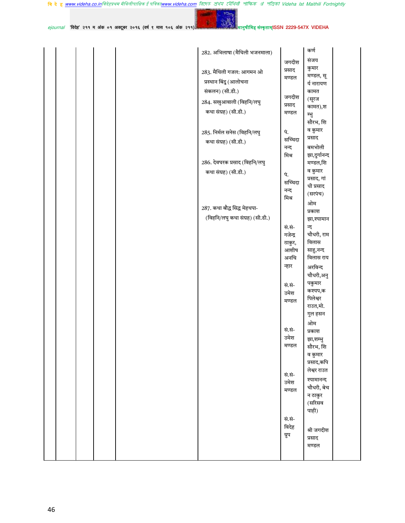$10<sub>12</sub>$ 

أنتجع  $e$ journal 'विदेह' २११ म अंक ०१ अक्टूबर २०१६ (वर्ष ९ मास १०६ अंक २११)

मानु<mark>षीमिह संस्कृताम्ISSN 2229-547X VIDEHA</mark>

| 282. अभिलाषा (मैथिली भजनमाला)   |          | कर्ण                      |
|---------------------------------|----------|---------------------------|
|                                 | जगदीश    | संजय                      |
| 283. मैथिली गजल: आगमन ओ         | प्रसाद   | कुमार                     |
| प्रस्थान बिंदु (आलोचना          | मण्डल    | मण्डल, सू                 |
|                                 |          | र्य नारायण                |
| संकलन) (सी.डी.)                 | जगदीश    | कामत                      |
| 284. सखुआवाली (विहनि/लघु        | प्रसाद   | (सूरज<br>कामत),श          |
| कथा संग्रह) (सी.डी.)            | मण्डल    | म्भु                      |
|                                 |          | सौरभ, शि                  |
| 285. निर्मल सनेस (विहनि/लघु     | पं.      | व कुमार                   |
| कथा संग्रह) (सी.डी.)            | सच्चिदा  | प्रसाद                    |
|                                 | नन्द     | बमभोली                    |
|                                 | मिश्र    | झा,दुर्गानन्द             |
| 286. देवघरक प्रसाद (विहनि/लघु   |          | मण्डल,शि                  |
| कथा संग्रह) (सी.डी.)            | पं.      | व कुमार                   |
|                                 | सच्चिदा  | प्रसाद, गां               |
|                                 | नन्द     | धी प्रसाद<br>(सरपंच)      |
|                                 | मिश्र    | ओम                        |
| 287. कथा बौद्ध सिद्ध मेहथपा-    |          | प्रकाश                    |
| (विहनि/लघु कथा संग्रह) (सी.डी.) |          | झा,श्यामान                |
|                                 | सं.सं-   | न्द                       |
|                                 | गजेन्द्र | चौधरी, राम                |
|                                 | ठाकुर,   | विलास                     |
|                                 | आशीष     | साहु,नन्द                 |
|                                 | अनचि     | विलास राय                 |
|                                 | न्हार    | अरविन्द                   |
|                                 |          | चौधरी,अनु                 |
|                                 | सं.सं-   | पकुमार<br>कश्यप,क         |
|                                 | उमेश     | पिलेश्वर                  |
|                                 | मण्डल    | राउत,मो.                  |
|                                 |          | गुल हसन                   |
|                                 |          | ओम                        |
|                                 | सं.सं-   | प्रकाश                    |
|                                 | उमेश     | झा,शम्भू                  |
|                                 | मण्डल    | सौरभ, शि                  |
|                                 |          | व कुमार                   |
|                                 |          | प्रसाद,कपि<br>लेश्वर राउत |
|                                 | सं.सं-   |                           |
|                                 | उमेश     | श्यामानन्द<br>चौधरी, बेच  |
|                                 | मण्डल    | न ठाकुर                   |
|                                 |          | (सरिसव                    |
|                                 |          | पाही)                     |
|                                 | सं.सं-   |                           |
|                                 | विदेह    | श्री जगदीश                |
|                                 | ग्रुप    | प्रसाद                    |
|                                 |          | मण्डल                     |
|                                 |          |                           |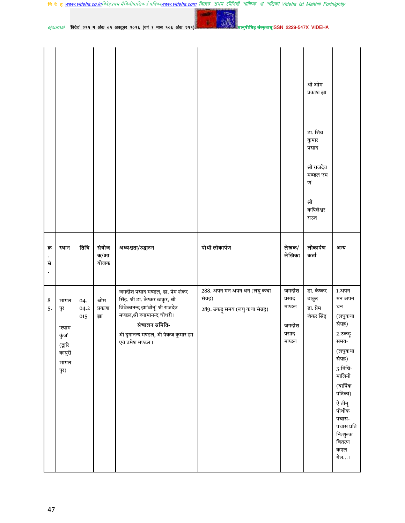|           |       |      |                      |                   |               |                 | श्री ओम<br>प्रकाश झा<br>डा. शिव<br>कुमार<br>प्रसाद<br>श्री राजदेव<br>मण्डल 'रम<br>ण'<br>श्री<br>कपिलेश्वर<br>राउत |      |
|-----------|-------|------|----------------------|-------------------|---------------|-----------------|-------------------------------------------------------------------------------------------------------------------|------|
| क्र<br>सं | स्थान | तिथि | संयोज<br>क/आ<br>योजक | अध्यक्षता/उद्घाटन | पोथी लोकार्पण | लेखक/<br>लेखिका | लोकार्पण<br>कर्ता                                                                                                 | अन्य |
|           |       |      |                      |                   |               |                 |                                                                                                                   |      |

47

वि दे ह <u>www.videha.co.in</u>विदेहप्रथम मैथिलीपाक्षिक ई पत्रिका<u>www.videha.com</u> রিদেত প্রথম মৌথিনী পাক্ষিক প্র পত্রিকা Videha Ist Maithili Fortnightly **Country** 

 $10<sub>0</sub>$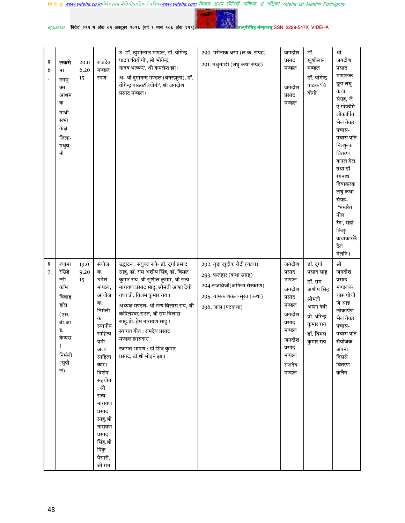वि दे ह <u>www.videha.co.in</u>विदेहप्रथम मैथिलीपाक्षिक ई पत्रिका<u>www.videha.com</u> রিদেহ প্রথম মৌথিরী পাক্ষিক প্র পত্রিকা Videha Ist Maithili Fortnightly

**Service** 

YO.

 $ejournal$  'विदेह' २११ म अंक ०१ अक्टूबर २०१६ (वर्ष ९ मास १०६ अंक २११)

| 8<br>6  | लकसे<br>ना<br>उनमु<br>क्त<br>आश्रम<br>क<br>गांधी<br>सभा<br>कक्ष<br>जिला-<br>मधुब<br>नी                    | 20.0<br>6.20<br>15 | राजदेव<br>मण्डल<br>रमण'                                                                                                                                                                                                                                    | उ-डॉ. खुशीलाल मण्डल, डॉ. योगेन्द्र<br>पाठक'वियोगी', श्री भोगेन्द्र<br>यादव'भाष्कर', श्री कमलेश झा।<br>अ- श्री दुर्गानन्द मण्डल (बनरझूला), डॉ.<br>योगेन्द्र पाठक'वियोगी', श्री जगदीश<br>प्रसाद मण्डल।                                                                                                                                                                                                                  | 290. पसेनाक धरम (ल.क. संग्रह)<br>291. मधुमाछी (लघु कथा संग्रह)                                                                        | जगदीश<br>प्रसाद<br>मण्डल<br>जगदीश<br>प्रसाद<br>मण्डल                                                                            | डॉ.<br>खुशीलाल<br>मण्डल<br>डॉ. योगेन्द्र<br>पाठक 'वि<br>योगी'                                                                     | श्री<br>जगदीश<br>प्रसाद<br>मण्डलक<br>दूटा लघु<br>कथा<br>संग्रह, जे<br>ऐ गोष्ठीमे<br>लोकार्पित<br>भेल तेकर<br>पचास-<br>पचास प्रति<br>नि:शुल्क<br>वितरण<br>कएल गेल<br>तथा डॉ<br>रंगनाथ<br>दिवाकरक<br>लघु कथा<br>संग्रह-<br>'भखरैत<br>नील<br>रंग', सेहो<br>किछु<br>कथाकारकैं<br>देल<br>गेलनि। |
|---------|-----------------------------------------------------------------------------------------------------------|--------------------|------------------------------------------------------------------------------------------------------------------------------------------------------------------------------------------------------------------------------------------------------------|-----------------------------------------------------------------------------------------------------------------------------------------------------------------------------------------------------------------------------------------------------------------------------------------------------------------------------------------------------------------------------------------------------------------------|---------------------------------------------------------------------------------------------------------------------------------------|---------------------------------------------------------------------------------------------------------------------------------|-----------------------------------------------------------------------------------------------------------------------------------|--------------------------------------------------------------------------------------------------------------------------------------------------------------------------------------------------------------------------------------------------------------------------------------------|
| 8<br>7. | श्यामा<br>रेसिडे<br>न्सी<br>कॉम<br>विवाह<br>हॉल<br>(एस.<br>बी.आ<br>इ.<br>केम्पस<br>निर्मली<br>(सुपौ<br>ल) | 19.0<br>9.20<br>15 | संयोज<br>क.<br>उमेश<br>मण्डल,<br>आयोज<br>क:<br>निर्मली<br>क<br>स्थानीय<br>साहित्य<br>प्रेमी<br>अा<br>साहित्य<br>कार।<br>विशेष<br>सहयोग<br>: श्री<br>सत्य<br>नारायण<br>प्रसाद<br>साहु,श्री<br>नारायण<br>प्रसाद<br>सिंह,श्री<br>पिंकु<br>पंसारी,<br>श्री राम | उद्घाटन : संयुक्त रूपे- डॉ. दुर्गा प्रसाद<br>साहू, डॉ. राम अशीष सिंह, डॉ. विमल<br>कुमार राय, श्री सुशील कुमार, श्री सत्य<br>नारायण प्रसाद साहु, श्रीमती आशा देवी<br>तथा प्रो. विलम कुमार राय।<br>अध्यक्ष मण्डल- श्री नन्द विलास राय, श्री<br>कपिलेश्वर राउत, श्री राम विलास<br>साहु,प्रो. हेम नारायण साहु।<br>स्वागत गीत : रामदेव प्रसाद<br>मण्डल'झारूदार'।<br>स्वागत भाषण : डॉ शिव कुमार<br>प्रसाद, डॉ श्री मोहन झा। | 292. गुड़ा खुद्दीक रोटी (कथा)<br>293. फलहार (कथा संग्रह)<br>294.लजबिजी(अगिला संस्करण)<br>295. गामक शकल-सूरत (कथा)<br>296. जाल (पटकथा) | जगदीश<br>प्रसाद<br>मण्डल<br>जगदीश<br>प्रसाद<br>मण्डल<br>जगदीश<br>प्रसाद<br>मण्डल<br>जगदीश<br>प्रसाद<br>मण्डल<br>राजदेव<br>मण्डल | डॉ. दुर्गा<br>प्रसाद साहू<br>डॉ. राम<br>अशीष सिंह<br>श्रीमती<br>आशा देवी<br>प्रो. धीरेन्द्र<br>कुमार राय<br>डॉ. विमल<br>कुमार राय | श्री<br>जगदीश<br>प्रसाद<br>मण्डलक<br>चारू पोथी<br>जे आइ<br>लोकार्पण<br>भेल तेकर<br>पचास-<br>पचास प्रति<br>संयोजक<br>अपना<br>दिससँ<br>वितरण<br>केलैन                                                                                                                                        |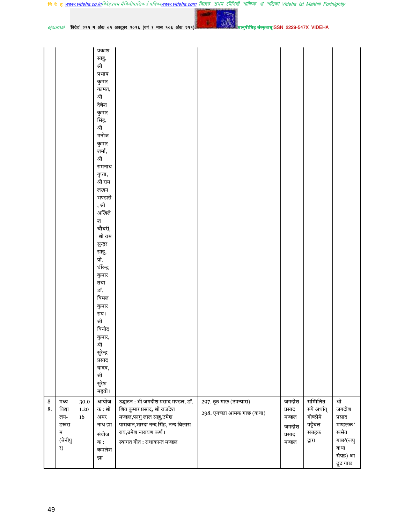|  | <b>बि दे हु <u>www.videha.co.in</u>विदेहप्रथम मैथिलीपाक्षिक ई पत्रिका<u>www.videha.com</u> त्रि(मह क्षेत्र) र त्रीशितौ शोफिक अं शेजिको Videha Ist Maithili Fortnightly</b> |  |  |  |  |  |  |  |  |  |  |
|--|----------------------------------------------------------------------------------------------------------------------------------------------------------------------------|--|--|--|--|--|--|--|--|--|--|
|--|----------------------------------------------------------------------------------------------------------------------------------------------------------------------------|--|--|--|--|--|--|--|--|--|--|

ानुषीमिह संस्कृताम्ISSN 2229-547X VIDEHA

जगदीश

प्रसाद

मण्डल

जगदीश

प्रसाद

मण्डल

297. ठूठ गाछ (उपन्यास)

298. एगच्छा आमक गाछ (कथा)

सम्मिलित

गोष्ठीमे

पहुँचल

सबहक

द्वारा

रूपे अर्थात्

श्री

जगदीश

मण्डलक'

गाछ'(लघु

संग्रह) आ

ठूठ गाछ

प्रसाद

खसैत

कथा

ejournal 'विदेह' २११ म अंक ०१ अक्टूबर २०१६ (वर्ष ९ मास १०६ अंक २११)

प्रकाश साहू, श्री प्रभाष कुमार कामत, श्री देवेश कुमार सिंह, श्री मनोज कुमार शर्मा, श्री रामनाथ गुप्ता, श्री राम लखन भण्डारी , श्री अखिले श चौधरी, श्री राम सुन्द्रर साहू, प्रो. धीरेन्द्र कुमार तथा डॉ. विमल कुमार राय। श्री विनोद कुमार, श्री सुरेन्द्र प्रसाद यादव, श्री सुरेश महतो।

 $\bf 8$ 

8.

49

मध्य

विद्या

लय-

म

र)

डखरा

(बेनीपु

आयोज

क : श्री

अमर

नाथ झा

संयोज

कमलेश

क :

झा

30.0

 $1.20$ 

16

उद्घाटन : श्री जगदीश प्रसाद मण्डल, डॉ.

पासवान,शारदा नन्द सिंह, नन्द विलास

शिव कुमार प्रसाद, श्री राजदेश

मण्डल,फागु लाल साहु,उमेश

स्वागत गीत : राधाकान्त मण्डल

राय,उमेश नारायण कर्ण।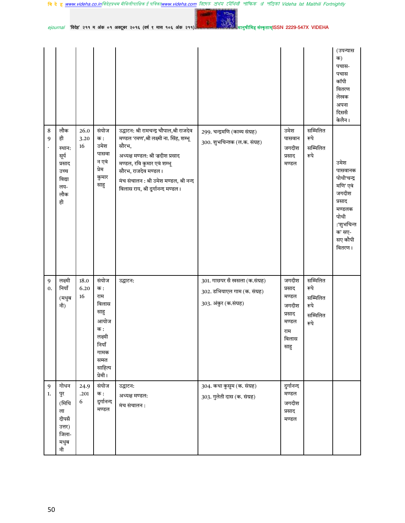50

नी

|                                      |                                                                              |                    |                                                                                                                  |                                                                                                                                                                                                                                                                          |                                                                                        |                                                                              |                                                          | (उपन्यास<br>क)<br>पचास-<br>पचास<br>कॉपी<br>वितरण<br>लेखक<br>अपना<br>दिससँ<br>केलैन।                                           |
|--------------------------------------|------------------------------------------------------------------------------|--------------------|------------------------------------------------------------------------------------------------------------------|--------------------------------------------------------------------------------------------------------------------------------------------------------------------------------------------------------------------------------------------------------------------------|----------------------------------------------------------------------------------------|------------------------------------------------------------------------------|----------------------------------------------------------|-------------------------------------------------------------------------------------------------------------------------------|
| $\bf 8$<br>9<br>$\ddot{\phantom{0}}$ | लौक<br>ही<br>स्थान:<br>सूर्य<br>प्रसाद<br>उच्च<br>विद्या<br>लय-<br>लौक<br>ही | 26.0<br>3.20<br>16 | संयोज<br>क :<br>उमेश<br>पासवा<br>न एवं<br>प्रेम<br>कुमार<br>साहु                                                 | उद्घाटन: श्री रामचन्द्र चौपाल,श्री राजदेव<br>मण्डल 'रमण',श्री लक्ष्मी ना. सिंह, शम्भू<br>सौरभ,<br>अध्यक्ष मण्डल: श्री ज़दीश प्रसाद<br>मण्डल, रवि कुमार एवं शम्भू<br>सौरभ, राजदेव मण्डल ।<br>मंच संचालन : श्री उमेश मण्डल, श्री नन्द<br>विलास राय, श्री दुर्गानन्द मण्डल। | 299. चन्द्रमणि (काव्य संग्रह)<br>300. शुभचिन्तक (ल.क. संग्रह)                          | उमेश<br>पासवान<br>जगदीश<br>प्रसाद<br>मण्डल                                   | सम्मिलित<br>रूपे<br>सम्मिलित<br>रूपे                     | उमेश<br>पासवानक<br>पोथी'चन्द्र<br>मणि' एवं<br>जगदीश<br>प्रसाद<br>मण्डलक<br>पोथी<br>:'शुभचिन्त<br>क' सए-<br>सए कौपी<br>वितरण । |
| $\overline{9}$<br>0.                 | लक्ष्मी<br>नियाँ<br>(मधुब<br>नी)                                             | 18.0<br>6.20<br>16 | संयोज<br>क :<br>राम<br>विलास<br>साहु<br>आयोज<br>क :<br>लक्ष्मी<br>नियाँ<br>गामक<br>सम्स्त<br>साहित्य<br>प्रेमी । | उद्घाटन:                                                                                                                                                                                                                                                                 | 301. गाछपर सँ खसला (क.संग्रह)<br>302. डभियाएल गाम (क. संग्रह)<br>303. अंकुर (क.संग्रह) | जगदीश<br>प्रसाद<br>मण्डल<br>जगदीश<br>प्रसाद<br>मण्डल<br>राम<br>विलास<br>साहु | सम्मिलित<br>रूपे<br>सम्मिलित<br>रूपे<br>सम्मिलित<br>रूपे |                                                                                                                               |
| 9<br>1.                              | गोधन<br>पुर<br>(मिथि<br>ला<br>दीपसँ<br>उत्तर)<br>जिला-<br>मधुब               | 24.9<br>.201<br>6  | संयोज<br>क :<br>दुर्गानन्द<br>मण्डल                                                                              | उद्घाटन:<br>अध्यक्ष मण्डल:<br>मंच संचालन :                                                                                                                                                                                                                               | 304. कथा कुसुम (क. संग्रह)<br>303. गुलेती दास (क. संग्रह)                              | दुर्गानन्द<br>मण्डल<br>जगदीश<br>प्रसाद<br>मण्डल                              |                                                          |                                                                                                                               |

मानु<mark>षीमिह संस्कृताम्</mark>ISSN 2229-547X VIDEHA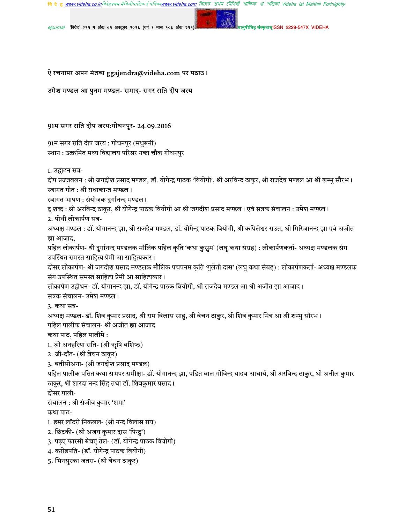चि दे ह www.videha.co.inविदेहप्रथम मैथिलीपाक्षिक ई पत्रिकाwww.videha.com तिएफर रोथिय शोषिक अं शेविको Videha Ist Maithili Fortnightly

संस्कृतामSSN 2229-547X VIDEHA

ejournal 'विदेह' २११ म अंक ०१ अक्टूबर २०१६ (वर्ष ९ मास १०६ अंक २११

# ऐ रचनापर अपन मंतव्य <u>ggajendra@videha.com</u> पर पठाउ।

### उमेश मण्डल आ पुनम मण्डल- समाद- सगर राति दीप जरय

# 91म सगर राति दीप जरय:गोधनपुर- 24.09.2016

91म सगर राति दीप जरय : गोधनपुर (मधुबनी) स्थान : उत्क्रमित मध्य विद्यालय परिसर नका चौक गोधनपुर

1. उद्घाटन सत्र-

दीप प्रज्जवलन : श्री जगदीश प्रसाद मण्डल, डॉ. योगेन्द्र पाठक 'वियोगी', श्री अरविन्द ठाकुर, श्री राजदेव मण्डल आ श्री शम्भु सौरभ। स्वागत गीत : श्री राधाकान्त मण्डल।

स्वागत भाषण : संयोजक दुर्गानन्द मण्डल ।

दू शब्द : श्री अरविन्द ठाकुर, श्री योगेन्द्र पाठक वियोगी आ श्री जगदीश प्रसाद मण्डल। एवं सत्रक संचालन : उमेश मण्डल।

2. पोथी लोकार्पण सत्र-

अध्यक्ष मण्डल : डॉ. योगानन्द झा, श्री राजदेव मण्डल, डॉ. योगेन्द्र पाठक वियोगी, श्री कपिलेश्वर राउत, श्री गिरिजानन्द झा एवं अजीत झा आजाद,

पहिल लोकार्पण- श्री दुर्गानन्द मण्डलक मौलिक पहिल कृति 'कथा कुसुम' (लघु कथा संग्रह) : लोकार्पणकर्ता- अध्यक्ष मण्डलक संग उपस्थित समस्त साहित्य प्रेमी आ साहित्यकार।

दोसर लोकार्पण- श्री जगदीश प्रसाद मण्डलक मौलिक पचपनम कृति 'गुलेती दास' (लघु कथा संग्रह) : लोकार्पणकर्ता- अध्यक्ष मण्डलक संग उपस्थित समस्त साहित्य प्रेमी आ साहित्यकार।

लोकार्पण उद्वोधन- डॉ. योगानन्द झा, डॉ. योगेन्द्र पाठक वियोगी, श्री राजदेव मण्डल आ श्री अजीत झा आजाद। सत्रक संचालन- उमेश मण्डल।

3. कथा सत्र-

अध्यक्ष मण्डल- डॉ. शिव कुमार प्रसाद, श्री राम विलास साहू, श्री बेचन ठाकुर, श्री शिव कुमार मित्र आ श्री शम्भु सौरभ। पहिल पालीक संचालन- श्री अजीत झा आजाद

कथा पाठ, पहिल पालीमे :

1. ओ अनहरिया राति- (श्री ऋषि बशिष्ठ)

2. जी-दाँत- (श्री बेचन ठाकुर)

3. बतीसोअना- (श्री जगदीश प्रसाद मण्डल)

पहिल पालीक पठित कथा सभपर समीक्षा- डॉ. योगानन्द झा, पंडित बाल गोविन्द यादव आचार्य, श्री अरविन्द ठाकुर, श्री अनील कुमार ठाकुर, श्री शारदा नन्द सिंह तथा डॉ. शिवकुमार प्रसाद।

दोसर पाली-

संचालन : श्री संजीव कुमार 'शमा'

कथा पाठ-

1. हमर लॉटरी निकलल- (श्री नन्द विलास राय)

2. छिटकी- (श्री अजय कुमार दास 'पिन्टु')

3. पढ़ए फारसी बेचए तेल- (डॉ. योगेन्द्र पाठक वियोगी)

4. करोड़पति- (डॉ. योगेन्द्र पाठक वियोगी)

5. भिनसुरका जतरा- (श्री बेचन ठाकुर)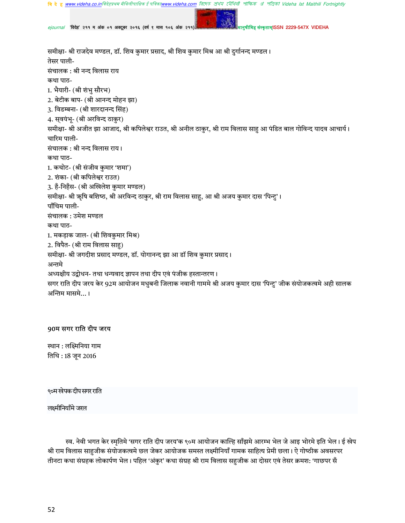<u>v.videha.com</u> রিদেত প্রথম মৌথিনী পাক্ষিক র্য পত্রিকা Videha Ist Maithili Fortnightly **वि दे हु www.videha.co.in**विदेहप्रथम मैथिलीपाक्षिक ई पत्रिका**।** 

ह संस्कृताम्ISSN 2229-547X VIDEHA

ejournal 'विदेह' २११ म अंक ०१ अक्टूबर २०१६ (वर्ष ९ मास १०६ अंक २११

समीक्षा- श्री राजदेव मण्डल, डॉ. शिव कुमार प्रसाद, श्री शिव कुमार मिश्र आ श्री दुर्गानन्द मण्डल। तेसर पाली-संचालक : श्री नन्द विलास राय कथा पाठ-1. भैयारी- (श्री शंभु सौरभ) 2. बेटीक बाप- (श्री आनन्द मोहन झा) 3. विडम्बना- (श्री शारदानन्द सिंह) 4. स्वयंभू- (श्री अरविन्द ठाकुर) समीक्षा- श्री अजीत झा आजाद, श्री कपिलेश्वर राउत, श्री अनील ठाकुर, श्री राम विलास साहु आ पंडित बाल गोविन्द यादव आचार्य। चारिम पाली-संचालक : श्री नन्द विलास राय। कथा पाठ-1. कचोट- (श्री संजीव कुमार 'शमा') 2. शंका- (श्री कपिलेश्वर राउत) 3. हैं-निहँस- (श्री अखिलेश कुमार मण्डल) समीक्षा- श्री ऋषि बशिष्ठ, श्री अरविन्द ठाकुर, श्री राम विलास साहु, आ श्री अजय कुमार दास 'पिन्टु'। पाँचिम पाली-संचालक : उमेश मण्डल कथा पाठ-1. मकड़ाक जाल- (श्री शिवकुमार मिश्र) 2. विपैत- (श्री राम विलास साहु) समीक्षा- श्री जगदीश प्रसाद मण्डल, डॉ. योगानन्द झा आ डॉ शिव कुमार प्रसाद। अन्तमे अध्यक्षीय उद्बोधन- तथा धन्यवाद ज्ञापन तथा दीप एवं पंजीक हस्तान्तरण । सगर राति दीप जरय केर 92म आयोजन मधुबनी जिलाक नवानी गाममे श्री अजय कुमार दास 'पिन्टु' जीक संयोजकत्वमे अही सालक अन्तिम मासमे... ।

# 90म सगर राति दीप जरय

स्थान : लक्ष्मिनिया गाम तिथि: 18 जून 2016

९०म खेपक दीप सगर राति

लक्ष्मीनियाँमे जरल

स्व. नेवी भगत केर स्मृतिमे 'सगर राति दीप जरय'क ९०म आयोजन काल्हि साँझमे आरम्भ भेल जे आइ भोरमे इति भेल। ई खेप श्री राम विलास साहुजीक संयोजकत्वमे छल जेकर आयोजक समस्त लक्ष्मीनियाँ गामक साहित्य प्रेमी छला। ऐ गोष्ठीक अवसरपर तीनटा कथा संग्रहक लोकार्पण भेल। पहिल 'अंकुर' कथा संग्रह श्री राम विलास सहुजीक आ दोसर एवं तेसर क्रमश: 'गाछपर सँ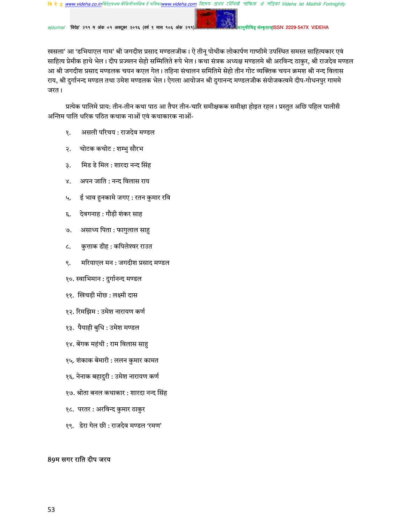ejournal 'विदेह' २११ म अंक ०१ अक्टूबर २०१६ (वर्ष ९ मास १०६ अंक २११)

संस्कृताम्ISSN 2229-547X VIDEHA

खसला' आ 'डभियाएल गाम' श्री जगदीश प्रसाद मण्डलजीक। ऐ तीनू पोथीक लोकार्पण गाष्ठीमे उपस्थित समस्त साहित्यकार एवं साहित्य प्रेमीक हाथे भेल। दीप प्रज्व्लन सेहो सम्मिलिते रूपे भेल। कथा संत्रक अध्यक्ष मण्डलमे श्री अरविन्द ठाकुर, श्री राजदेव मण्डल आ श्री जगदीश प्रसाद मण्डलक चयन कएल गेल। तहिना संचालन समितिमे सेहो तीन गोट व्यक्तिक चयन क्रमश श्री नन्द विलास राय, श्री दुर्गानन्द मण्डल तथा उमेश मण्डलक भेल। ऐगला आयोजन श्री दुगानन्द मण्डलजीक संयोजकत्वमे दीप-गोधनपुर गाममे जरत।

प्रत्येक पालिमे प्राय: तीन-तीन कथा पाठ आ तैपर तीन-चारि समीक्षकक समीक्षा होइत रहल। प्रस्तुत अछि पहिल पालीसँ अन्तिम पालि धरिक पठित कथाक नाओं एवं कथाकारक नाओं-

- असली परिचय: राजदेव मण्डल १.
- २. चोटक कचोट : शम्भु सौरभ
- मिड डे मिल : शारदा नन्द सिंह з.
- अपन जाति : नन्द विलास राय ४.
- ई भाव हुनकामे जगए : रतन कुमार रवि Ц.
- देवगनाह : गौडी शंकर साह દ.
- असाध्य पिता : फागुलाल साह  $\Theta$ .
- कुत्ताक डीह : कपिलेश्वर राउत  $\mathcal{L}$ .
- मरियाएल मन: जगदीश प्रसाद मण्डल ९.
- १०. स्वाभिमान : दुर्गानन्द मण्डल
- ११. खिचड़ी मोछ : लक्ष्मी दास
- १२. रिमझिम : उमेश नारायण कर्ण
- १३. पैयाही बुधि : उमेश मण्डल
- १४. बेंगक महंथी : राम विलास साहु
- १५. शंकाक बेमारी : ललन कुमार कामत
- १६. नेनाक बहादुरी : उमेश नारायण कर्ण
- १७. श्रोता बनल कथाकार : शारदा नन्द सिंह
- १८. परतर : अरविन्द कुमार ठाकुर
- १९. डेरा गेल छी : राजदेव मण्डल 'रमण'

# 89म सगर राति दीप जरय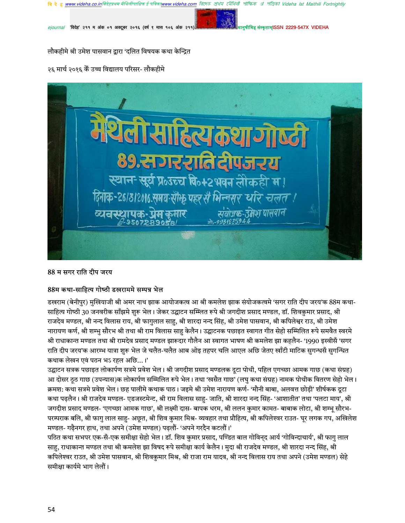7মীথিती পাক্ষিক প্র' পত্রিকা Videha Ist Maithili Fortnightly

**TISSN 2229-547X VIDEHA** 

'विदेह' २११ म अंक ०१ अक्टूबर २०१६ (वर्ष ९ मास १०६ अंक २११

लौकहीमे श्री उमेश पासवान द्वारा 'दलित विषयक कथा केन्द्रित

२६ मार्च २०१६ कें उच्च विद्यालय परिसर- लौकहीमे



#### 88 म सगर राति दीप जरय

# 88म कथा-साहित्य गोष्ठी डखराममे सम्पन्न भेल

डखराम (बेनीपुर) मुखियाजी श्री अमर नाथ झाक आयोजकत्व आ श्री कमलेश झाक संयोजकत्वमे 'सगर राति दीप जरय'क 88म कथा-साहित्य गोष्ठी 30 जनवरीक साँझमे शुरू भेल। जेकर उद्घाटन सम्म्लित रूपे श्री जगदीश प्रसाद मण्डल, डॉ. शिवकुमार प्रसाद, श्री राजदेव मण्डल, श्री नन्द विलास राय, श्री फागुलाल साहु, श्री शारदा नन्द सिंह, श्री उमेश पासवान, श्री कपिलेश्वर राउ, श्री उमेश नारायण कर्ण, श्री शम्भु सौरभ श्री तथा श्री राम विलास साहु केलैन। उद्घाटनक पछाइत स्वागत गीत सेहो सम्मिलित रूपे समवैत स्वरमे श्री राधाकान्त मण्डल तथा श्री रामदेव प्रसाद मण्डल झारूदार गौलैन आ स्वागत भाषण श्री कमलेश झा कहलैन- '1990 इस्वीसँ 'सगर राति दीप जरय'क आरम्भ यात्रा शुरू भेल जे चलैत-चलैत आब ओइ तहपर चलि आएल अछि जेतए खाँटी माटिक सुगन्धसँ सुगन्धित कथाक लेखन एवं पठन भऽ रहल अछि...।'

उद्घाटन सत्रक पछाइत लोकार्पण सत्रमे प्रवेश भेल। श्री जगदीश प्रसाद मण्डलक दूटा पोथी, पहिल एगच्छा आमक गाछ (कथा संग्रह) आ दोसर ठूठ गाछ (उपन्यास)क लोकार्पण सम्मिलित रूपे भेल। तथा 'खसैत गाछ' (लघु कथा संग्रह) नामक पोथीक वितरण सेहो भेल। क्रमश: कथा सत्रमे प्रवेश भेल। छह पालीमे कथाक पाठ। जइमे श्री उमेश नारायण कर्ण- 'मौनी बाबा, अलवत्त छोड़ी' शीर्षकक दुटा कथा पढ़लैन। श्री राजदेव मण्डल- एडजस्टमेन्ट, श्री राम विलास साहु- जाति, श्री शारदा नन्द सिंह- 'आशातीत' तथा 'पलटा माय', श्री जगदीश प्रसाद मण्डल- 'एगच्छा आमक गाछ', श्री लक्ष्मी दास- बापक धरम, श्री ललन कुमार कामत- बाबाक लोटा, श्री शम्भू सौरभ-परम्पराक बलि, श्री फागु लाल साहु- अछूत, श्री शिव कुमार मिश्र- व्यवहार तथा प्रौहित्य, श्री कपिलेश्वर राउत- घूर लगक गप, अखिलेश मण्डल- गढ़ैनगर हाथ, तथा अपने (उमेश मण्डल) पढ़लौं- 'अपने गरदैन कटलौं।'

पठित कथा सभपर एक-सँ-एक समीक्षा सेहो भेल। डॉ. शिव कुमार प्रसाद, पण्डित बाल गोविन्द आर्य 'गोविन्दाचार्य', श्री फागु लाल साह, राधाकान्त मण्डल तथा श्री कमलेश झा विषद रूपे समीक्षा कार्य केलैन। मुदा श्री राजदेव मण्डल, श्री शारदा नन्द सिंह, श्री कपिलेश्वर राउत, श्री उमेश पासवान, श्री शिवकुमार मिश्र, श्री राजा राम यादव, श्री नन्द विलास राय तथा अपने (उमेश मण्डल) सेहे समीक्षा कार्यमे भाग लेलौं।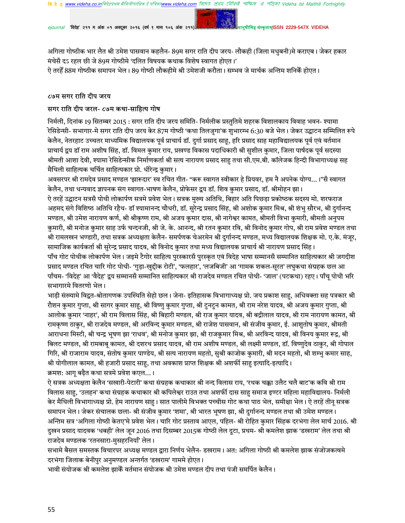'विदेह' २११ म अंक ०१ अक्टूबर २०१६ (वर्ष ९ मास १०६ अंक २११)

कतामISSN 2229-547X VIDEHA

अगिला गोष्ठीक भार लैत श्री उमेश पासवान कहलैन- 89म सगर राति दीप जरय- लौकही (जिला मधुबनी)मे कराएब। जेकर हकार मंचेसँ दऽ रहल छी जे 89म गोष्ठीमे 'दलित विषयक कथाक विशेष स्वागत होएत।'

ऐ तरहेँ 88म गोष्ठीक समापन भेल। 89 गोष्ठी लौकहीमे श्री उमेशजी करौता। सम्भव जे मार्चक अन्तिम शनिकेँ होएत।

### ८७म सगर राति दीप जरय

# सगर राति दीप जरल- ८७म कथा-साहित्य गोष

निर्मली, दिनांक 19 सितम्बर 2015 : सगर राति दीप जरय समिति- निर्मलीक प्रस्तुतिमे शहरक विशालकाय विवाह भवन- श्यामा रेसिडेन्सी- सभागार-मे सगर राति दीप जरय केर 87म गोष्ठी 'कथा तिलजुगा'क शुभारम्भ 6:30 बजे भेल। जेकर उद्घाटन सम्मिलित रूपे केलैन, नेतरहाट उच्चतर माध्यमिक विद्यालयक पूर्व प्राचार्य डॉ. दुर्गा प्रसाद साहू, हरि प्रसाद साह महाविद्यालयक पूर्व एवं वर्तमान प्राचार्य द्वय डॉ राम अशीष सिंह, डॉ. विमल कुमार राय, प्रखण्ड विकास पदाधिकारी श्री सुशील कुमार, जिला पार्षदक पूर्व सदस्या श्रीमती आशा देवी, श्यामा रेसिडेन्सीक निर्माणकर्ता श्री सत्य नारायण प्रसाद साहु तथा सी.एम.बी. कॉलेजक हिन्दी विभागाध्यक्ष सह मैथिली साहित्यक चर्चित साहित्यकार प्रो. धीरेन्द्र कुमार।

अवसरपर श्री रामदेव प्रसाद मण्डल 'झारूदार' स्व रचित गीत- "करू स्वागत स्वीकार हे प्रियवर, हम नै अपनेक योग्य… ।"सँ स्वागत केलैन, तथा धन्यवाद ज्ञापनक संग स्वागत-भाषण केलैन, प्रोफेसर द्वय डॉ. शिव कुमार प्रसाद, डॉ. श्रीमोहन झा। ऐ तरहें उद्घाटन सत्रसँ पोथी लोकार्पण सत्रमे प्रवेश भेल। सत्रक मुख्य अतिथि, बिहार अति पिछड़ा प्रकोष्ठक सदस्य मो. शरफराज अहमद संगे विशिष्ठ अतिथि रहैथ- डॉ श्यामानन्द चौधरी, डॉ. सुरेन्द्र प्रसाद सिंह, श्री अशोक कुमार मिश्र, श्री शंभु सौरभ, श्री दुर्गानन्द मण्डल, श्री उमेश नारायण कर्ण, श्री श्रीकृष्ण राम, श्री अजय कुमार दास, श्री नागेश्वर कामत, श्रीमती विभा कुमारी, श्रीमती अनुपम कुमारी, श्री मनोज कुमार साह उर्फ चन्दनजी, श्री जे. के. आनन्द, श्री रतन कुमार रवि, श्री विनोद कुमार गोप, श्री राम प्रवेश मण्डल तथा श्री रामलखन भण्डारी, तथा सत्रक अध्यक्षता केलैन- समर्पणक चेअरमेन श्री दुर्गानन्द मण्डल, मध्य विद्यालयक शिक्षक मो. ए.के. मंजूर, सामाजिक कार्यकर्ता श्री सुरेन्द्र प्रसाद यादव, श्री विनोद कुमार तथा मध्य विद्यालयक प्राचार्य श्री नारायण प्रसाद सिंह। पाँच गोट पोथीक लोकार्पण भेल। जइमे टैगोर साहित्य पुरस्कारसँ पुरस्कृत एवं विदेह भाषा सम्मानसँ सम्मानित साहित्यकार श्री जगदीश प्रसाद मण्डल रचित चारि गोट पोथी- 'गुड़ा-खुद्दीक रोटी', 'फलहार', 'लजबिजी' आ 'गामक शकल-सूरत' लघुकथा संग्रहक छल आ पाँचम- 'विदेह' आ 'वैदेह' द्वय सम्मानसँ सम्मानित साहित्यकार श्री राजदेव मण्डल रचित पोथी- 'जाल' (पटकथा) रहए। पाँच पोथी भरि सभागारमे वितरणो भेल।

भाड़ी संख्यामे विद्वत-श्रोतागणक उपस्थिति सेहो छल। जेना- इतिहासक विभागाध्यक्ष प्रो. जय प्रकाश साहु, अधिवक्ता सह पत्रकार श्री रौशन कुमार गुप्ता, श्री सागर कुमार साहु, श्री विष्णु कुमार गुप्ता, श्री टुनटुन कामत, श्री राम नरेश यादव, श्री अजय कुमार गुप्ता, श्री आलोक कुमार 'नाहर', श्री राम विलास सिंह, श्री बिहारी मण्डल, श्री राज कुमार यादव, श्री बद्रीलाल यादव, श्री राम नारायण कामत, श्री रामकृष्ण ठाकुर, श्री राजदेव मण्डल, श्री अरविन्द कुमार मण्डल, श्री राजेश पासवान, श्री संजीव कुमार, ई. आशुतोष कुमार, श्रीमती आराधना मिस्टी, श्री चन्द्र भूषण झा 'राधव', श्री मनोज कुमार झा, श्री राजकुमार मिश्र, श्री अरविन्द यादव, श्री विनय कुमार रूद्र, श्री बिलट मण्डल, श्री रामबाबू कामत, श्री दशरथ प्रसाद यादव, श्री राम अशीष मण्डल, श्री लक्ष्मी मण्डल, डॉ. विष्णुदेव ठाकुर, श्री गोपाल गिरि, श्री राजाराम यादव, संतोष कुमार पाण्डेय, श्री सत्य नारायण महतो, सुश्री काजोक कुमारी, श्री मदन महतो, श्री शम्भु कमार साह, श्री योगीलाल कामत, श्री हजारी प्रसाद साहु, तथा अवकाश प्राप्त शिक्षक श्री अशर्फी साहु इत्यादि-इत्यादि। क्रमश: आगू बढ़ैत कथा सत्रमे प्रवेश कएल... ।

ऐ सत्रक अध्यक्षता केलैन 'सखारी-पेटारी' कथा संग्रहक कथाकार श्री नन्द विलास राय, 'रथक चक्का उलैट चलै बाट'क कवि श्री राम विलास साहु, 'उलहन' कथा संग्रहक कथाकार श्री कपिलेश्वर राउत तथा अशर्फी दास साहु समाज इण्टर महिला महाविद्यालय- निर्मली केर मैथिली विभागाध्यक्ष प्रो. हेम नारायण साहु। सात पालीमे विभक्त पच्चीस गोट कथा पाठ भेल, समीक्षा भेल। ऐ तरहें तीन् सत्रक समापन भेल। जेकर संचालक छला- श्री संजीव कुमार 'शमा', श्री भारत भूषण झा, श्री दुर्गानन्द मण्डल तथा श्री उमेश मण्डल। अन्तिम सत्र 'अगिला गोष्ठी केतए'मे प्रवेश भेल। चारि गोट प्रस्ताव आएल, पहिल- श्री रोहित कुमार सिंहक दरभंगा लेल मार्च 2016. श्री दुखन प्रसाद यादवक 'धबही' लेल जून 2016 तथा दिसम्बर 2015क गोष्ठी लेल दूटा, प्रथम- श्री कमलेश झाक 'डखराम' लेल तथा श्री राजदेव मण्डलक 'रतनसारा-मुसहरनियाँ' लेल।

सभामे बैसल समस्तक विचारपर अध्यक्ष मण्डल द्वारा निर्णय भेलैन- डखराम। अत: अगिला गोष्ठी श्री कमलेश झाक संजोजकत्वमे दरभंगा जिलाक बेनीपुर अनुमण्डल अन्तर्गत 'डखराम' गाममे होएत ।

भावी संयोजक श्री कमलेश झाकेँ वर्तमान संयोजक श्री उमेश मण्डल दीप तथा पंजी समर्पित केलैन।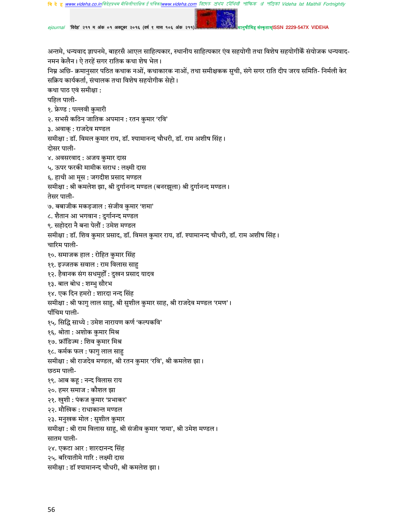w.videha.com রিদেহ প্রথম মৌথিনী পাক্ষিক রা পত্রিকা Videha Ist Maithili Fortnightly **वि दे हु www.videha.co.in**विदेहप्रथम मैथिलीपाक्षिक ई पत्रिका**w** 

'विदेह' २११ म अंक ०१ अक्टूबर २०१६ (वर्ष ९ मास १०६ अंक २१

संस्कृताम्ISSN 2229-547X VIDEHA

अन्तमे, धन्यवाद ज्ञापनमे, बाहरसँ आएल साहित्यकार, स्थानीय साहित्यकार एंव सहयोगी तथा विशेष सहयोगीकैं संयोजक धन्यवाद-नमन केलैन। ऐ तरहें सगर रातिक कथा शेष भेल।

निम्न अछि- क्रमानुसार पठित कथाक नओं, कथाकारक नाओं, तथा समीक्षकक सुची, संगे सगर राति दीप जरय समिति- निर्मली केर सक्रिय कार्यकर्ता, संचालक तथा विशेष सहयोगीक सेहो।

कथा पाठ एवं समीक्षा :

पहिल पाली-

१. फ्रेण्ड : पल्लवी कुमारी

२. सभसँ कठिन जातिक अपमान : रतन कुमार 'रवि'

३. अवाक् : राजदेव मण्डल

समीक्षा : डॉ. विमल कुमार राय, डॉ. श्यामानन्द चौधरी, डॉ. राम अशीष सिंह। दोसर पाली-

४. अवसरवाद : अजय कुमार दास

५. ऊपर फरकी मामीक सराध : लक्ष्मी दास

६. हाथी आ मूस : जगदीश प्रसाद मण्डल

समीक्षा : श्री कमलेश झा, श्री दुर्गानन्द मण्डल (बनरझूला) श्री दुर्गानन्द मण्डल।

तेसर पाली-

७. बबाजीक मकड़जाल : संजीव कुमार 'शमा'

८. शैतान आ भगवान : दुर्गानन्द मण्डल

९. सहोदरा नै बना पेलौं : उमेश मण्डल

समीक्षा : डॉ. शिव कुमार प्रसाद, डॉ. विमल कुमार राय, डॉ. श्यामानन्द चौधरी, डॉ. राम अशीष सिंह।

चारिम पाली-

१०. समाजक हाल : रोहित कुमार सिंह

११. इज्जतक सवाल : राम विलास साहु

१२. हैवानक संग सधमुहोँ : दुखन प्रसाद यादव

१३. बाल बोध : शम्भु सौरभ

१४. एक दिन हमरो : शारदा नन्द सिंह

समीक्षा : श्री फागु लाल साहु, श्री सुशील कुमार साह, श्री राजदेव मण्डल 'रमण'।

पाँचिम पाली-

१५. सिद्धि साध्ये : उमेश नारायण कर्ण 'कल्पकवि'

१६. श्रोता : अशोक कुमार मिश्र

१७. फ्रॉडिज्म : शिव कुमार मिश्र

१८. कर्मक फल : फागु लाल साहु

समीक्षा : श्री राजदेव मण्डल, श्री रतन कुमार 'रवि', श्री कमलेश झा।

छठम पाली-

१९. आब कहू : नन्द विलास राय

२०. हमर समाज : कौशल झा

२१. खुशी : पंकज कुमार 'प्रभाकर'

२२. मौखिक : राधाकान्त मण्डल

२३. मनुखक मोल : सुशील कुमार

समीक्षा : श्री राम विलास साहु, श्री संजीव कुमार 'शमा', श्री उमेश मण्डल।

सातम पाली-

२४. एकटा आर : शारदानन्द सिंह

२५. बरियातीमे गारि : लक्ष्मी दास

समीक्षा : डॉ श्यामानन्द चौधरी, श्री कमलेश झा।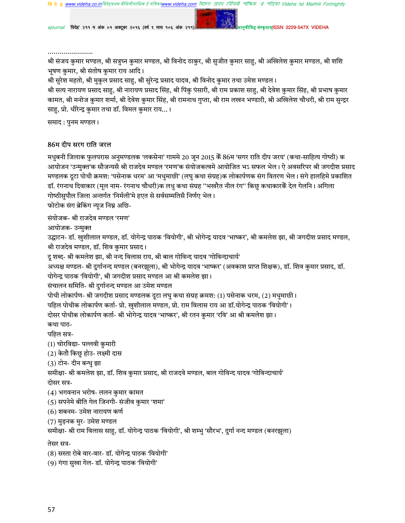**वि दे हु www.videha.co.in**विदेहप्रथम मैथिलीपाक्षिक ई पत्रिका**v** w.videha.com রিদেত শ্রথম মৌথিনী পাক্ষিক রা পত্রিকা Videha Ist Maithili Fortnightly

ejournal 'विदेह' २११ म अंक ०१ अक्टूबर २०१६ (वर्ष ९ मास १०६ अंक २११)

ह संस्कृताम्ISSN 2229-547X VIDEHA

श्री संजय कुमार मण्डल, श्री सत्रुघ्न कुमार मण्डल, श्री विनोद ठाकुर, श्री सुजीत कुमार साह, श्री अखिलेश कुमार मण्डल, श्री शशि भूषण कुमार, श्री संतोष कुमार राय आदि।

श्री सुरेश महतो, श्री मुकुल प्रसाद साहु, श्री सुरेन्द्र प्रसाद यादव, श्री विनोद कुमार तथा उमेश मण्डल।

श्री सत्य नारायण प्रसाद साहु, श्री नारायण प्रसाद सिंह, श्री पिंकु पंसारी, श्री राम प्रकाश साहु, श्री देवेश कुमार सिंह, श्री प्रभाष कुमार कामत, श्री मनोज कुमार शर्मा, श्री देवेश कुमार सिंह, श्री रामनाथ गुप्ता, श्री राम लखन भण्डारी, श्री अखिलेश चौधरी, श्री राम सुन्द्रर साहु, प्रो. धीरेन्द्र कुमार तथा डॉ. विमल कुमार राय... ।

समाद : पुनम मण्डल ।

#### 86म दीप सरग राति जरल

मधुबनी जिलाक फुलपरास अनुमण्डलक 'लकसेना' गाममे 20 जून 2015 केँ 86म 'सगर राति दीप जरय' (कथा-साहित्य गोष्ठी) क आयोजन 'उन्मुक्त'क सौजन्यसँ श्री राजदेव मण्डल 'रमण'क संयोजकत्वमे आयोजित भऽ सफल भेल। ऐ अवसरिपर श्री जगदीश प्रसाद मण्डलक दूटा पोथी क्रमश: 'पसेनाक धरम' आ 'मधुमाछी' (लघु कथा संग्रह)क लोकार्पणक संग वितरण भेल। संगे हालहिमे प्रकाशित डॉ. रंगनाथ दिवाकार (मूल नाम- रंगनाथ चौधरी)क लधु कथा संग्रह ''भखरैत नील रंग'' किछु कथाकारकैं देल गेलनि । अगिला गोष्ठीसुपौल जिला अन्तर्गत 'निर्मली'मे हएत से सर्वसम्मतिसँ निर्णए भेल। फोटोक संग ब्रेकिंग न्यूज निम्न अछि-संयोजक- श्री राजदेव मण्डल 'रमण' आयोजक- उन्मुक्त उद्घाटन- डॉ. खुशीलाल मण्डल, डॉ. योगेन्द्र पाठक 'वियोगी', श्री भोगेन्द्र यादव 'भाष्कर', श्री कमलेश झा, श्री जगदीश प्रसाद मण्डल, श्री राजदेव मण्डल, डॉ. शिव कुमार प्रसाद। दू शब्द- श्री कमलेश झा, श्री नन्द विलास राय, श्री बाल गोविन्द यादव 'गोविन्दाचार्य' अध्यक्ष मण्डल- श्री दुर्गानन्द मण्डल (बनरझूला), श्री भोगेन्द्र यादव 'भाष्कर' (अवकाश प्राप्त शिक्षक), डॉ. शिव कुमार प्रसाद, डॉ. योगेन्द्र पाठक 'वियोगी', श्री जगदीश प्रसाद मण्डल आ श्री कमलेश झा। संचालन समिति- श्री दुर्गानन्द मण्डल आ उमेश मण्डल पोथी लोकार्पण- श्री जगदीश प्रसाद मण्डलक दूटा लघु कथा संग्रह क्रमश: (1) पसेनाक धरम, (2) मधुमाछी। पहिल पोथीक लोकार्पण कर्ता- प्रो. खुशीलाल मण्डल, प्रो. राम विलास राय आ डॉ.योगेन्द्र पाठक 'वियोगी'। दोसर पोथीक लोकार्पण कर्ता- श्री भोगेन्द्र यादव 'भाष्कर', श्री रतन कुमार 'रवि' आ श्री कमलेश झा। कथा पाठ-पहिल सत्र-(1) चोरविद्या- पल्लवी कुमारी (2) केतौ किछु होउ- लक्ष्मी दास (3) टोन- दीन बन्धु झा समीक्षा- श्री कमलेश झा, डॉ. शिव कुमार प्रसाद, श्री राजदवे मण्डल, बाल गोविन्द यादव 'गोविन्दाचार्य' दोसर सत्र-(4) भगवनान भरोष- ललन कुमार कामत (5) सपनेमे बीति गेल जिनगी- संजीव कुमार 'शमा' (6) शबनम- उमेश नारायण कर्ण (7) मुड़नक मुर- उमेश मण्डल समीक्षा- श्री राम विलास साहु, डॉ. योगेन्द्र पाठक 'वियोगी', श्री शम्भु 'सौरभ', दुर्गा नन्द मण्डल (बनरझूला) तेसर सत्र-(8) सस्ता रोबे वार-वार- डॉ. योगेन्द्र पाठक 'वियोगी' (9) गंगा सुखा गेल- डॉ. योगेन्द्र पाठक 'वियोगी'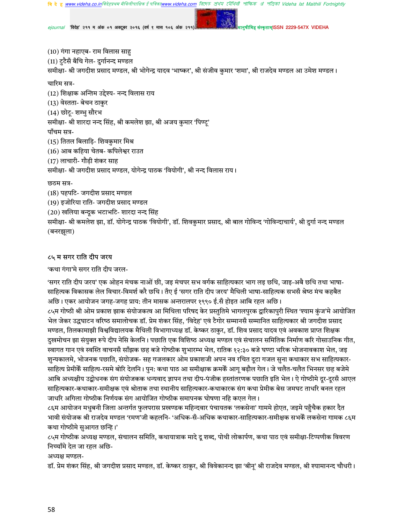*ejournal "*विदेह" २११ म अंक ०१ अक्टूबर २०१६ (वर्ष ९ मास १०६ अंक २११) मानुषाला अल्लाह संस्कृताम्ISSN 2229-547X VIDEHA

(10) गंगा नहाएब- राम विलास साह (11) टुटैसँ बँचि गेल- दुर्गानन्द मण्डल समीक्षा- श्री जगदीश प्रसाद मण्डल, श्री भोगेन्द्र यादव 'भाष्कर', श्री संजीव कुमार 'शमा', श्री राजदेव मण्डल आ उमेश मण्डल। चारिम सत्र-(12) शिक्षाक अन्तिम उद्देश्य- नन्द विलास राय (13) वेस्तता- बेचन ठाकुर (14) छोटू- शम्भु सौरभ समीक्षा- श्री शारदा नन्द सिंह, श्री कमलेश झा, श्री अजय कुमार 'पिण्टू' पाँचम सत्र-(15) तितल बिलाड़ि- शिवकुमार मिश्र  $(16)$  आब कहिया चेतब- कपिलेश्वर राउत (17) लाचारी- गौड़ी शंकर साह समीक्षा- श्री जगदीश प्रसाद मण्डल, योगेन्द्र पाठक 'वियोगी', श्री नन्द विलास राय। छठम सत्र-(18) पहपटि- जगदीश प्रसाद मण्डल (19) इजोरिया राति- जगदीश प्रसाद मण्डल (20) खलिया बन्दूक भटाभटि- शारदा नन्द सिंह समीक्षा- श्री कमलेश झा, डॉ. योगेन्द्र पाठक 'वियोगी', डॉ. शिवकुमार प्रसाद, श्री बाल गोविन्द 'गोविन्दाचार्य', श्री दुर्गा नन्द मण्डल

(बनरझूला)

### ८५ म सगर राति दीप जरय

'कथा गंगा'मे सगर राति दीप जरल-

'सगर राति दीप जरय' एक ओहन मंचक नाओं छी, जइ मंचपर सभ वर्गक साहित्यकार भाग लइ छथि, जाइ-अबै छथि तथा भाषा-साहित्यक विकासक लेल विचार-विमर्श करै छथि। तँए ई 'सगर राति दीप जरय' मैथिली भाषा-साहित्यक सभसँ श्रेष्ठ मंच कहबैत अछि। एकर आयोजन जगह-जगह प्राय: तीन मासक अन्तरालपर १९९० ई.सँ होइत आबि रहल अछि। ८५म गोष्ठी श्री ओम प्रकाश झाक संयोजकत्व आ मिथिला परिषद केर प्रस्तुतिमे भागलपुरक द्वारिकापुरी स्थित 'श्याम कुंज'मे आयोजित भेल जेकर उद्धघाटन वरिष्ठ समालोचक डॉ. प्रेम शंकर सिंह, 'विदेह' एवं टैगोर सम्मानसँ सम्मानित साहित्यकार श्री जगदीश प्रसाद मण्डल, तिलकामाझी विश्वविद्यालयक मैथिली विभागाध्यक्ष डॉ. केष्कर ठाकुर, डॉ. शिव प्रसाद यादव एवं अवकाश प्राप्त शिक्षक दुखमोचन झा संयुक्त रूपे दीप नेसि केलनि। पछाति एक विशिष्ठ अध्यक्ष मण्डल एवं संचालन समितिक निर्माण करि गोसाउनिक गीत, स्वागत गान एवं स्वस्ति वाचनसँ साँझक छह बजे गोष्ठीक शुभारम्भ भेल, रातिक १२:३० बजे घण्टा भरिक भोजनावकाश भेल, जइ शुन्यकालमे, भोजनक पछाति, संयोजक- सह गजलकार ओम प्रकाशजी अपन नव रचित दूटा गजल सुना कथाकार सभ साहित्यकार-साहित्य प्रेमीकैं साहित्य-रसमे बोरि देलनि। पुन: कथा पाठ आ समीक्षाक क्रमकैं आगू बढ़ौल गेल। जे चलैत-चलैत भिनसर छह बजेमे आबि अध्यक्षीय उद्बोधनक संग संयोजकक धन्यवाद ज्ञापन तथा दीप-पंजीक हस्तांतरणक पछाति इति भेल। ऐ गोष्ठीमे दूर-दूरसँ आएल साहित्यकार-कथाकार-समीक्षक एवं श्रोताक तथा स्थानीय साहित्यकार-कथाकारक संग कथा प्रेमीक बेस जमघट ताधरि बनल रहल जाधरि अगिला गोष्ठीक निर्णयक संग आयोजित गोष्ठीक समापनक घोषणा नहि कएल गेल।

८६म आयोजन मधुबनी जिला अन्तर्गत फुलपरास प्रखण्डक महिन्दवार पंचायतक 'लकसेना' गाममे होएत, जइमे पहुँचैक हकार दैत भावी संयोजक श्री राजदेव मण्डल 'रमण'जी कहलनि- 'अधिक-सँ-अधिक कथाकार-साहित्यकार-समीक्षक सभकेँ लकसेना गामक ८६म कथा गोष्ठीमे सुआगत छन्हि।'

८५म गोष्ठीक अध्यक्ष मण्डल, संचालन समिति, कथायात्राक मादे दू शब्द, पोथी लोकार्पण, कथा पाठ एवं समीक्षा-टिप्पणीक विवरण निच्चाँमे देल जा रहल अछि-

अध्यक्ष मण्डल-

डॉ. प्रेम शंकर सिंह, श्री जगदीश प्रसाद मण्डल, डॉ. केष्कर ठाकुर, श्री विवेकानन्द झा 'बीनू' श्री राजदेव मण्डल, श्री श्यामानन्द चौधरी।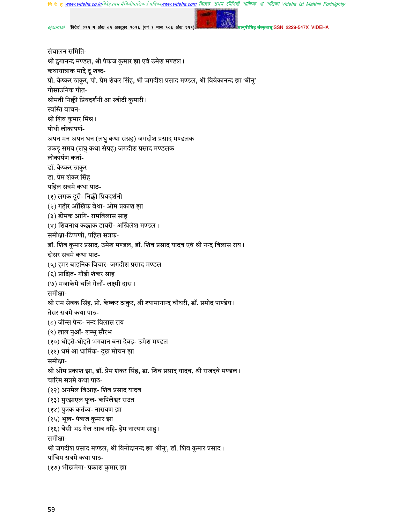**बि दे हु <u>www.videha.co.in</u>बिदेहप्रथम मैथिलीपाक्षिक ई पत्रिका<u>www.videha.com</u> तिएफ क्षेथ्य ट्यैथिवी পोष्फिक अं পंजिको Videha Ist Maithili Fortnightly** 

ejournal 'विदेह' २११ म अंक ०१ अक्टूबर २०१६ (वर्ष ९ मास १०६ अंक २११

कतामISSN 2229-547X VIDEHA

संचालन समिति-श्री दुगानन्द मण्डल, श्री पंकज कुमार झा एवं उमेश मण्डल। कथायात्राक मादे दू शब्द-प्रो. केष्कर ठाकुर, पो. प्रेम शंकर सिंह, श्री जगदीश प्रसाद मण्डल, श्री विवेकानन्द झा 'बीन्' गोसाउनिक गीत-श्रीमती निक्की प्रियदर्शनी आ स्वीटी कुमारी। स्वस्ति वाचन-श्री शिव कुमार मिश्र। पोथी लोकापर्ण-अपन मन अपन धन (लघु कथा संग्रह) जगदीश प्रसाद मण्डलक उकड़् समय (लघु कथा संग्रह) जगदीश प्रसाद मण्डलक लोकार्पण कर्ता-डॉ. केष्कर ठाकुर डा. प्रेम शंकर सिंह पहिल सत्रमे कथा पाठ-(१) लगक दूरी- निक्की प्रियदर्शनी (२) गहीर आँखिक बेथा- ओम प्रकाश झा (३) डोमक आगि- रामविलास साहु (४) शिवनाथ कक्काक डायरी- अखिलेश मण्डल। समीक्षा-टिप्पणी, पहिल सत्रक-डॉ. शिव कुमार प्रसाद, उमेश मण्डल, डॉ. शिव प्रसाद यादव एवं श्री नन्द विलास राय। दोसर सत्रमे कथा पाठ-(५) हमर बाइनिक विचार- जगदीश प्रसाद मण्डल (६) प्राश्चित- गौड़ी शंकर साह (७) मजाकेमे चलि गेलौं- लक्ष्मी दास। समीक्षा-श्री राम सेवक सिंह, प्रो. केष्कर ठाकुर, श्री श्यामानान्द चौधरी, डॉ. प्रमोद पाण्डेय। तेसर सत्रमे कथा पाठ-(८) जीन्स पेन्ट- नन्द विलास राय (९) लाल नुआँ- शम्भु सौरभ (१०) धोइते-धोइते भगवान बना देबइ- उमेश मण्डल (११) धर्म आ धार्मिक- दुख मोचन झा समीक्षा-श्री ओम प्रकाश झा, डॉ. प्रेम शंकर सिंह, डा. शिव प्रसाद यादव, श्री राजदवे मण्डल। चारिम सत्रमे कथा पाठ-(१२) अनमेल बिआह- शिव प्रसाद यादव (१३) मुरझाएल फूल- कपिलेश्वर राउत (१४) पुत्रक कर्तव्य- नारायण झा (१५) भूख- पंकज कुमार झा (१६) बेसी भऽ गेल आब नहि- हेम नारयण साहु। समीक्षा-श्री जगदीश प्रसाद मण्डल, श्री विनोदानन्द झा 'बीनू', डॉ. शिव कुमार प्रसाद। पाँचिम सत्रमे कथा पाठ-(१७) भीखमंगा- प्रकाश कुमार झा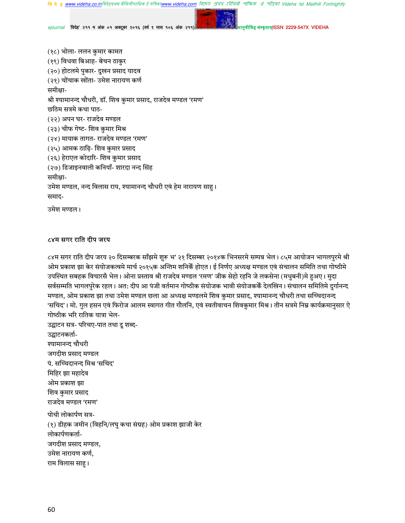রিদেহ প্রথম মৌথিনী পাক্ষিক গ্র পত্রিকা Videha Ist Maithili Fortnightly **वि दे ह www.videha.co.in**विदेहप्रथम मैथिलीपाक्षिक ई पां

'विदेह' २११ म अंक ०१ अक्टूबर २०१६ (वर्ष ९ मास १०६ अंक २११)

कतामISSN 2229-547X VIDEHA

(१८) भोला- ललन कुमार कामत (१९) विधवा बिआह- बेचन ठाकुर (२०) होटलमे पुकार- दुखन प्रसाद यादव (२१) चोंचाक खोंता- उमेश नारायण कर्ण समीक्षा-श्री श्यामानन्द चौधरी, डॉ. शिव कुमार प्रसाद, राजदेव मण्डल 'रमण' छठिम सत्रमे कथा पाठ-(२२) अपन घर- राजदेव मण्डल (२३) चीफ गेष्ट- शिव कुमार मिश्र (२४) मायाक तागत- राजदेव मण्डल 'रमण' (२५) आमक ठाढ़ि- शिव कुमार प्रसाद (२६) हेराएल कोदारि- शिव कुमार प्रसाद (२७) डिजाइनवाली कनियाँ- शारदा नन्द सिंह समीक्षा-उमेश मण्डल, नन्द विलास राय, श्यामानन्द चौधरी एवं हेम नारायण साहू। समाद-उमेश मण्डल।

# ८४म सगर राति दीप जरय

८४म सगर राति दीप जरय २० दिसम्बरक साँझमे शुरू भ' २१ दिसम्बर २०१४क भिनसरमे सम्पन्न भेल। ८५म आयोजन भागलपुरमे श्री ओम प्रकाश झा केर संयोजकत्वमे मार्च २०१५क अन्तिम शनिकैं होएत। ई निर्णए अध्यक्ष मण्डल एवं संचालन समिति तथा गोष्ठीमे उपस्थित सबहक विचारसँ भेल। ओना प्रस्ताव श्री राजदेव मण्डल 'रमण' जीक सेहो रहनि जे लकसेना (मधुबनी)मे हअए। मुदा सर्वसम्मति भागलपुरेक रहल। अत: दीप आ पंजी वर्तमान गोष्ठीक संयोजक भावी संयोजककेँ देलखिन। संचालन समितिमे दुर्गानन्द मण्डल, ओम प्रकाश झा तथा उमेश मण्डल छला आ अध्यक्ष मण्डलमे शिव कुमार प्रसाद, श्यामानन्द चौधरी तथा सच्चिदानन्द 'सचिद'। मो. गुल हसन एवं फिरोज आलम स्वागत गीत गौलनि, एवं स्वतीवाचन शिवकुमार मिश्र। तीन सत्रमे निम्न कार्यक्रमानुसार ऐ गोष्ठीक भरि रातिक यात्रा भेल-

उद्घाटन सत्र- परिचए-पात तथा दू शब्द-उद्घाटनकर्ता-श्यामानन्द चौधरी जगदीश प्रसाद मण्डल पं. सच्चिदानन्द मिश्र 'सचिद' मिहिर झा महादेव ओम प्रकाश झा शिव कुमार प्रसाद राजदेव मण्डल 'रमण' पोथी लोकार्पण सत्र-(१) डीहक जमीन (विहनि/लघु कथा संग्रह) ओम प्रकाश झाजी केर लोकार्पणकर्ता-जगदीश प्रसाद मण्डल, उमेश नारायण कर्ण, राम विलास साहु।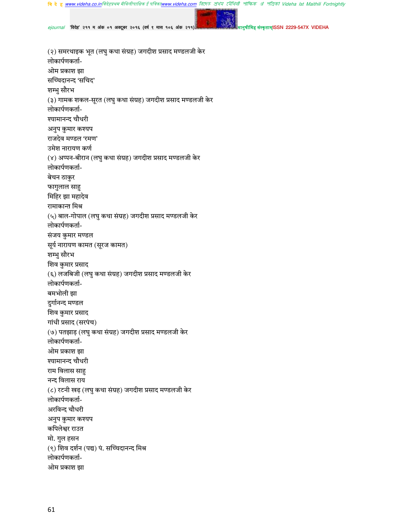<mark>बि दे हु <u>www.videha.co.in</u>विदेहप्रथम मैथिलीपाक्षिक ई पत्रिका<u>www.videha.com</u> बिएल क्षेत्रफ टोंपिती शौफिक श्री शैक्वित Videha Ist Maithili Fortnightly</mark>

ejournal 'विदेह' २११ म अंक ०१ अक्टूबर २०१६ (वर्ष ९ मास १०६ अंक २११)

संस्कृताम्ISSN 2229-547X VIDEHA

(२) समरथाइक भूत (लघु कथा संग्रह) जगदीश प्रसाद मण्डलजी केर लोकार्पणकर्ता-ओम प्रकाश झा सच्चिदानन्द 'सचिद' शम्भु सौरभ (३) गामक शकल-सूरत (लघु कथा संग्रह) जगदीश प्रसाद मण्डलजी केर लोकार्पणकर्ता-श्यामानन्द चौधरी अनुप कुमार कश्यप राजदेव मण्डल 'रमण' उमेश नारायण कर्ण (४) अप्पन-बीरान (लघु कथा संग्रह) जगदीश प्रसाद मण्डलजी केर लोकार्पणकर्ता-बेचन ठाकुर फागुलाल साहु मिहिर झा महादेव रामाकान्त मिश्र (५) बाल-गोपाल (लघु कथा संग्रह) जगदीश प्रसाद मण्डलजी केर लोकार्पणकर्ता-संजय कुमार मण्डल सूर्य नारायण कामत (सूरज कामत) शम्भु सौरभ शिव कुमार प्रसाद (६) लजबिजी (लघु कथा संग्रह) जगदीश प्रसाद मण्डलजी केर लोकार्पणकर्ता-बमभोली झा दुर्गानन्द मण्डल शिव कुमार प्रसाद गांधी प्रसाद (सरपंच) (७) पतझाड़ (लघु कथा संग्रह) जगदीश प्रसाद मण्डलजी केर लोकार्पणकर्ता-ओम प्रकाश झा श्यामानन्द चौधरी राम विलास साह नन्द विलास राय (८) रटनी खढ़ (लघु कथा संग्रह) जगदीश प्रसाद मण्डलजी केर लोकार्पणकर्ता-अरविन्द चौधरी अनुप कुमार कश्यप कपिलेश्वर राउत मो. गुल हसन (९) शिव दर्शन (पद्य) पं. सच्चिदानन्द मिश्र लोकार्पणकर्ता-ओम प्रकाश झा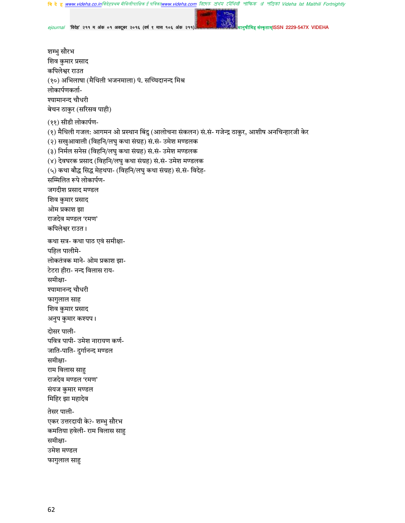वि दे हु <u>www.videha.co.in</u>विदेहप्रथम मैथिलीपाक्षिक ई पविका<u>www.videha.com</u> तिएरु शेथेग ट्येथिवी शोफिक अं পंजिको Videha Ist Maithili Fortnightly

*ejournal "*विदेह" २११ म अंक ०१ अक्टूबर २०१६ (वर्ष ९ मास १०६ अंक २११) मानुषाला अल्लाह संस्कृताम्ISSN 2229-547X VIDEHA

शम्भु सौरभ शिव कुमार प्रसाद कपिलेश्वर राउत (१०) अभिलाषा (मैथिली भजनमाला) पं. सच्चिदानन्द मिश्र लोकार्पणकर्ता-श्यामानन्द चौधरी बेचन ठाकुर (सरिसव पाही) (११) सीडी लोकार्पण-(१) मैथिली गजल: आगमन ओ प्रस्थान बिंदु (आलोचना संकलन) सं.सं- गजेन्द्र ठाकुर, आशीष अनचिन्हारजी केर (२) सखुआवाली (विहनि/लघु कथा संग्रह) सं.सं- उमेश मण्डलक (३) निर्मल सनेस (विहनि/लघु कथा संग्रह) सं.सं- उमेश मण्डलक (४) देवघरक प्रसाद (विहनि/लघु कथा संग्रह) सं.सं- उमेश मण्डलक (५) कथा बौद्ध सिद्ध मेहथपा- (विहनि/लघु कथा संग्रह) सं.सं- विदेह-सम्मिलित रूपे लोकार्पण-जगदीश प्रसाद मण्डल शिव कुमार प्रसाद ओम प्रकाश झा राजदेव मण्डल 'रमण' कपिलेश्वर राउत। कथा सत्र- कथा पाठ एवं समीक्षा-पहिल पालीमे-लोकतंत्रक माने- ओम प्रकाश झा-टेटरा हीरा- नन्द विलास राय-समीक्षा-श्यामानन्द चौधरी फागुलाल साह शिव कुमार प्रसाद अनुप कुमार कश्यप। दोसर पाली-पवित्र पापी- उमेश नारायण कर्ण-जाति-पाति- दुर्गानन्द मण्डल समीक्षा-राम विलास साहु राजदेव मण्डल 'रमण' संयज कुमार मण्डल मिहिर झा महादेव तेसर पाली-एकर उत्तरदायी के?- शम्भु सौरभ कमतिया हवेली- राम विलास साहु समीक्षा-उमेश मण्डल फागुलाल साहु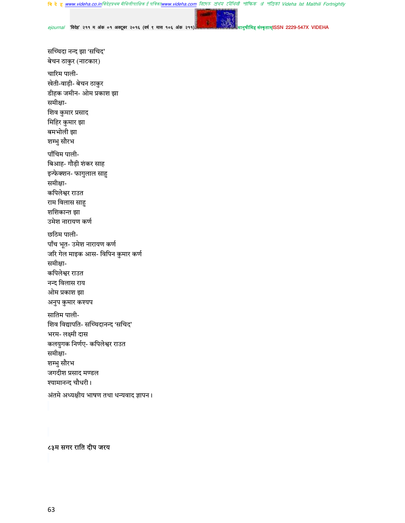वि दे ह <u>www.videha.co.in</u>विदेहप्रथम मैथिलीपाक्षिक ई पत्रिका<u>www.videha.com</u> রিদেত প্রথম মৌথিনী পাক্ষিক প্র পত্রিকা Videha Ist Maithili Fortnightly

ejournal 'विदेह' २११ म अंक ०१ अक्टूबर २०१६ (वर्ष ९ मास १०६ अंक २११)

संस्कृताम्ISSN 2229-547X VIDEHA

सच्चिदा नन्द झा 'सचिद' बेचन ठाकुर (नाटकार) चारिम पाली-खेती-वाड़ी- बेचन ठाकुर डीहक जमीन- ओम प्रकाश झा समीक्षा-शिव कुमार प्रसाद मिहिर कुमार झा बमभोली झा शम्भु सौरभ पाँचिम पाली-बिआह- गौड़ी शंकर साह इन्फेक्शन- फागुलाल साहु समीक्षा-कपिलेश्वर राउत राम विलास साहु शशिकान्त झा उमेश नारायण कर्ण छठिम पाली-पाँच भूत- उमेश नारायण कर्ण जरि गेल माइक आस- विपिन कुमार कर्ण समीक्षा-कपिलेश्वर राउत नन्द विलास राय ओम प्रकाश झा अनुप कुमार कश्यप सातिम पाली-शिव विद्यापति- सच्चिदानन्द 'सचिद' भरम- लक्ष्मी दास कलयुगक निर्णए- कपिलेश्वर राउत समीक्षा-शम्भु सौरभ जगदीश प्रसाद मण्डल श्यामानन्द चौधरी। अंतमे अध्यक्षीय भाषण तथा धन्यवाद ज्ञापन।

# ८३म सगर राति दीप जरय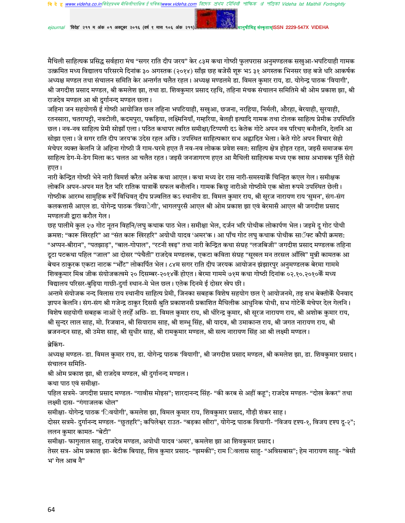*ejournal "*विदेह" २११ म अंक ०१ अक्टूबर २०१६ (वर्ष ९ मास १०६ अंक २११) मानुषाला अल्लाह संस्कृताम्ISSN 2229-547X VIDEHA

मैथिली साहित्यक प्रसिद्ध सर्वहारा मंच "सगर राति दीप जरय" केर ८३म कथा गोष्ठी फुलपरास अनुमण्डलक सखुआ-भपटियाही गामक उत्क्रमित मध्य विद्यालय परिसरमे दिनांक ३० अगस्तक (२०१४) साँझ छह बजेसँ शुरू भऽ ३१ अगस्तक भिनसर छह बजे धरि आकर्षक अध्यक्ष मण्डल तथा संचालन समिति केर अन्तर्गत चलैत रहल। अध्यक्ष मण्डलमे डा. विमल कमार राय, डा. योगेन्द्र पाठक 'वियागी', श्री जगदीश प्रसाद मण्डल, श्री कमलेश झा, तथा डा. शिवकुमार प्रसाद रहथि, तहिना मंचक संचालन समितिमे श्री ओम प्रकाश झा, श्री राजदेव मण्डल आ श्री दुर्गानन्द मण्डल छला।

जहिना जन सहयोगसँ ई गोष्ठी आयोजित छल तहिना भपटियाही, सखुआ, छजना, नरहिया, निर्मली, औरहा, बेरयाही, सुरयाही, रतनसारा, चतरापट्टी, नवटोली, कदमपुरा, पकड़िया, लक्ष्मिनियाँ, गम्हरिया, बेलही इत्यादि गामक तथा टोलक साहित्य प्रेमीक उपस्थिति छल। नव-नव साहित्य प्रेमी सोझाँ एला। पठित कथापर त्वरित समीक्षा/टिप्पणी दऽ केतेक गोटे अपन नव परिचए बनौलनि, देलनि आ सोझा एला। जे सगर राति दीप जरय'क उदेस रहल अछि। उपस्थित साहित्यकार सभ अह्लादित भेला। केते गोटे अपन विचार सेहो मंचेपर व्यक्त केलनि जे अहिना गोष्ठी जँ गाम-घरमे हएत तँ नव-नव लोकक प्रवेश स्वत: साहित्य क्षेत्र होइत रहत, जइसँ समाजक संग साहित्य डेग-मे-डेग मिला कऽ चलत आ चलैत रहत। जइसँ जनजागरण हएत आ मैथिली साहित्यक मध्य एक खास अभावक पूर्ति सेहो हएत।

नारी केन्द्रित गोष्ठी भेने नारी विमर्श करैत अनेक कथा आएल। कथा मध्य ढेर रास नारी-समस्याकेँ चिन्हित कएल गेल। समीक्षक लोकनि अपन-अपन मत दैत भरि रातिक यात्राकेँ सफल बनौलनि । गामक किछु नारीओ गोष्ठीमे एक श्रोता रूपमे उपस्थित छेली । गोष्ठीक आरम्भ सामुहिक रूपेँ विधिवत् दीप प्रज्वलित कऽ स्थानीय डा. विमल कुमार राय, श्री सुरज नारायण राय 'सुमन', संग-संग कलकत्तासँ आएल डा. योगेन्द्र पाठक 'वियाेगी', भागलपुरसँ आएल श्री ओम प्रकाश झा एवं बेरमासँ आएल श्री जगदीश प्रसाद मण्डलजी द्वारा करौल गेल।

छह पालीमे कुल २७ गोट नृतन विहनि/लघु कथाक पाठ भेल। समीक्षा भेल, दर्जन भरि पोथीक लोकार्पण भेल। जइमे दू गोट पोथी क्रमश: "कारू खिरहरि" आ "संत कारू खिरहरि" अयोधी यादव 'अमर'क। आ पाँच गोट लघु कथाक पोथीक साॅफ्ट कौपी क्रमश: "अप्पन-बीरान", "पतझाड़", "बाल-गोपाल", "रटनी खढ़" तथा नारी केन्द्रित कथा संग्रह "लजबिजी" जगदीश प्रसाद मण्डलक तहिना दुटा पटकथा पहिल "जाल" आ दोसर "पंचैती" राजदेव मण्डलक, एकटा कविता संग्रह "सुखल मन तरसल आँखि" मुन्नी कामतक आ बेचन ठाकुरक एकटा नाटक "भोँट" लोकार्पित भेल। ८४म सगर राति दीप जरयक आयोजन झंझारपुर अनुमण्डलक बेरमा गाममे शिवकुमार मिश्र जीक संयोजकत्वमे २० दिसम्बर-२०१४केँ होएत। बेरमा गाममे ७१म कथा गोष्ठी दिनांक ०२.१०.२०१०केँ मध्य विद्यालय परिसर-बुढ़िया गाछी-दुर्गा स्थान-मे भेल छल। एतेक दिनमे ई दोसर खेप छी।

अन्तमे संयोजक नन्द विलास राय स्थानीय साहित्य प्रेमी, जिनका सबहक विशेष सहयोग छल ऐ आयोजनमे, तइ सभ बेक्तीकैं धैनवाद ज्ञापन केलनि। संग-संग श्री गजेन्द्र ठाकुर दिससँ श्रुति प्रकाशनसँ प्रकाशित मैथिलीक आधुनिक पोथी, सभ गोटेकैँ मंचेपर देल गेलनि। विशेष सहयोगी सबहक नाओं ऐ तरहें अछि- डा. विमल कुमार राय, श्री धीरेन्द्र कुमार, श्री सूरज नारायण राय, श्री अशोक कुमार राय, श्री सुन्दर लाल साह, मो. रिजवान, श्री सियाराम साह, श्री शम्भू सिंह, श्री यादव, श्री उमाकान्त राय, श्री जगत नारायण राय, श्री ब्रजनन्दन साह, श्री उमेश साह, श्री सुधीर साह, श्री रामकुमार मण्डल, श्री सत्य नारायण सिंह आ श्री लक्ष्मी मण्डल।

ब्रेकिंग-

अध्यक्ष मण्डल- डा. विमल कमार राय, डा. योगेन्द्र पाठक 'वियागी', श्री जगदीश प्रसाद मण्डल, श्री कमलेश झा, डा. शिवकमार प्रसाद। संचालन समिति-

श्री ओम प्रकाश झा, श्री राजदेव मण्डल, श्री दुर्गानन्द मण्डल।

कथा पाठ एवं समीक्षा-

पहिल सत्रमे- जगदीश प्रसाद मण्डल- "गावीस मोइस": शारदानन्द सिंह- "की करब से अहीं कह": राजदेव मण्डल- "दोख केकर" तथा लक्ष्मी दास- "गंगाजलक धोल"

समीक्षा- योगेन्द्र पाठक 'िवयोगी', कमलेश झा, विमल कुमार राय, शिवकुमार प्रसाद, गौड़ी शंकर साह।

दोसर सत्रमे- दुर्गानन्द मण्डल- "छुतहरि"; कपिलेश्वर राउत- "बड़का खीरा", योगेन्द्र पाठक वियागी- "विजय दृश्य-१, विजय दृश्य दु-२"; ललन कुमार कामत- "बेटी"

समीक्षा- फागुलाल साहु, राजदेव मण्डल, अयोधी यादव 'अमर', कमलेश झा आ शिवकुमार प्रसाद।

तेसर सत्र- ओम प्रकाश झा- बेटीक बियाह, शिव कुमार प्रसाद- "झमकी"; राम िवलास साहु- "अविसबास"; हेम नारायण साहु- "बेसी भ' गेल आब नै"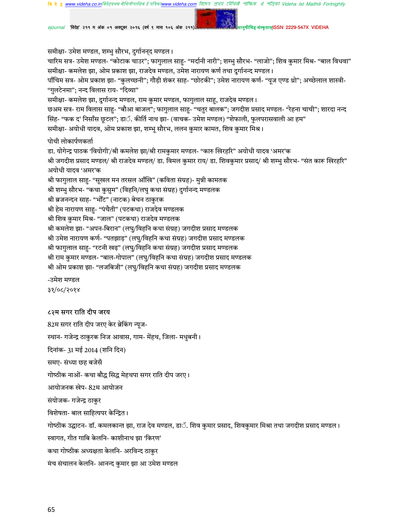রিদেহ প্রথম মৌথিনী পাক্ষিক প্র পত্রিকা Videha Ist Maithili Fortnightly **वि दे ह www.videha.co.in**विदेहप्रथम मैथिलीपाक्षिक डे पो

'विदेह' २११ म अंक ०१ अक्टूबर २०१६ (वर्ष ९ मास १०६ अंक २११)

स्कृताम्ISSN 2229-547X VIDEHA

समीक्षा- उमेश मण्डल, शम्भु सौरभ, दुर्गानन्द मण्डल। चारिम सत्र- उमेश मण्डल- "कोटाक चाउर"; फागुलाल साहु- "मर्दानी नारी"; शम्भु सौरभ- "लाजो"; शिव कुमार मिश्र- "बाल विधवा" समीक्षा- कमलेश झा, ओम प्रकाश झा, राजदेव मण्डल, उमेश नारायण कर्ण तथा दुर्गानन्द मण्डल। पाँचिम सत्र- ओम प्रकाश झा- "कुलच्छनी"; गौड़ी शंकर साह- "छोटकी"; उमेश नारायण कर्ण- "यूज एण्ड थ्रो"; अच्छेलाल शास्त्री-"गुलटेनमा"; नन्द विलास राय- "दिव्या" समीक्षा- कमलेश झा, दुर्गानन्द मण्डल, राम कुमार मण्डल, फागुलाल साहू, राजदेव मण्डल। छअम सत्र- राम विलास साहु- "बौआ बाजल"; फागुलाल साहु- "चतुर बालक"; जगदीश प्रसाद मण्डल- "रेहना चाची"; शारदा नन्द सिंह- "फक द' निसाँस छूटल"; डाॅ. कीर्ति नाथ झा- (वाचक- उमेश मण्डल) "शेफाली, फुलपरासवाली आ हम" समीक्षा- अयोधी यादव, ओम प्रकाश झा, शम्भू सौरभ, ललन कुमार कामत, शिव कुमार मिश्र। पोथी लोकार्पणकर्ता डा. योगेन्द्र पाठक 'वियोगी'/श्री कमलेश झा/श्री रामकुमार मण्डल- "कारु खिरहरि" अयोधी यादव 'अमर'क श्री जगदीश प्रसाद मण्डल/ श्री राजदेव मण्डल/ डा. विमल कुमार राय/ डा. शिवकुमार प्रसाद/ श्री शम्भु सौरभ- "संत कारू खिरहरि" अयोधी यादव 'अमर'क श्री फागुलाल साहु- "सूखल मन तरसल आँखि" (कविता संग्रह)- मुन्नी कामतक श्री शम्भु सौरभ- "कथा कुसुम" (विहनि/लघु कथा संग्रह) दुर्गानन्द मण्डलक श्री ब्रजनन्दन साह- "भोँट" (नाटक) बेचन ठाकुरक श्री हेम नारायण साह- "पंचैती" (पटकथा) राजदेव मण्डलक श्री शिव कुमार मिश्र- "जाल" (पटकथा) राजदेव मण्डलक श्री कमलेश झा- "अपन-बिरान" (लघु/विहनि कथा संग्रह) जगदीश प्रसाद मण्डलक श्री उमेश नारायण कर्ण- "पतझाड़" (लघु/विहनि कथा संग्रह) जगदीश प्रसाद मण्डलक श्री फागुलाल साहु- "रटनी खढ़" (लघु/विहनि कथा संग्रह) जगदीश प्रसाद मण्डलक श्री राम कुमार मण्डल- "बाल-गोपाल" (लघु/विहनि कथा संग्रह) जगदीश प्रसाद मण्डलक श्री ओम प्रकाश झा- "लजबिजी" (लघु/विहनि कथा संग्रह) जगदीश प्रसाद मण्डलक -उमेश मण्डल

३१/०८/२०१४

#### ८२म सगर राति दीप जरय

82म सगर राति दीप जरए केर ब्रेकिंग न्यूज-स्थान- गजेन्द्र ठाकुरक निज आवास, गाम- मेंहथ, जिला- मधुबनी। दिनांक- 31 मई 2014 (शनि दिन) समए- संध्या छह बजेसँ गोष्ठीक नाओं- कथा बौद्ध सिद्ध मेहथपा सगर राति दीप जरए। आयोजनक खेप- 82म आयोजन संयोजक- गजेन्द्र ठाकुर विशेषता- बाल साहित्यपर केन्द्रित। गोष्ठीक उद्घाटन- डॉ. कमलकान्त झा, राज देव मण्डल, डाॅ. शिव कुमार प्रसाद, शिवकुमार मिश्रा तथा जगदीश प्रसाद मण्डल। स्वागत, गीत गाबि केलनि- काशीनाथ झा 'किरण' कथा गोष्ठीक अध्यक्षता केलनि- अरविन्द ठाकर मंच संचालन केलनि- आनन्द कुमार झा आ उमेश मण्डल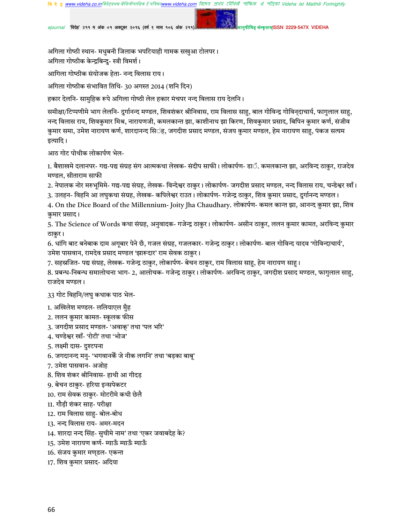'विदेह' २११ म अंक ०१ अक्टूबर २०१६ (वर्ष ९ मास १०६ अंक २११

कृताम्ISSN 2229-547X VIDEHA

अगिला गोष्ठी स्थान- मधुबनी जिलाक भपटियाही गामक सखुआ टोलपर। अगिला गोष्ठीक केन्द्रबिन्दु- स्त्री विमर्श।

आगिला गोष्ठीक संयोजक हेता- नन्द विलास राय।

अगिला गोष्ठीक संभावित तिथि- 30 अगस्त 2014 (शनि दिन)

हकार देलनि- सामुहिक रूपे अगिला गोष्ठी लेल हकार मंचपर नन्द विलास राय देलनि ।

समीक्षा/टिप्पणीमे भाग लेलनि- दुर्गानन्द मण्डल, शिवशंकर श्रीनिवास, राम विलास साहु, बाल गोविन्द्र गोविन्दाचार्य, फागुलाल साहु, नन्द विलास राय, शिवकुमार मिश्र, नारायणजी, कमलकान्त झा, काशीनाथ झा किरण, शिवकुमार प्रसाद, बिपिन कुमार कर्ण, संजीव कुमार समा, उमेश नारायण कर्ण, शारदानन्द सिॅह, जगदीश प्रसाद मण्डल, संजय कुमार मण्डल, हेम नारायण साहु, पंकज सत्यम इत्यादि ।

आठ गोट पोथीक लोकार्पण भेल-

1. बैशाखमे दलानपर- गद्य-पद्य संग्रह संग आत्मकथा लेखक- संदीप साफी। लोकार्पण- डाॅ. कमलकान्त झा, अरविन्द ठाकुर, राजदेव मण्डल, सीताराम साफी

- 2. नेपालक नोर मरुभूमिमे- गद्य-पद्य संग्रह, लेखक- विन्देश्वर ठाकुर। लोकार्पण- जगदीश प्रसाद मण्डल, नन्द विलास राय, चन्डेश्वर खाँ।
- 3. उलहन- विहनि आ लघुकथा संग्रह, लेखक- कपिलेश्वर राउत। लोकार्पण- गजेन्द्र ठाकुर, शिव कुमार प्रसाद, दुर्गानन्द मण्डल।

4. On the Dice Board of the Millennium- Joity Jha Chaudhary. लोकार्पण- कमल कान्त झा, आनन्द कुमार झा, शिव कुमार प्रसाद।

5. The Science of Words कथा संग्रह, अनुवादक- गजेन्द्र ठाकुर। लोकार्पण- असीन ठाकुर, ललन कुमार कामत, अरविन्द कुमार ठाकुर।

6. धांगि बाट बनेबाक दाम अगूबार पेने छँ, गजल संग्रह, गजलकार- गजेन्द्र ठाकुर। लोकार्पण- बाल गोविन्द यादव 'गोविन्दाचार्य', उमेश पासवान, रामदेव प्रसाद मण्डल 'झारूदार' राम सेवक ठाकुर।

7. सहस्रजित- पद्य संग्रह, लेखक- गजेन्द्र ठाकुर, लोकार्पण- बेचन ठाकुर, राम विलास साहु, हेम नारायण साहु।

8. प्रबन्ध-निबन्ध समालोचना भाग- 2, आलोचक- गजेन्द्र ठाकुर। लोकार्पण- अरविन्द ठाकुर, जगदीश प्रसाद मण्डल, फागुलाल साहु, राजदेव मण्डल।

33 गोट विहनि/लघु कथाक पाठ भेल-

1. अखिलेश मण्डल- ललियाएल मुँह

2. ललन कुमार कामत- स्कूलक फीस

- 3. जगदीश प्रसाद मण्डल- 'अवाक्' तथा 'पल भरि'
- 4. चण्डेश्वर खाँ- 'रोटी' तथा 'भोज'
- 5. लक्ष्मी दास- दुश्टपना
- $6.$  जगदानन्द मनु- 'भगवानकैं जे नीक लगनि' तथा 'बड़का बाब्'
- 7. उमेश पासवान- अजोह
- 8. शिव शंकर श्रीनिवास- हाथी आ गीदड
- 9. बेचन ठाकुर- हरिया इन्सपेकटर
- 10. राम सेवक ठाकुर- मोटरीमे कथी छेलै
- 11. गौड़ी शंकर साह- परीक्षा
- 12. राम विलास साहु- बोल-बोध
- 13. नन्द विलास राय- अमर-मदन
- 14. शारदा नन्द सिंह- सुचीमे नाम' तथा 'एकर जवाबदेह के?
- 15. उमेश नारायण कर्ण- म्याऊँ म्याऊँ म्याऊँ

16. संजय कुमार मण्डल- एकन्त

17. शिव कुमार प्रसाद- अदिया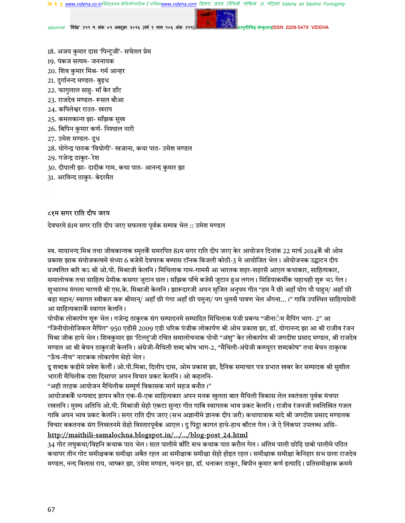**वि दे ह <u>www.videha.co.in</u>विदेहप्रथम मैथिलीपाक्षिक ई पत्रिक<u>ाwww.videha.com</u> दि** াদেহ প্ৰথম মৌথিনী পাক্ষিক প্ৰ পত্ৰিকা Videha Ist Maithili Fortnightly

*ejournal "*विदेह" २११ म अंक ०१ अक्टूबर २०१६ (वर्ष ९ मास १०६ अंक २११) मानुषाला अल्लाह संस्कृताम्ISSN 2229-547X VIDEHA

- 18. अजय कुमार दास 'पिन्टूजी'- सचेतल प्रेम
- 19. पंकज सत्यम- जननायक
- 20. शिव कुमार मिश्र- गर्म आन्हर
- 21. दुर्गानन्द मण्डल- बुइध
- 22. फागुलाल साहु- माँ केर डाँट
- 23. राजदेव मण्डल- रूसल बौआ
- 24. कपिलेश्वर राउत- खराप
- 25. कमलकान्त झा- साँझक सुख
- 26. बिपिन कुमार कर्ण- निश्छल नारी
- 27. उमेश मण्डल- दुध
- 28. योगेन्द्र पाठक 'वियोगी'- खजाना, कथा पाठ- उमेश मण्डल
- 29. गजेन्द्र ठाकुर- रेश
- 30. दीपाली झा- दादीक गाम, कथा पाठ- आनन्द कुमार झा
- 31. अरविन्द ठाकुर- बेदरमैत

### ८१म सगर राति दीप जरय

देवघरमे 81म सगर राति दीप जरए सफलता पूर्वक सम्पन्न भेल :: उमेश मण्डल

स्व. मायानन्द मिश्र तथा जीवकान्तक स्मृतकेँ समरपित 81म सगर राति दीप जरए केर आयोजन दिनांक 22 मार्च 2014केँ श्री ओम प्रकाश झाक संयोजकत्वमे संध्या 6 बजेसँ देवघरक बम्पास टॉनक बिजली कोठी-3 मे आयोजित भेल। ओयोजनक उद्घाटन दीप प्रज्वलित करि कऽ श्री ओ.पी. मिश्राजी केलनि । मिथिलाक गाम-गामसँ आ भारतक शहर-शहरसँ आएल कथाकार, साहित्यकार, समालोचक तथा साहित्य प्रेमीक कसगर जुटान छल। साँझक पाँचे बजेसँ जुटान हुअ लगल। मिडियाकर्मीक थहाथही शुरू भऽ गेल। शुभारम्भ मंगला चरणसँ श्री एस.के. मिश्राजी केलनि। झारूदारजी अपन सृजित अनुपम गीत "हम नै छी अहाँ योग यौ पाहुन/ अहाँ छी बड़ा महान/ स्वागत स्वीकार करू श्रीमान/ अहाँ छी गंगा अहाँ छी यमुना/ पग धुलसँ पावण भेल अँगना…।" गाबि उपस्थित साहित्यप्रेमी आ साहित्यकारकैं स्वागत केलनि ।

पोथीक लोकार्पण शुरू भेल। गजेन्द्र ठाकुरक संग सम्पादनमे सम्पादित मिथिलाक पंजी प्रबन्ध "जीनाेम मैपिंग भाग- 2" आ "जिनीयोलोजिकल मैपिंग" 950 एडीसँ 2009 एडी धरिक पंजीक लोकार्पण श्री ओम प्रकाश झा, डॉ. योगानन्द झा आ श्री राजीव रंजन मिश्रा जीक हाथे भेल। शिवकुमार झा 'टिल्लू'जी रचित समालोचनाक पोथी "अंशु" केर लोकार्पण श्री जगदीश प्रसाद मण्डल, श्री राजदेव मण्डल आ श्री बेचन ठाकुरजी केलनि। अंग्रेजी-मैथिली शब्द कोष भाग-2, "मैथिली-अंग्रेजी कम्प्यूटर शब्दकोष" तथा बेचन ठाकुरक "ऊँच-नीच" नाटकक लोकार्पण सेहो भेल।

दू शब्दक कड़ीमे प्रवेश केलौं। ओ.पी.मिश्रा, दिलीप दास, ओम प्रकाश झा, दैनिक समाचार पत्र प्रभात खबर केर सम्पादक श्री सुशील भारती मैथिलीक दशा दिसापर अपन विचार प्रकट केलनि। ओ कहलनि-

"अही तरहक आयोजन मैथिलीक सम्पूर्ण विकासक मार्ग सहज बनौत।"

आयोजककेॅ धन्यवाद ज्ञापन करैत एक-सँ-एक साहित्यकार अपन मनक खुलता बात मैथिली विकास लेल स्वतंत्रता पूर्वक मंचपर रखलनि । मुख्य अतिथि ओ.पी. मिश्राजी सेहो एकटा सुन्दर गीत गाबि स्वागतक भाव प्रकट केलनि । राजीव रंजनजी स्वलिखित गजल गाबि अपन भाव प्रकट केलनि। सगर राति दीप जरए (सभ अज्ञानीमे ज्ञानक दीप जरौ) कथायात्राक मादे श्री जगदीश प्रसाद मण्डलक विचार बकतनक संग लिखतनमे सेहो विस्तारपूर्वक आएल। दू पिट्ठा कागत हाथे-हाथ बाँटल गेल। जे ऐ लिंकपर उपलब्ध अछि-

# http://maithili-samalochna.blogspot.in/…/…/blog-post\_24.html

34 गोट लघुकथा/विहनि कथाक पाठ भेल। सात पालीमे बाँटि सभ कथाक पाठ करौल गेल। अंतिम पाली छोड़ि छबो पालीमे पठित कथापर तीन गोट समीक्षकक समीक्षा अबैत रहल आ समीक्षाक समीक्षा सेहो होइत रहल। समीक्षाक समीक्षा केनिहार सभ छला राजदेव मण्डल, नन्द विलास राय, भाष्कर झा, उमेश मण्डल, चन्दन झा, डॉ. धनाकर ठाकुर, बिपीन कुमार कर्ण इत्यादि। प्रतिसमीक्षाक क्रममे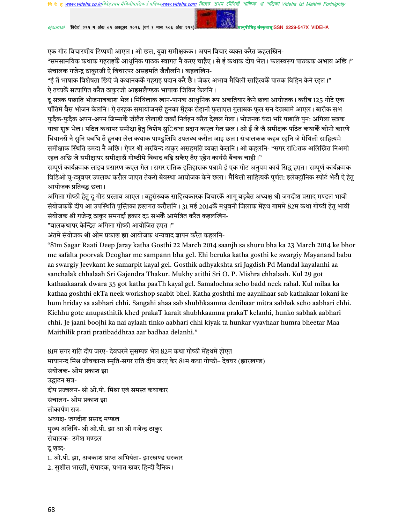রিদেহ প্রথম মৌথিনী পাক্ষিক রা পত্রিকা Videha Ist Maithili Fortnightly www videha co inविदेहप्रथम मैथिलीपाक्षिक ई

'विदेह' २११ म अंक ०१ अक्टूबर २०१६ (वर्ष ९ मास १०६ अंक २११

एक गोट विचारणीय टिप्पणी आएल। ओ छल, युवा समीक्षकक। अपन विचार व्यक्त करैत कहलखिन-

"समसामयिक कथाक गहराइकें आधनिक पाठक स्वागत नै करए चाहैए। से ई कथाक दोष भेल। फलस्वरूप पाठकक अभाव अछि।" संचालक गजेन्द्र ठाकुरजी ऐ विचारपर असहमति जँतौलनि । कहलखिन-

कतामISSN 2229-547X VIDEHA

"ई तँ भाषाक विशेषता छिऐ जे कथानककेँ गहराइ प्रदान करै छै। जेकर अभाव मैथिली साहित्यकेँ पाठक विहिन केने रहल।" ऐ तथ्यकैं सत्यापित करैत ठाकुरजी आइसलैण्डक भाषाक जिकिर केलनि ।

दु सत्रक पछाति भोजनावकाश भेल। मिथिलाक खान-पानक आधनिक रूप अकतियार केने छला आयोजक। करीब 125 गोटे एक पाँतिमे बैस भोजन केलनि । ऐ तरहक समायोजनसँ हनका मुँहक रोहानी फुलाएल गुलाबक फुल सन देखबामे आएल । बारीक सभ फुदैक-फुदैक अपन-अपन जिम्माकेँ जीतैत खेलाड़ी जकाँ निर्वहन करैत देखल गेला। भोजनक घंटा भरि पछाति पुन: अगिला सत्रक यात्रा शुरू भेल। पठित कथापर समीक्षा हेतु विशेष सुिवधा प्रदान कएल गेल छल। ओ ई जे जँ समीक्षक पठित कथाकेँ कोनो कारणे धियानसँ नै सुनि पबथि तँ हुनका लेल कथाक पाण्डुलिपि उपलब्ध करौल जाइ छल। संचालकक कहब रहनि जे मैथिली साहित्यमे समीक्षाक स्थिति उमदा नै अछि। ऐपर श्री अरविन्द ठाकुर असहमति व्यक्त केलनि। ओ कहलनि- "सगर राितक अलिखित निअमो रहल अछि जे समीक्षापर समीक्षासँ गोष्ठीमे विवाद बढ़ि सकैए तँए एहेन कार्यसँ बँचक चाही।"

सम्पूर्ण कार्यक्रमक लाइव प्रसारण कएल गेल। सगर रातिक इतिहासक पन्नामे ई एक गोट अनुपम कार्य सिद्ध हएत। सम्पूर्ण कार्यक्रमक विडिओ यू-ट्यूबपर उपलब्ध करौल जाएत तेकरो बेवस्था आयोजक केने छला। मैथिली साहित्यकैं पूर्णत: इलेक्ट्रॉनिक स्पोर्ट भेटौ ऐ हेतु आयोजक प्रतिवद्ध छला।

अगिला गोष्ठी हेतु दू गोट प्रस्ताव आएल। बहसंख्यक साहित्यकारक विचारकेँ आगु बढ़बैत अध्यक्ष श्री जगदीश प्रसाद मण्डल भावी संयोजककेँ दीप आ उपस्थिति पुस्तिका हश्तगत करौलनि। 31 मई 2014केँ मधुबनी जिलाक मेंहथ गाममे 82म कथा गोष्ठी हेतु भावी संयोजक श्री गजेन्द्र ठाकुर समगर्दा हकार दऽ सभकेँ आमंत्रित करैत कहलखिन-

"बालकथापर केन्द्रित अगिला गोष्ठी आयोजित हएत।"

अंतमे संयोजक श्री ओम प्रकाश झा आयोजक धन्यवाद ज्ञापन करैत कहलनि-

"81m Sagar Raati Deep Jaray katha Gosthi 22 March 2014 saanjh sa shuru bha ka 23 March 2014 ke bhor me safalta poorvak Deoghar me sampann bha gel. Ehi beruka katha gosthi ke swargiy Mayanand babu aa swargiy Jeevkant ke samarpit kayal gel. Gosthik adhyakshta sri Jagdish Pd Mandal kayalanhi aa sanchalak chhalaah Sri Gajendra Thakur. Mukhy atithi Sri O. P. Mishra chhalaah. Kul 29 got kathaakaarak dwara 35 got katha paaTh kayal gel. Samalochna seho badd neek rahal. Kul milaa ka kathaa goshthi ekTa neek workshop saabit bhel. Katha goshthi me aaynihaar sab kathakaar lokani ke hum hriday sa aabhari chhi. Sangahi ahaa sab shubhkaamna denihaar mitra sabhak seho aabhari chhi. Kichhu gote anupasthitik khed prakaT karait shubhkaamna prakaT kelanhi, hunko sabhak aabhari chhi. Je jaani boojhi ka nai aylaah tinko aabhari chhi kiyak ta hunkar vyavhaar humra bheetar Maa Maithilik prati pratibaddhtaa aar badhaa delanhi."

81म सगर राति दीप जरए- देवघरमे ससम्पन्न भेल 82म कथा गोष्ठी मेंहथमे होएत मायानन्द मिश्र जीवकान्त स्मति-सगर राति दीप जरए केर 81म कथा गोष्ठी– देवघर (झारखण्ड) संयोजक- ओम प्रकाश झा उद्घाटन सत्र-दीप प्रज्वलन- श्री ओ.पी. मिश्रा एवं समस्त कथाकार संचालन- ओम प्रकाश झा लोकार्पण सत्र-अध्यक्ष- जगदीश प्रसाद मण्डल मुख्य अतिथि- श्री ओ.पी. झा आ श्री गजेन्द्र ठाकुर संचालक- उमेश मण्डल द शब्द-1. ओ.पी. झा, अवकाश प्राप्त अभियंता- झारखण्ड सरकार 2. सुशील भारती, संपादक, प्रभात खबर हिन्दी दैनिक।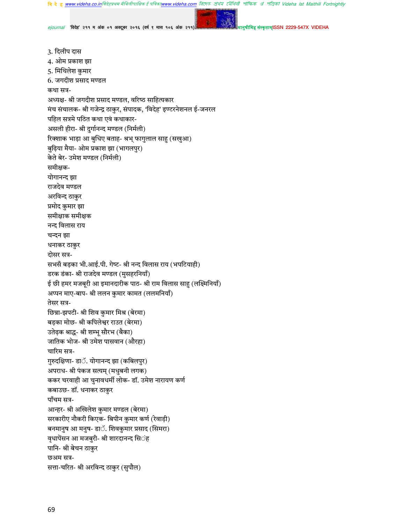রিদেহ প্রথম মৌথিনী পাক্ষিক প্রা পত্রিকা Videha Ist Maithili Fortnightly **वि दे हु www.videha.co.in**विदेहप्रथम मैथिलीपाक्षिक ई पत्रिका**w** w videha com

ejournal 'विदेह' २११ म अंक ०१ अक्टूबर २०१६ (वर्ष ९ मास १०६ अंक २११

कृताम्ISSN 2229-547X VIDEHA

3. दिलीप दास 4. ओम प्रकाश झा 5. मिथिलेश कुमार 6. जगदीश प्रसाद मण्डल कथा सत्र-अध्यक्ष- श्री जगदीश प्रसाद मण्डल, वरिष्ठ साहित्यकार मंच संचालक- श्री गजेन्द्र ठाकुर, संपादक, 'विदेह' इण्टरनेशनल ई-जनरल पहिल सत्रमे पठित कथा एवं कथाकार-असली हीरा- श्री दुर्गानन्द मण्डल (निर्मली) रिक्शाक भाड़ा आ बुधिए बताह- श्रभ् फागुलाल साहु (सखुआ) बुढ़िया मैया- ओम प्रकाश झा (भागलपुर) केते बेर- उमेश मण्डल (निर्मली) समीक्षक-योगानन्द झा राजदेव मण्डल अरविन्द ठाकुर प्रमोद कुमार झा समीक्षाक समीक्षक नन्द विलास राय चन्दन झा धनाकर ठाकुर दोसर सत्र-सभसँ बड़का भी.आई.पी. गेष्ट- श्री नन्द विलास राय (भपटियाही) डरक डंका- श्री राजदेव मण्डल (मुसहरनियाँ) ई छी हमर मजबूरी आ इमानदारीक पाठ- श्री राम विलास साहु (लक्ष्मिनियाँ) अप्पन माए-बाप- श्री ललन कुमार कामत (ललमनियाँ) तेसर सत्र-छिन्ना-झपटी- श्री शिव कुमार मिश्र (बेरमा) बड़का मोछ- श्री कपिलेश्वर राउत (बेरमा) उतेढ़क श्राद्ध- श्री शम्भू सौरभ (बैका) जातिक भोज- श्री उमेश पासवान (औरहा) चारिम सत्र-गुरुदक्षिणा- डाॅ. योगानन्द झा (कबिलपुर) अपराध- श्री पंकज सत्यम् (मधुबनी लगक) ककर चरवाही आ चुनावधर्मी लोक- डॉ. उमेश नारायण कर्ण कबाउछ- डॉ. धनाकर ठाकुर पाँचम सत्र-आन्हर- श्री अखिलेश कुमार मण्डल (बेरमा) सरकारीए नौकरी किएक- बिपीन कुमार कर्ण (रेवाड़ी) बनमानुष आ मनुष- डाॅ. शिवकुमार प्रसाद (सिमरा) वृधापेंसन आ मजबुरी- श्री शारदानन्द सि**ं**ह पानि- श्री बेचन ठाकुर छअम सत्र-सत्ता-चरित- श्री अरविन्द ठाकुर (सुपौल)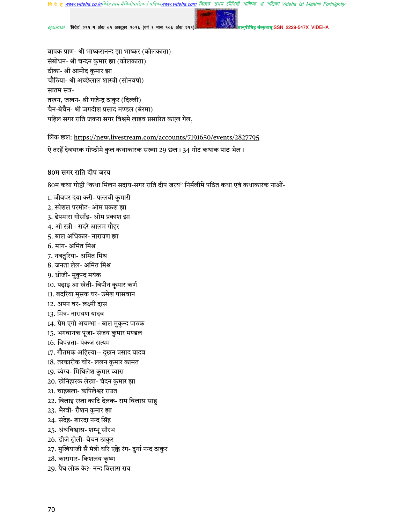রিদেহ প্রথম মৌথিনী পাক্ষিক প্র পত্রিকা Videha Ist Maithili Fortnightly **वि दे ह www.videha.co.in**विदेहप्रथम मैथिलीपाक्षिक ई पां

'विदेह' २११ म अंक ०१ अक्टूबर २०१६ (वर्ष ९ मास १०६ अंक २१

मISSN 2229-547X VIDEHA

बापक प्राण- श्री भाष्करानन्द झा भाष्कर (कोलकाता) संबोधन- श्री चन्दन कुमार झा (कोलकाता) ठीका- श्री आमोद कुमार झा चौठिया- श्री अच्छेलाल शास्त्री (सोनवर्षा) सातम सत्र-तखन, जखन- श्री गजेन्द्र ठाकुर (दिल्ली) चैन-बेचैन- श्री जगदीश प्रसाद मण्डल (बेरमा) पहिल सगर राति जकरा सगर विश्वमे लाइव प्रसारित कएल गेल,

लिंक छल: https://new.livestream.com/accounts/7191650/events/2827795

ऐ तरहेँ देवघरक गोष्ठीमे कुल कथाकारक संख्या 29 छल। 34 गोट कथाक पाठ भेल।

### 80म सगर राति दीप जरय

80म कथा गोष्ठी "कथा मिलन सदाय-सगर राति दीप जरय" निर्मलीमे पठित कथा एवं कथाकारक नाओं-

- 1. जीवपर दया करी- पल्लवी कुमारी
- 2. स्पेशल परमीट- ओम प्रकश झा
- 3. ढेपमारा गोसाँइ- ओम प्रकाश झा
- 4. ओ स्त्री सदरे आलम गौहर
- 5. बाल अधिकार- नारायण झा
- 6. मांग- अमित मिश्र
- 7. नवतुरिया- अमित मिश्र
- 8. जनता लेल- अमित मिश्र
- 9. थ्रीजी- मुकुन्द मयंक
- 10. पढ़ाइ आ खेती- बिपीन कुमार कर्ण
- 11. बदरिया मूसक घर- उमेश पासवान
- 12. अपन घर- लक्ष्मी दास
- 13. मित्र- नारायण यादव
- 14. प्रेम एगो अचम्भा बाल मुकुन्द पाठक
- 15. भगवानक पूजा- संजय कुमार मण्डल
- 16. विपन्नता- पंकज सत्यम
- 17. गौतमक अहिल्या-- दुखन प्रसाद यादव
- 18. तरकारीक चोर- ललन कुमार कामत
- 19. व्यंग्य- मिथिलेश कुमार व्यास
- 20. खेनिहारक लेखा- चंदन कुमार झा
- 21. चाहबला- कपिलेश्वर राउत
- 22. बिलाइ रस्ता काटि देलक- राम विलास साहु
- 23. भैरवी- रौशन कुमार झा
- 24. संदेह- शारदा नन्द सिंह
- 25. अंधविश्वास- शम्भू सौरभ
- 26. डीजे ट्रोली- बेचन ठाकुर
- 27. मुखियाजी सँ मंत्री धरि एक्के रंग- दुर्गा नन्द ठाकुर
- 28. कारागार- किशलय कृष्ण
- 29. पैघ लोक के?- नन्द विलास राय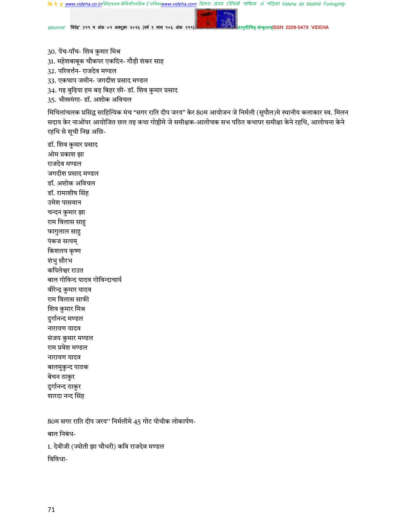**बि दे हु <u>www.videha.co.in</u>विदेहप्रथम मैथिलीपाक्षिक ई पत्रिका<u>www.videha.com</u> রিদে***ठ প্র***থম মৌথিলী পাক্ষিক ঐ পত্রিকা Videha Ist Maithili Fortnightly** 

ejournal 'विदेह' २११ म अंक ०१ अक्टूबर २०१६ (वर्ष ९ मास १०६ अंक २११)

ह संस्कृताम्ISSN 2229-547X VIDEHA

- 30. पेंच-पाँच- शिव कुमार मिश्र
- 31. महेशबाबूक चौकपर एकदिन- गौड़ी शंकर साह
- 32. परिवर्त्तन- राजदेव मण्डल
- 33. एकघाप जमीन- जगदीश प्रसाद मण्डल
- 34. गइ बुढ़िया हम बड़ बिहर छी- डॉ. शिव कुमार प्रसाद
- 35. भीखमंगा- डॉ. अशोक अविचल

मिथिलांचलक प्रसिद्ध साहित्यिक मंच "सगर राति दीप जरय" केर 80म आयोजन जे निर्मली (सुपौल)मे स्थानीय कलाकार स्व. मिलन सदाय केर नाओंपर आयोजित छल तइ कथा गोष्ठीमे जे समीक्षक-आलोचक सभ पठित कथापर समीक्षा केने रहथि, आलोचना केने रहथि से सूची निम्न अछि-

डॉ. शिव कुमार प्रसाद ओम प्रकाश झा राजदेव मण्डल जगदीश प्रसाद मण्डल डॉ. अशोक अविचल डॉ. रामाशीष सिंह उमेश पासवान चन्दन कुमार झा राम विलास साहु फागुलाल साहु पंकज सत्यम् किशलय कृष्ण शंभु सौरभ कपिलेश्वर राउत बाल गोविन्द यादव गोविन्दाचार्य वीरेन्द्र कुमार यादव राम विलास साफी शिव कुमार मिश्र दुर्गानन्द मण्डल नारायण यादव संजय कुमार मण्डल राम प्रवेश मण्डल नारायण यादव बालमुकुन्द पाठक बेचन ठाकुर दुर्गानन्द ठाकुर शारदा नन्द सिंह

80म सगर राति दीप जरय'' निर्मलीमे 45 गोट पोथीक लोकार्पण-बाल निबंध-1. देवीजी (ज्योती झा चौधरी) कवि राजदेव मण्डल विविधा-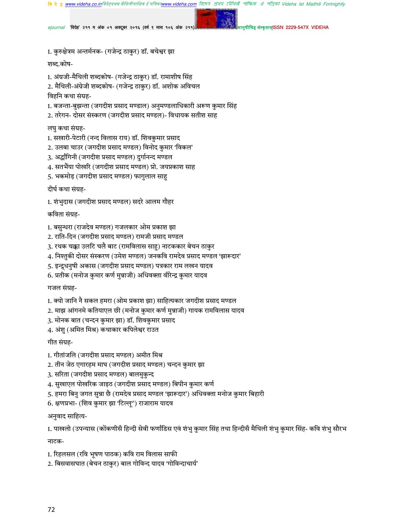**वि दे ह www.videha.co.in**विदेहप्रथम मैथिलीपाक्षिक ई पत्रिका**w** াদেহ প্ৰথম মৌথিনী পাক্ষিক প্ৰ পত্ৰিকা Videha Ist Maithili Fortnightly

*ejournal "*विदेह" २११ म अंक ०१ अक्टूबर २०१६ (वर्ष ९ मास १०६ अंक २११) मानुषाला अल्लाह संस्कृताम्ISSN 2229-547X VIDEHA

1. कुरुक्षेत्रम अन्तर्मनक- (गजेन्द्र ठाकुर) डॉ. बचेश्वर झा

शब्द.कोष-

1. अंग्रजी-मैथिली शब्दकोष- (गजेन्द्र ठाकुर) डॉ. रामाशीष सिंह

2. मैथिली-अंग्रेजी शब्दकोष- (गजेन्द्र ठाकुर) डॉ. अशोक अविचल

विहनि कथा संग्रह-

- 1. बजन्ता-बुझन्ता (जगदीश प्रसाद मण्डाल) अनुमण्डलाधिकारी अरूण कुमार सिंह
- 2. तरेगन- दोसर संस्करण (जगदीश प्रसाद मण्डल)- विधायक सतीश साह

लघु कथा संग्रह-

- 1. सखारी-पेटारी (नन्द विलास राय) डॉ. शिवकुमार प्रसाद
- 2. उलबा चाउर (जगदीश प्रसाद मण्डल) विनोद कुमार 'विकल'
- 3. अर्द्धांगिनी (जगदीश प्रसाद मण्डल) दुर्गानन्द मण्डल
- 4. सतभैंया पोखरि (जगदीश प्रसाद मण्डल) प्रो. जयप्रकाश साह
- 5. भकमोड़ (जगदीश प्रसाद मण्डल) फागुलाल साहु

दीर्घ कथा संग्रह-

1. शंभुदास (जगदीश प्रसाद मण्डल) सदरे आलम गौहर

कविता संग्रह-

- 1. बसुन्धरा (राजदेव मण्डल) गजलकार ओम प्रकाश झा
- 2. राति-दिन (जगदीश प्रसाद मण्डल) रामजी प्रसाद मण्डल
- 3. रथक चक्का उलटि चलै बाट (रामविलास साहु) नाटककार बेचन ठाकुर
- 4. निश्तुकी दोसर संस्करण (उमेश मण्डल) जनकवि रामदेव प्रसाद मण्डल 'झारूदार'
- 5. इन्द्र्धनुषी अकास (जगदीश प्रसाद मण्डल) पत्रकार राम लखन यादव
- 6. प्रतीक (मनोज कुमार कर्ण मुन्नाजी) अधिवक्ता वीरेन्द्र कुमार यादव

गजल संग्रह-

- 1. क्यो जानि नै सकल हमरा (ओम प्रकाश झा) साहित्यकार जगदीश प्रसाद मण्डल
- 2. माझ आंगनमे कतियाएल छी (मनोज कुमार कर्ण मुन्नाजी) गायक रामविलास यादव
- 3. मोनक बात (चन्दन कुमार झा) डॉ. शिवकुमार प्रसाद
- 4. अंशु (अमित मिश्र) कथाकार कपिलेश्वर राउत

गीत संग्रह-

- 1. गीतांजलि (जगदीश प्रसाद मण्डल) अमीत मिश्र
- 2. तीन जेठ एगारहम माघ (जगदीश प्रसाद मण्डल) चन्दन कुमार झा
- 3. सरिता (जगदीश प्रसाद मण्डल) बालमुकुन्द
- 4. सुखाएल पोखरिक जाइठ (जगदीश प्रसाद मण्डल) बिपीन कुमार कर्ण
- 5. हमरा बिनु जगत सुन्ना छै (रामदेव प्रसाद मण्डल 'झारूदार') अधिवक्ता मनोज कुमार बिहारी
- 6. क्षणप्रभा- (शिव कुमार झा 'टिल्लू'') राजाराम यादव

अनुवाद साहित्य-

1. पाखलो (उपन्यास (कोंकणीसँ हिन्दी सेवी फर्णांडिस एवं शंभु कुमार सिंह तथा हिन्दीसँ मैथिली शंभु कुमार सिंह- कवि शंभु सौरभ नाटक-

- 1. रिहलसल (रवि भूषण पाठक) कवि राम विलास साफी
- $\,$ 2. बिसवासघात (बेचन ठाकुर) बाल गोविन्द यादव 'गोविन्दाचार्य'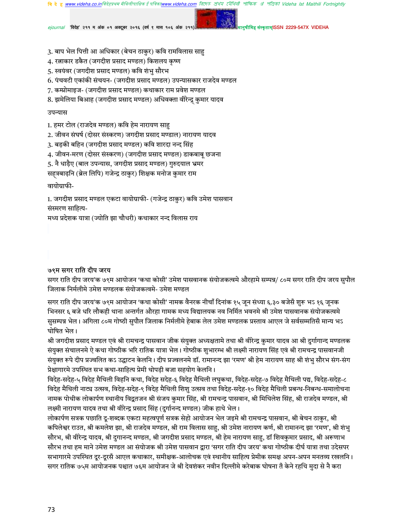রিদেহ প্রথম মৌথিনী পাক্ষিক গ্র পত্রিকা Videha Ist Maithili Fortnightly

'विदेह' २११ म अंक ०१ अक्टूबर २०१६ (वर्ष ९ मास १०६ अंक २११)

कृताम्ISSN 2229-547X VIDEHA

- 3. बाप भेल पित्ती आ अधिकार (बेचन ठाकुर) कवि रामविलास साहु
- 4. रत्नाकार डकैत (जगदीश प्रसाद मण्डल) किशलय कृष्ण
- 5. स्वयंवर (जगदीश प्रसाद मण्डल) कवि शंभु सौरभ
- 6. पंचवटी एकांकी संचयन- (जगदीश प्रसाद मण्डल) उपन्यासकार राजदेव मण्डल
- 7. कम्प्रोमाइज- (जगदीश प्रसाद मण्डल) कथाकार राम प्रवेश मण्डल
- 8. झमेलिया बिआह (जगदीश प्रसाद मण्डल) अधिवक्ता वीरेन्द्र् कुमार यादव

#### उपन्यास

- 1. हमर टोल (राजदेव मण्डल) कवि हेम नारायण साहु
- 2. जीवन संघर्ष (दोसर संस्करण) जगदीश प्रसाद मण्डाल) नारायण यादव
- 3. बड़की बहिन (जगदीश प्रसाद मण्डल) कवि शारदा नन्द सिंह
- 4. जीवन-मरण (दोसर संस्करण) (जगदीश प्रसाद मण्डल) डाकबाबू छजना
- 5. नै धाड़ैए (बाल उपन्यास, जगदीश प्रसाद मण्डल) गुरुदयाल भ्रमर
- सहत्रबाढ़नि (ब्रेल लिपि) गजेन्द्र ठाकुर) शिक्षक मनोज कुमार राम

वायोग्राफी-

1. जगदीश प्रसाद मण्डल एकटा वायोग्राफी- (गजेन्द्र ठाकुर) कवि उमेश पासवान संस्मरण साहित्य-

मध्य प्रदेशक यात्रा (ज्योति झा चौधरी) कथाकार नन्द विलास राय

#### ७९म सगर राति दीप जरय

सगर राति दीप जरय'क ७९म आयोजन 'कथा कोसी' उमेश पासवानक संयोजकत्वमे औरहामे सम्पन्न/ ८०म सगर राति दीप जरय सुपौल जिलाक निर्मलीमे उमेश मण्डलक संयोजकत्वमे- उमेश मण्डल

सगर राति दीप जरय'क ७९म आयोजन 'कथा कोसी' नामक वैनरक नीचाँ दिनांक १५ जून संध्या ६.३० बजेसँ शुरू भऽ १६ जूनक भिनसर ६ बजे धरि लौकही थाना अन्तर्गत औरहा गामक मध्य विद्यालयक नव निर्मित भवनमे श्री उमेश पासवानक संयोजकत्वमे सुसम्पन्न भेल। अगिला ८०म गोष्ठी सुपौल जिलाक निर्मलीमे हेबाक लेल उमेश मण्डलक प्रस्ताव आएल जे सर्वसम्मतिसँ मान्य भऽ घोषित भेल।

श्री जगदीश प्रसाद मण्डल एवं श्री रामचन्द्र पासवान जीक संयुक्त अध्यक्षतामे तथा श्री वीरेन्द्र कुमार यादव आ श्री दुर्गागान्द मण्डलक संयुक्त संचालनमे ऐ कथा गोष्ठीक भरि रातिक यात्रा भेल। गोष्ठीक शुभारम्भ श्री लक्ष्मी नारायण सिंह एवं श्री रामचन्द्र पासवानजी संयुक्त रूपे दीप प्रज्वलित कऽ उद्घाटन केलनि। दीप प्रज्वलनमे डॉ. रामानन्द झा 'रमण' श्री हेम नारायण साह श्री शंभु सौरभ संग-संग प्रेक्षागारमे उपस्थित सभ कथा-साहित्य प्रेमी थोपड़ी बजा सहयोग केलनि ।

विदेह-सदेह-५ विदेह मैथिली विहनि कथा, विदेह सदेह-६ विदेह मैथिली लघुकथा, विदेह-सदेह-७ विदेह मैथिली पद्य, विदेह-सदेह-८ विदेह मैथिली नाट्य उत्सव, विदेह-सदेह-९ विदेह मैथिली शिशु उत्सव तथा विदेह-सदेह-१० विदेह मैथिली प्रबन्ध-निबन्ध-समालोचना नामक पोथीक लोकार्पण स्थानीय विद्वतजन श्री संजय कुमार सिंह, श्री रामचन्द्र पासवान, श्री मिथिलेश सिंह, श्री राजदेव मण्डल, श्री लक्ष्मी नारायण यादव तथा श्री वीरेन्द्र प्रसाद सिंह (दुर्गानन्द मण्डल) जीक हाथे भेल।

लोकार्पण सत्रक पछाति दू-शब्दक एकटा महत्वपूर्ण सत्रक सेहो आयोजन भेल जइमे श्री रामचन्द्र पासवान, श्री बेचन ठाकुर, श्री कपिलेश्वर राउत, श्री कमलेश झा, श्री राजदेव मण्डल, श्री राम विलास साहु, श्री उमेश नारायण कर्ण, श्री रामानन्द झा 'रमण', श्री शंभु सौरभ, श्री वीरेन्द्र यादव, श्री दुगानन्द मण्डल, श्री जगदीश प्रसाद मण्डल, श्री हेम नारायण साहु, डॉ शिवकुमार प्रसाद, श्री अरूणाभ सौरभ तथा हम माने उमेश मण्डल आ संयोजक श्री उमेश पासवान द्वारा 'सगर राति दीप जरय' कथा गोष्ठीक दीर्घ यात्रा तथा उदेसपर सभागारमे उपस्थित दूर-दूरसँ आएल कथाकार, समीक्षक-आलोचक एवं स्थानीय साहित्य प्रेमीक समक्ष अपन-अपन मनतव्य रखलनि । सगर रातिक ७५म आयोजनक पश्चात ७६म आयोजन जे श्री देवशंकर नवीन दिल्लीमे करेबाक घोषना तँ केने रहथि मुदा से नै करा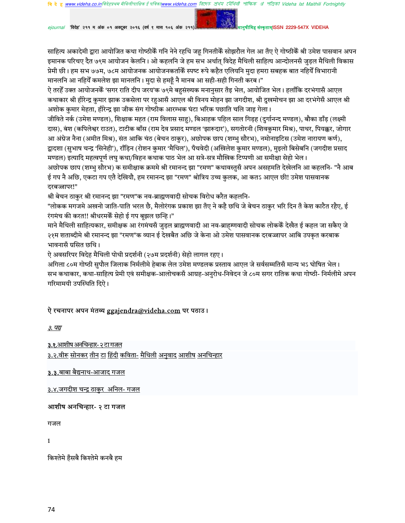রিদেহ প্রথম মৌথিনী পাক্ষিক প্র পত্রিকা Videha Ist Maithili Fortnightly

ejournal 'विदेह' २११ म अंक ०१ अक्टूबर २०१६ (वर्ष ९ मास १०६ अंक २११)

नुषीमिह संस्कृताम्ISSN 2229-547X VIDEHA

साहित्य अकादेमी द्वारा आयोजित कथा गोष्ठीकेँ गनि नेने रहथि जह गिनतीकेँ सोझरौल गेल आ तँए ऐ गोष्ठीकेँ श्री उमेश पासवान अपन इमानक परिचए दैत ७९म आयोजन केलनि। ओ कहलनि जे हम सभ अर्थात् विदेह मैथिली साहित्य आन्दोलनसँ जुड़ल मैथिली विकास प्रेमी छी। हम सभ ७७म, ७८म आयोजनक आयोजनकर्ताकैं स्पष्ट रूपे कहैत एलियनि मुदा हमरा सबहक बात नहियेँ विभारानी मानलनि आ नहियेँ कमलेश झा मानलनि। मुदा से हमहूँ नै मानब आ सही-सही गिनती करब।"

ऐ तरहेँ उक्त आयोजनकेँ 'सगर राति दीप जरय'क ७९मे बहुसंख्यक मनानुसार तँइ भेल, आयोजित भेल। हलाँकि दरभंगासँ आएल कथाकार श्री हीरेन्द्र कुमार झाक उकसेला पर रहुआसँ आएल श्री विनय मोहन झा जगदीश, श्री दुखमोचन झा आ दरभंगेसँ आएल श्री अशोक कुमार मेहता, हीरेन्द्र झा जीक संग गोष्ठीक आरम्भक घंटा भरिक पछाति चलि जाइ गेला।

जीविते नर्क (उमेश मण्डल), शिक्षाक महत (राम विलास साहु), बिआहक पहिल साल गिड़ह (दुर्गानन्द मण्डल), बौका डाँड़ (लक्ष्मी दास), बंश (कपिलेश्वर राउत), टाटीक बाँस (राम देव प्रसाद मण्डल 'झारूदार'), सगतोरनी (शिवकुमार मिश्र), पाथर, पियक्कर, जोगार आ अंग्रेज नैना (अमीत मिश्र), संत आकि चंठ (बेचन ठाकुर), अछोपक छाप (शम्भु सौरभ), नमोनाइटिस (उमेश नारायण कर्ण), द्वादशा (सुभाष चन्द्र 'सिनेही'), राँड़िन (रोशन कुमार 'मैथिल'), पँचवेदी (अखिलेश कुमार मण्डल), मुइलो बिसेबनि (जगदीश प्रसाद मण्डल) इत्यादि महत्वपूर्ण लघु कथा/विहन कथाक पाठ भेल आ सत्रे-सत्र मौखिक टिप्पणी आ समीक्षा सेहो भेल। अछोपक छाप (शम्भु सौरभ) क समीक्षाक क्रममे श्री रमानन्द झा "रमण" कथावस्तुसँ अपन असहमति देखेलनि आ कहलनि- "नै आब ई गप नै अछि, एकटा गप एतै देखियौ, हम रमानन्द झा "रमण" श्रोत्रिय उच्च कुलक, आ कतऽ आएल छी! उमेश पासवानक

# दरबज्जापर!"

श्री बेचन ठाकुर श्री रमानन्द झा "रमण"क नव-ब्राह्मणवादी सोचक विरोध करैत कहलनि-

"लोकक मगजमे अखनो जाति-पाति भरल छै, मैलोरंगक प्रकाश झा तँए ने कहै छथि जे बेचन ठाकुर भरि दिन तँ केश काटैत रहैए. ई रंगमंच की करत!! श्रीधरमकें सेहो ई गप बझल छन्हि।"

माने मैथिली साहित्यकार, समीक्षक आ रंगमंचसँ जुड़ल ब्राह्मणवादी आ नव-ब्राहम्णवादी सोचक लोककेँ देखैत ई कहल जा सकैए जे २१म शताब्दीमे श्री रमानन्द झा "रमण"क व्यान ई देखबैत अछि जे केना ओ उमेश पासवानक दरबज्जापर आबि उपकृत करबाक भावनासँ ग्रसित छथि।

ऐ अवसरिपर विदेह मैथिली पोथी प्रदर्शनी (२७म प्रदर्शनी) सेहो लागल रहए।

अगिला ८०म गोष्ठी सुपौल जिलाक निर्मलीमे हेबाक लेल उमेश मण्डलक प्रस्ताव आएल जे सर्वसम्मतिसँ मान्य भऽ घोषित भेल। सभ कथाकार, कथा-साहित्य प्रेमी एवं समीक्षक-आलोचकसँ आग्रह-अनुरोध-निवेदन जे ८०म सगर रातिक कथा गोष्ठी- निर्मलीमे अपन गरिमामयी उपस्थिति दिऐ।

# ऐ रचनापर अपन मंतव्य ggajendra@videha.com पर पठाउ।

३. पद्य

<u>३.१.आशीष अनचिन्हार- २ टा गजल</u>

<u>३.२.वीरू सोनकर तीन टा हिंदी कविता- मैथिली अनुवाद आशीष अनचिन्हार</u>

<u>३.३.बाबा बैद्यनाथ-आजाद गजल</u>

3.४.जगदीश चन्द्र ठाकुर अनिल- गजल

### आशीष अनचिन्हार- २ टा गजल

गजल

 $\mathbf{1}$ 

किश्तेमे हँसबै किश्तेमे कनबै हम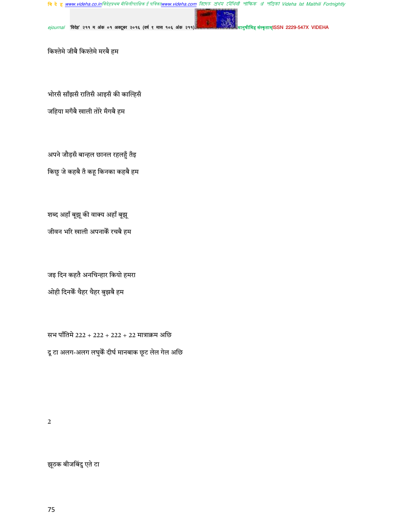<mark>बि दे हु <u>www.videha.co.in</u>विदेहप्रथम मैथिलीपाक्षिक ई पत्रिका<u>www.videha.com</u> बिएम्ठ क्षेथ्य टपैथियी शौंफिक श्री शेविको Videha Ist Maithili Fortnightly</mark>

ejournal 'विदेह' २११ म अंक ०१ अक्टूबर २०१६ (वर्ष ९ मास १०६ अंक २११)

.<br>मेह संस्कृताम्ISSN 2229-547X VIDEHA

किश्तेमे जीबै किश्तेमे मरबै हम

भोरसँ साँझसँ रातिसँ आइसँ की काल्हिसँ जहिया मगँबै खाली तोरे मँगबै हम

अपने जौड़सँ बान्हल छानल रहलहुँ तँइ किछु जे कहबै तँ कहू किनका कहबै हम

शब्द अहाँ बूझू की वाक्य अहाँ बूझू जीवन भरि खाली अपनाकेँ रचबै हम

जइ दिन कहतै अनचिन्हार कियो हमरा ओही दिनकें थैहर थैहर बुझबै हम

सभ पाँतिमे 222 + 222 + 222 + 22 मात्राक्रम अछि दू टा अलग-अलग लघुकें दीर्घ मानबाक छूट लेल गेल अछि

 $\overline{2}$ 

झूठक बीजबिंदु एते टा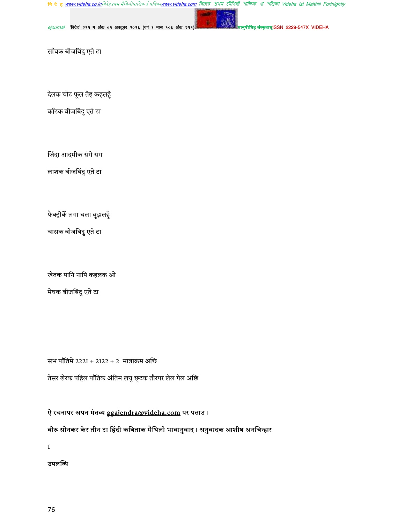<mark>बि दे हु <u>www.videha.co.in</u>विदेहप्रथम मैथिलीपाक्षिक ई पत्रिका<u>www.videha.com</u> बिएम्ठ क्षेथ्य टपैथियी शौंफिक श्री शेविको Videha Ist Maithili Fortnightly</mark>

ejournal 'विदेह' २११ म अंक ०१ अक्टूबर २०१६ (वर्ष ९ मास १०६ अंक २११)

ह संस्कृताम्ISSN 2229-547X VIDEHA

साँचक बीजबिंदु एते टा

देलक चोट फूल तँइ कहलहुँ

काँटक बीजबिंदु एते टा

जिंदा आदमीक संगे संग

लाशक बीजबिंदु एते टा

फैक्ट्रीकें लगा चला बुझलहुँ

चासक बीजबिंदु एते टा

खेतक पानि नापि कहलक ओ

मेघक बीजबिंदु एते टा

सभ पाँतिमे 2221 + 2122 + 2 मात्राक्रम अछि तेसर शेरक पहिल पाँतिक अंतिम लघु छूटक तौरपर लेल गेल अछि

ऐ रचनापर अपन मंतव्य ggajendra@videha.com पर पठाउ।

वीरू सोनकर केर तीन टा हिंदी कविताक मैथिली भावानुवाद। अनुवादक आशीष अनचिन्हार

 $\mathbf 1$ 

उपलब्धि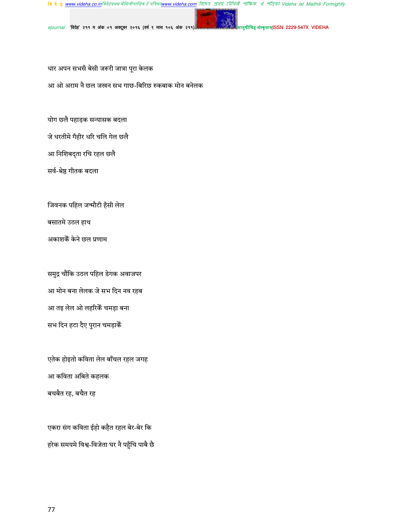वि दे हु <u>www.videha.co.in</u>विदेहप्रथम मैथिलीपाक्षिक ई पविका<u>www.videha.com</u> तिएरु शेथेघ ट्यैथिवी शोफिक अं পंजिको Videha Ist Maithili Fortnightly

संस्कृताम्(SSN 2229-547X VIDEHA

 $e$ journal 'विदेह' २११ म अंक ०१ अक्टूबर २०१६ (वर्ष ९ मास १०६ अंक २११)

धार अपन सभसँ बेसी जरूरी जात्रा पूरा केलक

आ ओ अराम नै छल जखन सभ गाछ-बिरिछ रुकबाक मोन बनेलक

योग छलै पहाड़क सन्यासक बदला

जे धरतीमे गँहीर धरि चलि गेल छलै

आ निशिबद्ता रचि रहल छलै

सर्व-श्रेष्ठ गीतक बदला

जिवनक पहिल जन्मौटी हँसी लेल

बसातमे उठल हाथ

अकाशकें केने छल प्रणाम

समुद्र चौंकि उठल पहिल डेगक अवाजपर आ मोन बना लेलक जे सभ दिन नव रहब आ तइ लेल ओ लहरिकैं चमड़ा बना सभ दिन हटा दैए पुरान चमड़ाकेँ

एतेक होइतो कविता लेल बाँचल रहल जगह आ कविता अबिते कहलक बचबैत रह, बचैत रह

एकरा संग कविता ईहो कहैत रहल बेर-बेर कि हरेक समयमे विश्व-विजेता घर नै पहुँचि पाबै छै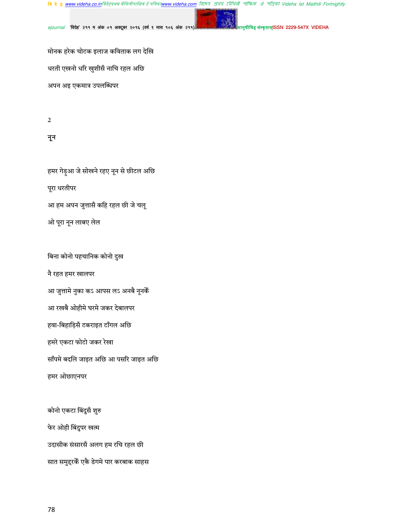<mark>बि दे हु <u>www.videha.co.in</u>विदेहप्रथम मैथिलीपाक्षिक ई पत्रिका<u>www.videha.com</u> बिएम्ठ क्षेथेय टपेंथिती शॉफिक अं शंजिको Videha Ist Maithili Fortnightly</mark>

'विदेह' २११ म अंक ०१ अक्टूबर २०१६ (वर्ष ९ मास १०६ अंक २११) ejournal

संस्कृताम्ISSN 2229-547X VIDEHA

मोनक हरेक चोटक इलाज कविताक लग देखि धरती एखनो धरि खुशीसँ नाचि रहल अछि

अपन अइ एकमात्र उपलब्धिपर

 $\sqrt{2}$ 

नून

हमर गेड़ुआ जे सोखने रहए नून से छीटल अछि पूरा धरतीपर आ हम अपन जुत्तासँ कहि रहल छी जे चलू ओ पूरा नून लाबए लेल

बिना कोनो पहचानिक कोनो दुख

नै रहत हमर खालपर

आ जुत्तामे नुका कऽ आपस लऽ अनबै नूनकैं

आ रखबै ओहीमे घरमे जकर देबालपर

हवा-बिहाड़िसँ टकराइत टाँगल अछि

हमरे एकटा फोटो जकर रेखा

साँपमे बदलि जाइत अछि आ पसरि जाइत अछि

हमर ओछाएनपर

कोनो एकटा बिंदुसँ शुरु फेर ओही बिंदुपर खत्म उदासीक संसारसँ अलग हम रचि रहल छी सात समुद्दरकें एकै डेगमे पार करबाक साहस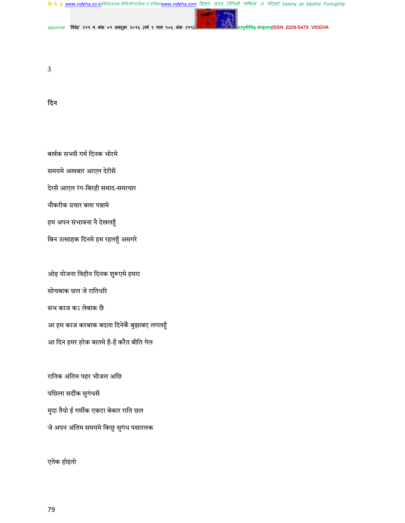**बि दे हु <u>www.videha.co.in</u>विदेहप्रथम मैथिलीपाक्षिक ई पत्रिका<u>www.videha.com</u> রিদে***ठ প্র***থম মৌথিলী পাক্ষিক ঐ পত্রিকা Videha Ist Maithili Fortnightly** 

ejournal 'विदेह' २११ म अंक ०१ अक्टूबर २०१६ (वर्ष ९ मास १०६ अंक २११)

संस्कृताम्ISSN 2229-547X VIDEHA

 $\overline{3}$ 

### दिन

बर्खक सभसँ गर्म दिनक भोरमे समयमे अखबार आएल देरीसँ देरसँ आएल रंग-बिरही समाद-समाचार नौकरीक प्रचार बला पन्नामे हम अपन संभावना नै देखलहुँ

बिन उत्साहक दिनमे हम रहलहुँ असगरे

ओइ योजना विहीन दिनक शुरूएमे हमरा सोचबाक छल जे रातिधरि सभ काज कऽ लेबाक छै आ हम काज करबाक बदला दिनेकैं बुझाबए लगलहुँ आ दिन हमर हरेक बातमे हँ-हँ करैत बीति गेल

रातिक अंतिम पहर भीजल अछि पछिला सर्दीक सुगंधसँ मुदा तैयो ई गर्मीक एकटा बेकार राति छल जे अपन अंतिम समयमे किछु सुगंध पसारलक

एतेक होइतो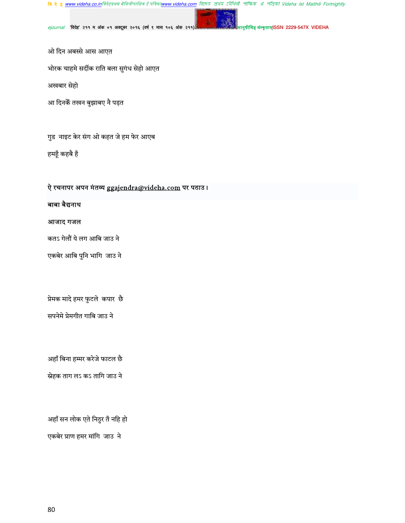<mark>बि दे हु <u>www.videha.co.in</u>विदेहप्रथम मैथिलीपाक्षिक ई पत्रिका<u>www.videha.com</u> बिएम्ठ क्षेथेय टपेंथिती शॉफिक अं शंजिको Videha Ist Maithili Fortnightly</mark>

ejournal 'विदेह' २११ म अंक ०१ अक्टूबर २०१६ (वर्ष ९ मास १०६ अंक २११)

.<br>मेह संस्कृताम्ISSN 2229-547X VIDEHA

ओ दिन अबस्से आस आएत

भोरक चाहमे सर्दीक राति बला सुगंध सेहो आएत

अखबार सेहो

आ दिनकें तखन बुझाबए नै पड़त

गुड)नाइट केर संग ओ कहत जे हम फेर आएब

हमहूँ कहबै हँ

# ऐ रचनापर अपन मंतव्य ggajendra@videha.com पर पठाउ।

# बाबा बैद्यनाथ

#### आजाद गजल

कतऽ गेलौं ये लग आबि जाउ ने

एकबेर आबि पुनि भागि जाउ ने

प्रेमक मादे हमर फुटले कपार छै

सपनेमे प्रेमगीत गाबि जाउ ने

अहाँ बिना हम्मर करेजे फाटल छै

स्नेहक ताग लऽ कऽ तागि जाउ ने

अहाँ सन लोक एते निठुर तँ नहि हो

एकबेर प्राण हमर मांगि जाउ ने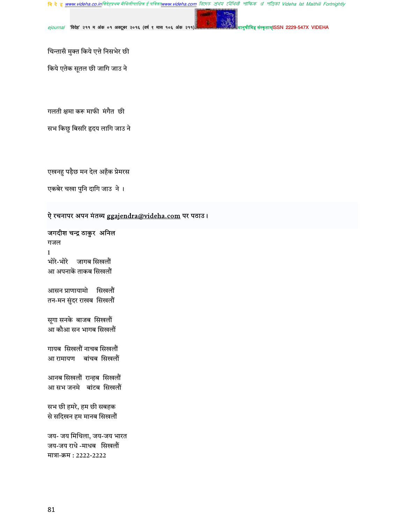वि दे हु <u>www.videha.co.in</u>विदेहप्रथम मैथिलीपाक्षिक ई पविका<u>www.videha.com</u> तिएरु शेथेघ ट्यैथिवी शोफिक अं পंजिको Videha Ist Maithili Fortnightly

 $e$ journal 'विदेह' २११ म अंक ०१ अक्टूबर २०१६ (वर्ष ९ मास १०६ अंक २११)

मेह संस्कृताम्ISSN 2229-547X VIDEHA

चिन्तासँ मुक्त किये एत्ते निसभेर छी

किये एतेक सूतल छी जागि जाउ ने

गलती क्षमा करू माफी मंगैत छी

सभ किछु बिसरि हृदय लागि जाउ ने

एखनहु पड़ैछ मन देल अहँक प्रेमरस

एकबेर चखा पुनि दागि जाउ ने ।

### ऐ रचनापर अपन मंतव्य ggajendra@videha.com पर पठाउ।

जगदीश चन्द्र ठाकुर अनिल

गजल 1 भोरे-भोरे जागब सिखलौं आ अपनाकें ताकब सिखलौं

आसन प्राणायामो सिखलौं तन-मन सुंदर राखब सिखलौं

सूगा सनके बाजब सिखलौं आ कौआ सन भागब सिखलौं

गायब सिखलौं नाचब सिखलौं आ रामायण बांचब सिखलौं

आनब सिखलौं रान्हब सिखलौं आ सभ जनमे बांटब सिखलौं

सभ छी हमरे, हम छी सबहक से सदिखन हम मानब सिखलौं

जय- जय मिथिला, जय-जय भारत जय-जय राधे -माधब सिखलौं मात्रा-क्रम : 2222-2222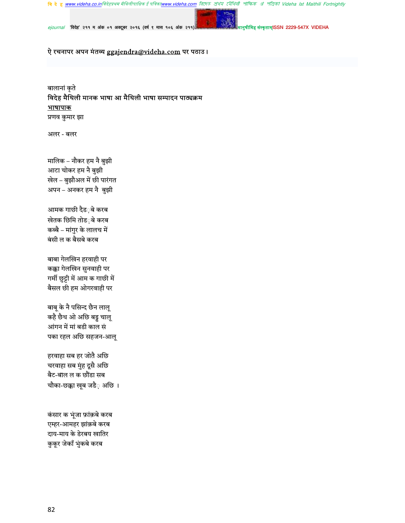**बि दे हु <u>www.videha.co.in</u>विदेहप्रथम मैथिलीपाक्षिक ई पत्रिका<u>www.videha.com</u> রিদে***ठ প্র***থম মৌথিলী পাক্ষিক ঐ পত্রিকা Videha Ist Maithili Fortnightly** 

संस्कृताम्ISSN 2229-547X VIDEHA

ejournal 'विदेह' २११ म अंक ०१ अक्टूबर २०१६ (वर्ष ९ मास १०६ अंक २११)

ऐ रचनापर अपन मंतव्य ggajendra@videha.com पर पठाउ।

बालानां कृते विदेह मैथिली मानक भाषा आ मैथिली भाषा सम्पादन पाठ्यक्रम <u>भाषापाक</u> प्रणव कुमार झा

अलर - बलर

मालिक – नौकर हम नै बुझी आटा चोकर हम नै बुझी खेल – बुझौअल में छी पारंगत अपन – अनकर हम नै बुझी

आमक गाछी दैड**़बे कर**ब खेतक छिमि तोड**़बे** करब कब्बै – मांगुर के लालच में बंसी ल क बैसबे करब

बाबा गेलखिन हरवाही पर कक्का गेलखिन सुनवाही पर गर्मी छुट्टी में आम क गाछी में बैसल छी हम ओगरवाही पर

बाबू के नै पसिन्द छैन लालू कहै छैथ ओ अछि बड्डू चालू आंगन में मां बडी काल सं पका रहल अछि सहजन-आलू

हरवाहा सब हर जोतै अछि चरवाहा सब मुंह दूसै अछि बैट-बाल ल क छौंडा सब चौका-छक्का खूब जडै़ अछि ।

कंसार क भूंजा फ़ांक़बे करब एम्हर-आमहर झांक़बे करब दाय-माय के डेरबय खातिर कुकूर जेकाँ भुंकबे करब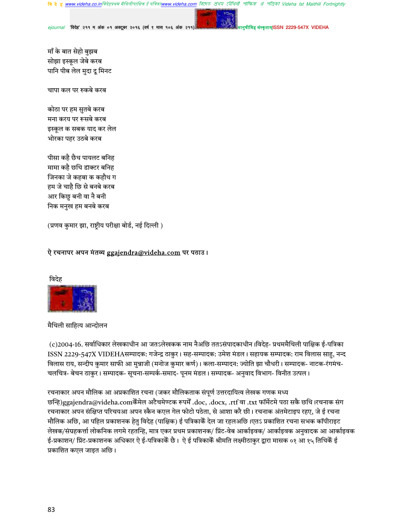রিদেহ প্রথম মৌথিনী পাক্ষিক প্র পত্রিকা Videha Ist Maithili Fortnightly ह्र www videha co inविदेहप्रथम मैथिलीपाक्षिक ई पत्रिकाv

ज़ाम्ISSN 2229-547X VIDEHA

'विदेह' २११ म अंक ०१ अक्टूबर २०१६ (वर्ष ९ मास १०६ अंक २११

माँ के बात सेहो बुझब सोझा इस्कूल जेबे करब पानि पीब लेल मुदा दू मिनट

चापा कल पर रुकबे करब

कोठा पर हम सुतबे करब मना करय पर रूसबे करब इस्कूल क सबक याद कर लेल भोरका पहर उठबे करब

पीसा कहै छैथ पायलट बनिह मामा कहै छथि डाक्टर बनिह जिनका जे कहबा क कहौथ ग हम जे चाहै छि से बनबे करब आर किछु बनी वा नै बनी निक मनुख हम बनबे करब

(प्रणव कुमार झा, राष्टीय परीक्षा बोर्ड, नई दिल्ली)

### ऐ रचनापर अपन मंतव्य ggaiendra@videha.com पर पठाउ।



मैथिली साहित्य आन्दोलन

(c)2004-16. सर्वाधिकार लेखकाधीन आ जतऽलेखकक नाम नैअछि ततऽसंपादकाधीन ।विदेह- प्रथममैथिली पाक्षिक ई-पत्रिका ISSN 2229-547X VIDEHAसम्पादक: गजेन्द्र ठाकुर। सह-सम्पादक: उमेश मंडल। सहायक सम्पादक: राम विलास साहु, नन्द विलास राय, सन्दीप कमार साफी आ मन्नाजी (मनोज कमार कर्ण)। कला-सम्पादन: ज्योति झा चौधरी। सम्पादक- नाटक-रंगमंच-चलचित्र- बेचन ठाकुर । सम्पादक- सूचना-सम्पर्क-समाद- पूनम मंडल । सम्पादक- अनुवाद विभाग- विनीत उत्पल ।

रचनाकार अपन मौलिक आ अप्रकाशित रचना (जकर मौलिकताक संपूर्ण उत्तरदायित्व लेखक गणक मध्य छन्हि)ggajendra@videha.comकेँमेल अटैचमेण्टक रूपमेँ .doc, .docx, .rtf वा .txt फॉर्मेटमे पठा सकै छथि।रचनाक संग रचनाकार अपन संक्षिप्त परिचयआ अपन स्कैन कएल गेल फोटो पठेता, से आशा करै छी। रचनाक अंतमेटाइप रहए, जे ई रचना मौलिक अछि, आ पहिल प्रकाशनक हेतु विदेह (पाक्षिक) ई पत्रिकाकैं देल जा रहलअछि।एतऽ प्रकाशित रचना सभक कॉपीराइट लेखक/संग्रहकर्त्ता लोकनिक लगमे रहतन्हि, मात्र एकर प्रथम प्रकाशनक/ प्रिंट-वेब आर्काइवक/ आर्काइवक अनुवादक आ आर्काइवक ई-प्रकाशन/ प्रिंट-प्रकाशनक अधिकार ऐ ई-पत्रिकाकेँ छै। ऐ ई पत्रिकाकेँ श्रीमति लक्ष्मीठाकुर द्वारा मासक ०१ आ १५ तिथिकेँ ई प्रकाशित कएल जाइत अछि।